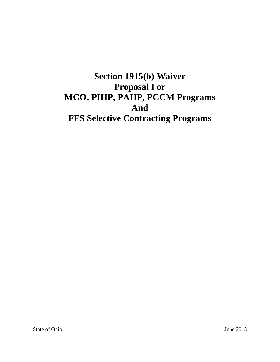# **Section 1915(b) Waiver Proposal For MCO, PIHP, PAHP, PCCM Programs And FFS Selective Contracting Programs**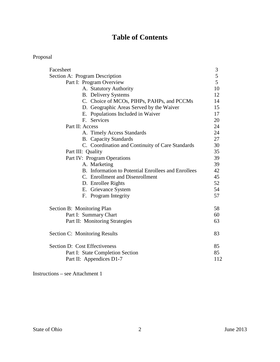# **Table of Contents**

# Proposal

| Section A: Program Description<br>Part I: Program Overview | $\sqrt{5}$<br>5<br>10 |
|------------------------------------------------------------|-----------------------|
|                                                            |                       |
|                                                            |                       |
| A. Statutory Authority                                     |                       |
| <b>B.</b> Delivery Systems                                 | 12                    |
| C. Choice of MCOs, PIHPs, PAHPs, and PCCMs                 | 14                    |
| D. Geographic Areas Served by the Waiver                   | 15                    |
| E. Populations Included in Waiver                          | 17                    |
| <b>Services</b><br>$F_{\perp}$                             | 20                    |
| Part II: Access                                            | 24                    |
| A. Timely Access Standards                                 | 24                    |
| <b>B.</b> Capacity Standards                               | 27                    |
| C. Coordination and Continuity of Care Standards           | 30                    |
| Part III: Quality                                          | 35                    |
| Part IV: Program Operations                                | 39                    |
| A. Marketing                                               | 39                    |
| B. Information to Potential Enrollees and Enrollees        | 42                    |
| C. Enrollment and Disenrollment                            | 45                    |
| D. Enrollee Rights                                         | 52                    |
| E. Grievance System                                        | 54                    |
| F. Program Integrity                                       | 57                    |
| Section B: Monitoring Plan                                 | 58                    |
| Part I: Summary Chart                                      | 60                    |
| Part II: Monitoring Strategies                             | 63                    |
| Section C: Monitoring Results                              | 83                    |
| Section D: Cost Effectiveness                              | 85                    |
| Part I: State Completion Section                           | 85                    |
| Part II: Appendices D1-7                                   | 112                   |

Instructions – see Attachment 1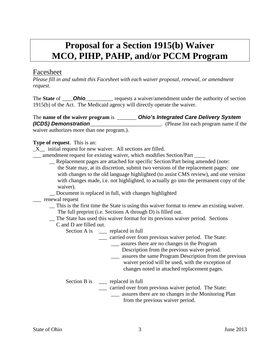# **Proposal for a Section 1915(b) Waiver MCO, PIHP, PAHP, and/or PCCM Program**

# Facesheet

*Please fill in and submit this Facesheet with each waiver proposal, renewal, or amendment request.*

The **State** of **Ohio** requests a waiver/amendment under the authority of section 1915(b) of the Act. The Medicaid agency will directly operate the waiver.

| The <b>name of the waiver program</b> is | <b>Ohio's Integrated Care Delivery System</b> |
|------------------------------------------|-----------------------------------------------|
| (ICDS) Demonstration                     | . (Please list each program name if the       |

waiver authorizes more than one program.).

# **Type of request**. This is an:

- $X$  initial request for new waiver. All sections are filled.
- \_\_\_ amendment request for existing waiver, which modifies Section/Part \_\_\_\_
	- \_\_ Replacement pages are attached for specific Section/Part being amended (note: the State may, at its discretion, submit two versions of the replacement pages: one with changes to the old language highlighted (to assist CMS review), and one version with changes made, i.e. not highlighted, to actually go into the permanent copy of the waiver).
	- \_\_ Document is replaced in full, with changes highlighted

## \_\_\_ renewal request

- \_\_ This is the first time the State is using this waiver format to renew an existing waiver. The full preprint (i.e. Sections A through D) is filled out.
- \_\_ The State has used this waiver format for its previous waiver period. Sections
- C and D are filled out.
	- Section A is \_\_\_ replaced in full
		- \_\_\_ carried over from previous waiver period. The State:
			- \_\_\_ assures there are no changes in the Program
				- Description from the previous waiver period.
			- \_\_\_ assures the same Program Description from the previous waiver period will be used, with the exception of changes noted in attached replacement pages.

## Section B is \_\_\_ replaced in full

- \_\_\_ carried over from previous waiver period. The State:
	- \_\_\_ assures there are no changes in the Monitoring Plan from the previous waiver period.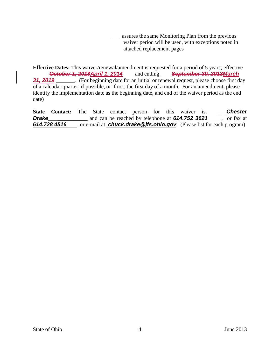\_\_\_ assures the same Monitoring Plan from the previous waiver period will be used, with exceptions noted in attached replacement pages

**Effective Dates:** This waiver/renewal/amendment is requested for a period of 5 years; effective \_\_\_\_\_\_*October 1, 2013April 1, 2014* \_\_\_\_and ending \_\_\_\_*September 30, 2018March*  **31, 2019** [67]. (For beginning date for an initial or renewal request, please choose first day of a calendar quarter, if possible, or if not, the first day of a month. For an amendment, please identify the implementation date as the beginning date, and end of the waiver period as the end date)

**State Contact:** The State contact person for this waiver is \_\_\_*Chester* **Drake\_\_\_\_\_\_\_\_\_\_** and can be reached by telephone at **614.752 3621**, or fax at *614.728 4516* , or e-mail at *chuck.drake@jfs.ohio.gov*. (Please list for each program)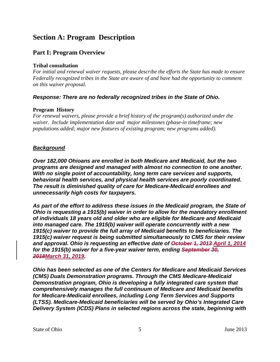# **Section A: Program Description**

# **Part I: Program Overview**

#### **Tribal consultation**

*For initial and renewal waiver requests, please describe the efforts the State has made to ensure Federally recognized tribes in the State are aware of and have had the opportunity to comment on this waiver proposal.*

## *Response: There are no federally recognized tribes in the State of Ohio.*

#### **Program History**

*For renewal waivers, please provide a brief history of the program(s) authorized under the waiver. Include implementation date and major milestones (phase-in timeframe; new populations added; major new features of existing program; new programs added).*

## *Background*

*Over 182,000 Ohioans are enrolled in both Medicare and Medicaid, but the two programs are designed and managed with almost no connection to one another. With no single point of accountability, long term care services and supports, behavioral health services, and physical health services are poorly coordinated. The result is diminished quality of care for Medicare‐Medicaid enrollees and unnecessarily high costs for taxpayers.* 

*As part of the effort to address these issues in the Medicaid program, the State of Ohio is requesting a 1915(b) waiver in order to allow for the mandatory enrollment of individuals 18 years old and older who are eligible for Medicare and Medicaid into managed care. The 1915(b) waiver will operate concurrently with a new 1915(c) waiver to provide the full array of Medicaid benefits to beneficiaries. The 1915(c) waiver request is being submitted simultaneously to CMS for their review and approval. Ohio is requesting an effective date of October 1, 2013 April 1, 2014 for the 1915(b) waiver for a five-year waiver term, ending September 30, 2018March 31, 2019.*

*Ohio has been selected as one of the Centers for Medicare and Medicaid Services (CMS) Duals Demonstration programs. Through the CMS Medicare‐Medicaid Demonstration program, Ohio is developing a fully integrated care system that comprehensively manages the full continuum of Medicare and Medicaid benefits for Medicare‐Medicaid enrollees, including Long Term Services and Supports (LTSS). Medicare-Medicaid beneficiaries will be served by Ohio's Integrated Care Delivery System (ICDS) Plans in selected regions across the state, beginning with*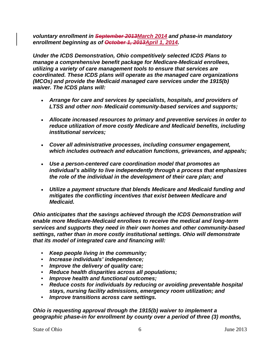*voluntary enrollment in September 2013March 2014 and phase-in mandatory enrollment beginning as of October 1, 2013April 1, 2014.*

*Under the ICDS Demonstration, Ohio competitively selected ICDS Plans to manage a comprehensive benefit package for Medicare‐Medicaid enrollees, utilizing a variety of care management tools to ensure that services are coordinated. These ICDS plans will operate as the managed care organizations (MCOs) and provide the Medicaid managed care services under the 1915(b) waiver. The ICDS plans will:*

- *Arrange for care and services by specialists, hospitals, and providers of LTSS and other non‐ Medicaid community‐based services and supports;*
- *Allocate increased resources to primary and preventive services in order to reduce utilization of more costly Medicare and Medicaid benefits, including institutional services;*
- *Cover all administrative processes, including consumer engagement, which includes outreach and education functions, grievances, and appeals;*
- *Use a person‐centered care coordination model that promotes an individual's ability to live independently through a process that emphasizes the role of the individual in the development of their care plan; and*
- *Utilize a payment structure that blends Medicare and Medicaid funding and mitigates the conflicting incentives that exist between Medicare and Medicaid.*

*Ohio anticipates that the savings achieved through the ICDS Demonstration will enable more Medicare‐Medicaid enrollees to receive the medical and long-term services and supports they need in their own homes and other community‐based settings, rather than in more costly institutional settings. Ohio will demonstrate that its model of integrated care and financing will:*

- *Keep people living in the community;*
- *Increase individuals' independence;*
- *Improve the delivery of quality care;*
- *Reduce health disparities across all populations;*
- *Improve health and functional outcomes;*
- *Reduce costs for individuals by reducing or avoiding preventable hospital stays, nursing facility admissions, emergency room utilization; and*
- *Improve transitions across care settings.*

*Ohio is requesting approval through the 1915(b) waiver to implement a geographic phase-in for enrollment by county over a period of three (3) months,* 

State of Ohio 6 June 2013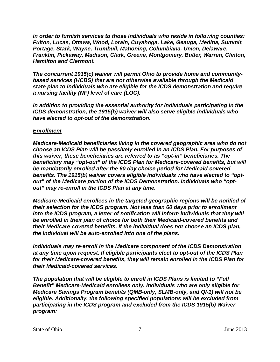*in order to furnish services to those individuals who reside in following counties: Fulton, Lucas, Ottawa, Wood, Lorain, Cuyahoga, Lake, Geauga, Medina, Summit, Portage, Stark, Wayne, Trumbull, Mahoning, Columbiana, Union, Delaware, Franklin, Pickaway, Madison, Clark, Greene, Montgomery, Butler, Warren, Clinton, Hamilton and Clermont.*

*The concurrent 1915(c) waiver will permit Ohio to provide home and communitybased services (HCBS) that are not otherwise available through the Medicaid state plan to individuals who are eligible for the ICDS demonstration and require a nursing facility (NF) level of care (LOC).* 

*In addition to providing the essential authority for individuals participating in the ICDS demonstration, the 1915(b) waiver will also serve eligible individuals who have elected to opt-out of the demonstration.*

## *Enrollment*

*Medicare-Medicaid beneficiaries living in the covered geographic area who do not choose an ICDS Plan will be passively enrolled in an ICDS Plan. For purposes of this waiver, these beneficiaries are referred to as "opt-in" beneficiaries. The beneficiary may "opt-out" of the ICDS Plan for Medicare-covered benefits, but will be mandatorily enrolled after the 60 day choice period for Medicaid‐covered benefits. The 1915(b) waiver covers eligible individuals who have elected to "optout" of the Medicare portion of the ICDS Demonstration. Individuals who "optout" may re-enroll in the ICDS Plan at any time.* 

*Medicare‐Medicaid enrollees in the targeted geographic regions will be notified of their selection for the ICDS program. Not less than 60 days prior to enrollment into the ICDS program, a letter of notification will inform individuals that they will be enrolled in their plan of choice for both their Medicaid‐covered benefits and their Medicare‐covered benefits. If the individual does not choose an ICDS plan, the individual will be auto‐enrolled into one of the plans.*

*Individuals may re‐enroll in the Medicare component of the ICDS Demonstration at any time upon request. If eligible participants elect to opt-out of the ICDS Plan for their Medicare‐covered benefits, they will remain enrolled in the ICDS Plan for their Medicaid‐covered services.* 

*The population that will be eligible to enroll in ICDS Plans is limited to "Full Benefit" Medicare‐Medicaid enrollees only. Individuals who are only eligible for Medicare Savings Program benefits (QMB‐only, SLMB‐only, and QI‐1) will not be eligible. Additionally, the following specified populations will be excluded from participating in the ICDS program and excluded from the ICDS 1915(b) Waiver program:*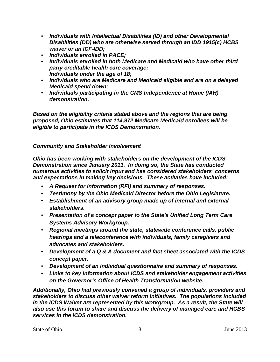- *Individuals with Intellectual Disabilities (ID) and other Developmental Disabilities (DD) who are otherwise served through an IDD 1915(c) HCBS waiver or an ICF*‐*IDD;*
- *Individuals enrolled in PACE;*
- *Individuals enrolled in both Medicare and Medicaid who have other third party creditable health care coverage; Individuals under the age of 18;*
- *Individuals who are Medicare and Medicaid eligible and are on a delayed Medicaid spend down;*
- *Individuals participating in the CMS Independence at Home (IAH) demonstration.*

*Based on the eligibility criteria stated above and the regions that are being proposed, Ohio estimates that 114,972 Medicare‐Medicaid enrollees will be eligible to participate in the ICDS Demonstration.*

# *Community and Stakeholder Involvement*

*Ohio has been working with stakeholders on the development of the ICDS Demonstration since January 2011. In doing so, the State has conducted numerous activities to solicit input and has considered stakeholders' concerns and expectations in making key decisions. These activities have included:*

- *A Request for Information (RFI) and summary of responses.*
- *Testimony by the Ohio Medicaid Director before the Ohio Legislature.*
- *Establishment of an advisory group made up of internal and external stakeholders.*
- *Presentation of a concept paper to the State's Unified Long Term Care Systems Advisory Workgroup.*
- *Regional meetings around the state, statewide conference calls, public hearings and a teleconference with individuals, family caregivers and advocates and stakeholders.*
- *Development of a Q & A document and fact sheet associated with the ICDS concept paper.*
- *Development of an individual questionnaire and summary of responses.*
- *Links to key information about ICDS and stakeholder engagement activities on the Governor's Office of Health Transformation website.*

*Additionally, Ohio had previously convened a group of individuals, providers and stakeholders to discuss other waiver reform initiatives. The populations included in the ICDS Waiver are represented by this workgroup. As a result, the State will also use this forum to share and discuss the delivery of managed care and HCBS services in the ICDS demonstration.*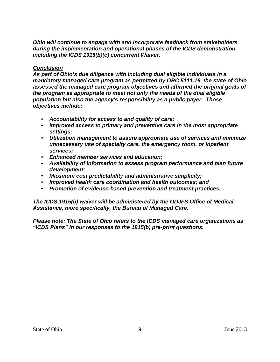*Ohio will continue to engage with and incorporate feedback from stakeholders during the implementation and operational phases of the ICDS demonstration, including the ICDS 1915(b)(c) concurrent Waiver.* 

#### *Conclusion*

*As part of Ohio's due diligence with including dual eligible individuals in a mandatory managed care program as permitted by ORC 5111.16, the state of Ohio assessed the managed care program objectives and affirmed the original goals of the program as appropriate to meet not only the needs of the dual eligible population but also the agency's responsibility as a public payer. Those objectives include:* 

- *Accountability for access to and quality of care;*
- *Improved access to primary and preventive care in the most appropriate settings;*
- *Utilization management to assure appropriate use of services and minimize unnecessary use of specialty care, the emergency room, or inpatient services;*
- *Enhanced member services and education;*
- *Availability of information to assess program performance and plan future development;*
- *Maximum cost predictability and administrative simplicity;*
- *Improved health care coordination and health outcomes; and*
- *Promotion of evidence-based prevention and treatment practices.*

*The ICDS 1915(b) waiver will be administered by the ODJFS Office of Medical Assistance, more specifically, the Bureau of Managed Care.*

*Please note: The State of Ohio refers to the ICDS managed care organizations as "ICDS Plans" in our responses to the 1915(b) pre-print questions.*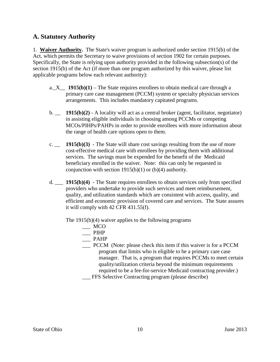# **A. Statutory Authority**

1. **Waiver Authority.** The State's waiver program is authorized under section 1915(b) of the Act, which permits the Secretary to waive provisions of section 1902 for certain purposes. Specifically, the State is relying upon authority provided in the following subsection(s) of the section 1915(b) of the Act (if more than one program authorized by this waiver, please list applicable programs below each relevant authority):

- a.\_X\_\_ **1915(b)(1)**  The State requires enrollees to obtain medical care through a primary care case management (PCCM) system or specialty physician services arrangements. This includes mandatory capitated programs.
- b. \_\_ **1915(b)(2)** A locality will act as a central broker (agent, facilitator, negotiator) in assisting eligible individuals in choosing among PCCMs or competing MCOs/PIHPs/PAHPs in order to provide enrollees with more information about the range of health care options open to them.
- c. \_\_ **1915(b)(3)** The State will share cost savings resulting from the use of more cost-effective medical care with enrollees by providing them with additional services. The savings must be expended for the benefit of the Medicaid beneficiary enrolled in the waiver. Note: this can only be requested in conjunction with section  $1915(b)(1)$  or  $(b)(4)$  authority.
- d. \_\_\_ **1915(b)(4)** The State requires enrollees to obtain services only from specified providers who undertake to provide such services and meet reimbursement, quality, and utilization standards which are consistent with access, quality, and efficient and economic provision of covered care and services. The State assures it will comply with 42 CFR 431.55(f).

The 1915(b)(4) waiver applies to the following programs

- $\equiv$  MCO
- $\equiv$  PIHP
- \_\_\_ PAHP
- \_\_\_ PCCM (Note: please check this item if this waiver is for a PCCM program that limits who is eligible to be a primary care case manager. That is, a program that requires PCCMs to meet certain quality/utilization criteria beyond the minimum requirements required to be a fee-for-service Medicaid contracting provider.)
- \_\_\_ FFS Selective Contracting program (please describe)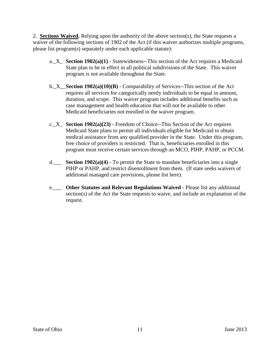2. **Sections Waived.** Relying upon the authority of the above section(s), the State requests a waiver of the following sections of 1902 of the Act (if this waiver authorizes multiple programs, please list program(s) separately under each applicable statute):

- a.  $X$  **Section 1902(a)(1)** Statewideness--This section of the Act requires a Medicaid State plan to be in effect in all political subdivisions of the State. This waiver program is not available throughout the State.
- b.\_X\_\_**Section 1902(a)(10)(B)**  Comparability of Services--This section of the Act requires all services for categorically needy individuals to be equal in amount, duration, and scope. This waiver program includes additional benefits such as case management and health education that will not be available to other Medicaid beneficiaries not enrolled in the waiver program.
- c.\_X\_ **Section 1902(a)(23)** Freedom of Choice--This Section of the Act requires Medicaid State plans to permit all individuals eligible for Medicaid to obtain medical assistance from any qualified provider in the State. Under this program, free choice of providers is restricted. That is, beneficiaries enrolled in this program must receive certain services through an MCO, PIHP, PAHP, or PCCM.
- d.\_\_\_ **Section 1902(a)(4) -** To permit the State to mandate beneficiaries into a single PIHP or PAHP, and restrict disenrollment from them. (If state seeks waivers of additional managed care provisions, please list here).
- e.\_\_\_ **Other Statutes and Relevant Regulations Waived**  Please list any additional section(s) of the Act the State requests to waive, and include an explanation of the request.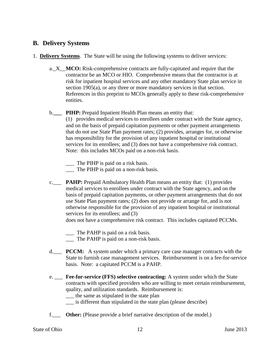# **B. Delivery Systems**

- 1. **Delivery Systems**. The State will be using the following systems to deliver services:
	- a. X **MCO:** Risk-comprehensive contracts are fully-capitated and require that the contractor be an MCO or HIO. Comprehensive means that the contractor is at risk for inpatient hospital services and any other mandatory State plan service in section 1905(a), or any three or more mandatory services in that section. References in this preprint to MCOs generally apply to these risk-comprehensive entities.

# b.**\_\_\_ PIHP:** Prepaid Inpatient Health Plan means an entity that:

(1) provides medical services to enrollees under contract with the State agency, and on the basis of prepaid capitation payments or other payment arrangements that do not use State Plan payment rates; (2) provides, arranges for, or otherwise has responsibility for the provision of any inpatient hospital or institutional services for its enrollees; and (3) does not have a comprehensive risk contract. Note: this includes MCOs paid on a non-risk basis.

- \_\_\_ The PIHP is paid on a risk basis.
- The PIHP is paid on a non-risk basis.
- c.\_\_\_ **PAHP:** Prepaid Ambulatory Health Plan means an entity that: (1) provides medical services to enrollees under contract with the State agency, and on the basis of prepaid capitation payments, or other payment arrangements that do not use State Plan payment rates; (2) does not provide or arrange for, and is not otherwise responsible for the provision of any inpatient hospital or institutional services for its enrollees; and  $(3)$

does not have a comprehensive risk contract. This includes capitated PCCMs.

- \_\_\_ The PAHP is paid on a risk basis.
- \_\_\_ The PAHP is paid on a non-risk basis.
- d.\_\_\_ **PCCM:** A system under which a primary care case manager contracts with the State to furnish case management services. Reimbursement is on a fee-for-service basis. Note: a capitated PCCM is a PAHP.
- e. \_\_\_ **Fee-for-service (FFS) selective contracting:** A system under which the State contracts with specified providers who are willing to meet certain reimbursement, quality, and utilization standards. Reimbursement is:
	- \_\_\_ the same as stipulated in the state plan
	- \_\_\_ is different than stipulated in the state plan (please describe)
- f.\_\_\_ **Other:** (Please provide a brief narrative description of the model.)

State of Ohio 12 June 2013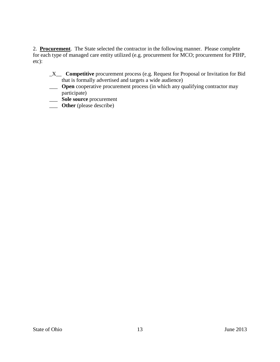2. **Procurement**. The State selected the contractor in the following manner. Please complete for each type of managed care entity utilized (e.g. procurement for MCO; procurement for PIHP, etc):

- \_X\_\_ **Competitive** procurement process (e.g. Request for Proposal or Invitation for Bid that is formally advertised and targets a wide audience)
- **Open** cooperative procurement process (in which any qualifying contractor may participate)
- \_\_\_ **Sole source** procurement
- \_\_\_ **Other** (please describe)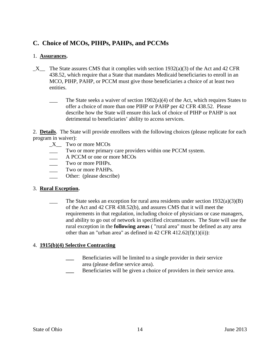# **C. Choice of MCOs, PIHPs, PAHPs, and PCCMs**

# 1. **Assurances.**

- $X$  The State assures CMS that it complies with section 1932(a)(3) of the Act and 42 CFR 438.52, which require that a State that mandates Medicaid beneficiaries to enroll in an MCO, PIHP, PAHP, or PCCM must give those beneficiaries a choice of at least two entities.
	- The State seeks a waiver of section  $1902(a)(4)$  of the Act, which requires States to offer a choice of more than one PIHP or PAHP per 42 CFR 438.52. Please describe how the State will ensure this lack of choice of PIHP or PAHP is not detrimental to beneficiaries' ability to access services.

2. **Details**. The State will provide enrollees with the following choices (please replicate for each program in waiver):

- \_X\_\_ Two or more MCOs
- \_\_\_ Two or more primary care providers within one PCCM system.
- \_\_\_ A PCCM or one or more MCOs
- Two or more PIHPs.
- Two or more PAHPs.
- Other: (please describe)

## 3. **Rural Exception.**

The State seeks an exception for rural area residents under section  $1932(a)(3)(B)$ of the Act and 42 CFR 438.52(b), and assures CMS that it will meet the requirements in that regulation, including choice of physicians or case managers, and ability to go out of network in specified circumstances. The State will use the rural exception in the **following areas** ( "rural area" must be defined as any area other than an "urban area" as defined in  $42$  CFR  $412.62(f)(1)(ii)$ :

## 4. **1915(b)(4) Selective Contracting**

- **\_\_\_** Beneficiaries will be limited to a single provider in their service area (please define service area).
- **\_\_\_** Beneficiaries will be given a choice of providers in their service area.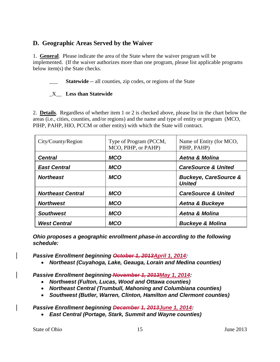# **D. Geographic Areas Served by the Waiver**

1. **General**. Please indicate the area of the State where the waiver program will be implemented. (If the waiver authorizes more than one program, please list applicable programs below item(s) the State checks.

**Statewide** -- all counties, zip codes, or regions of the State

# \_X\_\_ **Less than Statewide**

2. **Details**. Regardless of whether item 1 or 2 is checked above, please list in the chart below the areas (i.e., cities, counties, and/or regions) and the name and type of entity or program (MCO, PIHP, PAHP, HIO, PCCM or other entity) with which the State will contract.

| City/County/Region       | Type of Program (PCCM,<br>MCO, PIHP, or PAHP) | Name of Entity (for MCO,<br>PIHP, PAHP)           |
|--------------------------|-----------------------------------------------|---------------------------------------------------|
| <b>Central</b>           | <b>MCO</b>                                    | <b>Aetna &amp; Molina</b>                         |
| <b>East Central</b>      | <b>MCO</b>                                    | <b>CareSource &amp; United</b>                    |
| <b>Northeast</b>         | <b>MCO</b>                                    | <b>Buckeye, CareSource &amp;</b><br><b>United</b> |
| <b>Northeast Central</b> | <b>MCO</b>                                    | <b>CareSource &amp; United</b>                    |
| <b>Northwest</b>         | <b>MCO</b>                                    | <b>Aetna &amp; Buckeye</b>                        |
| <b>Southwest</b>         | <b>MCO</b>                                    | <b>Aetna &amp; Molina</b>                         |
| <b>West Central</b>      | <b>MCO</b>                                    | <b>Buckeye &amp; Molina</b>                       |

*Ohio proposes a geographic enrollment phase-in according to the following schedule:* 

*Passive Enrollment beginning October 1, 2013April 1, 2014:*

• *Northeast (Cuyahoga, Lake, Geauga, Lorain and Medina counties)*

*Passive Enrollment beginning November 1, 2013May 1, 2014:*

- *Northwest (Fulton, Lucas, Wood and Ottawa counties)*
- *Northeast Central (Trumbull, Mahoning and Columbiana counties)*
- *Southwest (Butler, Warren, Clinton, Hamilton and Clermont counties)*

*Passive Enrollment beginning December 1, 2013June 1, 2014:*

• *East Central (Portage, Stark, Summit and Wayne counties)*

State of Ohio 15 15 June 2013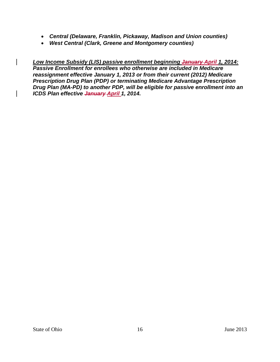- *Central (Delaware, Franklin, Pickaway, Madison and Union counties)*
- *West Central (Clark, Greene and Montgomery counties)*

*Low Income Subsidy (LIS) passive enrollment beginning January April 1, 2014: Passive Enrollment for enrollees who otherwise are included in Medicare reassignment effective January 1, 2013 or from their current (2012) Medicare Prescription Drug Plan (PDP) or terminating Medicare Advantage Prescription Drug Plan (MA-PD) to another PDP, will be eligible for passive enrollment into an ICDS Plan effective January April 1, 2014.*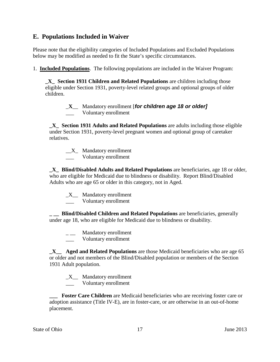# **E. Populations Included in Waiver**

Please note that the eligibility categories of Included Populations and Excluded Populations below may be modified as needed to fit the State's specific circumstances.

1. **Included Populations**. The following populations are included in the Waiver Program:

**\_X\_ Section 1931 Children and Related Populations** are children including those eligible under Section 1931, poverty-level related groups and optional groups of older children.

> \_**X**\_\_ Mandatory enrollment [*for children age 18 or older]* \_\_\_ Voluntary enrollment

**\_X\_ Section 1931 Adults and Related Populations** are adults including those eligible under Section 1931, poverty-level pregnant women and optional group of caretaker relatives.

 $X_$  Mandatory enrollment \_\_\_ Voluntary enrollment

**\_X\_ Blind/Disabled Adults and Related Populations** are beneficiaries, age 18 or older, who are eligible for Medicaid due to blindness or disability. Report Blind/Disabled Adults who are age 65 or older in this category, not in Aged.

 $X$  Mandatory enrollment

\_\_\_ Voluntary enrollment

**\_ \_\_ Blind/Disabled Children and Related Populations** are beneficiaries, generally under age 18, who are eligible for Medicaid due to blindness or disability.

- Mandatory enrollment
- Voluntary enrollment

**\_X\_\_ Aged and Related Populations** are those Medicaid beneficiaries who are age 65 or older and not members of the Blind/Disabled population or members of the Section 1931 Adult population.

 $X$  Mandatory enrollment

\_\_\_ Voluntary enrollment

**\_\_\_ Foster Care Children** are Medicaid beneficiaries who are receiving foster care or adoption assistance (Title IV-E), are in foster-care, or are otherwise in an out-of-home placement.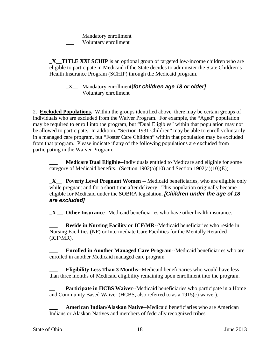Mandatory enrollment

Voluntary enrollment

**X TITLE XXI SCHIP** is an optional group of targeted low-income children who are eligible to participate in Medicaid if the State decides to administer the State Children's Health Insurance Program (SCHIP) through the Medicaid program.

\_X\_\_ Mandatory enrollment**[***for children age 18 or older]* Voluntary enrollment

2. **Excluded Populations.** Within the groups identified above, there may be certain groups of individuals who are excluded from the Waiver Program. For example, the "Aged" population may be required to enroll into the program, but "Dual Eligibles" within that population may not be allowed to participate. In addition, "Section 1931 Children" may be able to enroll voluntarily in a managed care program, but "Foster Care Children" within that population may be excluded from that program. Please indicate if any of the following populations are excluded from participating in the Waiver Program:

**\_\_\_ Medicare Dual Eligible--**Individuals entitled to Medicare and eligible for some category of Medicaid benefits. (Section  $1902(a)(10)$  and Section  $1902(a)(10)(E)$ )

**\_X\_\_\_ Poverty Level Pregnant Women** -- Medicaid beneficiaries, who are eligible only while pregnant and for a short time after delivery. This population originally became eligible for Medicaid under the SOBRA legislation. *[Children under the age of 18 are excluded]*

**\_X \_\_ Other Insurance--**Medicaid beneficiaries who have other health insurance.

**Reside in Nursing Facility or ICF/MR--Medicaid beneficiaries who reside in** Nursing Facilities (NF) or Intermediate Care Facilities for the Mentally Retarded (ICF/MR).

**\_\_\_ Enrolled in Another Managed Care Program**-**-**Medicaid beneficiaries who are enrolled in another Medicaid managed care program

**\_\_\_ Eligibility Less Than 3 Months--**Medicaid beneficiaries who would have less than three months of Medicaid eligibility remaining upon enrollment into the program.

**Participate in HCBS Waiver--Medicaid beneficiaries who participate in a Home** and Community Based Waiver (HCBS, also referred to as a 1915(c) waiver).

**\_\_\_ American Indian/Alaskan Native**--Medicaid beneficiaries who are American Indians or Alaskan Natives and members of federally recognized tribes.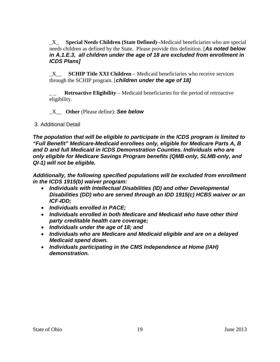\_X\_ **Special Needs Children (State Defined)**--Medicaid beneficiaries who are special needs children as defined by the State. Please provide this definition. [*As noted below in A.1.E.3, all children under the age of 18 are excluded from enrollment in ICDS Plans]*

\_X\_\_ **SCHIP Title XXI Children** – Medicaid beneficiaries who receive services through the SCHIP program. [*children under the age of 18]*

**Retroactive Eligibility – Medicaid beneficiaries for the period of retroactive** eligibility.

\_X\_\_ **Other** (Please define): *See below*

3. Additional Detail

*The population that will be eligible to participate in the ICDS program is limited to "Full Benefit" Medicare*‐*Medicaid enrollees only, eligible for Medicare Parts A, B and D and full Medicaid in ICDS Demonstration Counties. Individuals who are only eligible for Medicare Savings Program benefits (QMB*‐*only, SLMB*‐*only, and QI*‐*1) will not be eligible.* 

*Additionally, the following specified populations will be excluded from enrollment in the ICDS 1915(b) waiver program:*

- *Individuals with Intellectual Disabilities (ID) and other Developmental Disabilities (DD) who are served through an IDD 1915(c) HCBS waiver or an ICF*‐*IDD;*
- *Individuals enrolled in PACE;*
- *Individuals enrolled in both Medicare and Medicaid who have other third party creditable health care coverage;*
- *Individuals under the age of 18; and*
- *Individuals who are Medicare and Medicaid eligible and are on a delayed Medicaid spend down.*
- *Individuals participating in the CMS Independence at Home (IAH) demonstration.*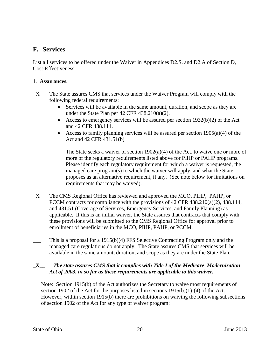# **F. Services**

List all services to be offered under the Waiver in Appendices D2.S. and D2.A of Section D, Cost-Effectiveness.

#### 1. **Assurances.**

- $X$  The State assures CMS that services under the Waiver Program will comply with the following federal requirements:
	- Services will be available in the same amount, duration, and scope as they are under the State Plan per 42 CFR 438.210(a)(2).
	- Access to emergency services will be assured per section 1932(b)(2) of the Act and 42 CFR 438.114.
	- Access to family planning services will be assured per section  $1905(a)(4)$  of the Act and 42 CFR 431.51(b)
	- The State seeks a waiver of section  $1902(a)(4)$  of the Act, to waive one or more of more of the regulatory requirements listed above for PIHP or PAHP programs. Please identify each regulatory requirement for which a waiver is requested, the managed care program(s) to which the waiver will apply, and what the State proposes as an alternative requirement, if any. (See note below for limitations on requirements that may be waived).
- \_X\_\_ The CMS Regional Office has reviewed and approved the MCO, PIHP, PAHP, or PCCM contracts for compliance with the provisions of 42 CFR 438.210(a)(2), 438.114, and 431.51 (Coverage of Services, Emergency Services, and Family Planning) as applicable. If this is an initial waiver, the State assures that contracts that comply with these provisions will be submitted to the CMS Regional Office for approval prior to enrollment of beneficiaries in the MCO, PIHP, PAHP, or PCCM.
- This is a proposal for a 1915(b)(4) FFS Selective Contracting Program only and the managed care regulations do not apply. The State assures CMS that services will be available in the same amount, duration, and scope as they are under the State Plan.

## **\_X\_\_** *The state assures CMS that it complies with Title I of the Medicare Modernization Act of 2003, in so far as these requirements are applicable to this waiver.*

Note: Section 1915(b) of the Act authorizes the Secretary to waive most requirements of section 1902 of the Act for the purposes listed in sections  $1915(b)(1)-(4)$  of the Act. However, within section 1915(b) there are prohibitions on waiving the following subsections of section 1902 of the Act for any type of waiver program: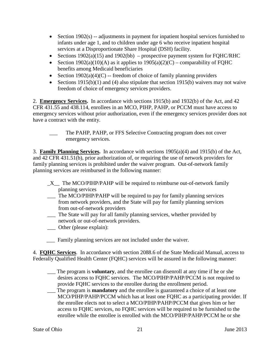- Section 1902(s) -- adjustments in payment for inpatient hospital services furnished to infants under age 1, and to children under age 6 who receive inpatient hospital services at a Disproportionate Share Hospital (DSH) facility.
- Sections  $1902(a)(15)$  and  $1902(bb)$  prospective payment system for FQHC/RHC
- Section 1902(a)(10)(A) as it applies to  $1905(a)(2)(C)$  comparability of FQHC benefits among Medicaid beneficiaries
- Section  $1902(a)(4)(C)$  -- freedom of choice of family planning providers
- Sections 1915(b)(1) and (4) also stipulate that section 1915(b) waivers may not waive freedom of choice of emergency services providers.

2. **Emergency Services.** In accordance with sections 1915(b) and 1932(b) of the Act, and 42 CFR 431.55 and 438.114, enrollees in an MCO, PIHP, PAHP, or PCCM must have access to emergency services without prior authorization, even if the emergency services provider does not have a contract with the entity.

3. **Family Planning Services.** In accordance with sections 1905(a)(4) and 1915(b) of the Act, and 42 CFR 431.51(b), prior authorization of, or requiring the use of network providers for family planning services is prohibited under the waiver program. Out-of-network family planning services are reimbursed in the following manner:

- $X$  The MCO/PIHP/PAHP will be required to reimburse out-of-network family planning services
- \_\_\_ The MCO/PIHP/PAHP will be required to pay for family planning services from network providers, and the State will pay for family planning services from out-of-network providers
- \_\_\_ The State will pay for all family planning services, whether provided by network or out-of-network providers.
- \_\_\_ Other (please explain):
- Family planning services are not included under the waiver.

4. **FQHC Services**. In accordance with section 2088.6 of the State Medicaid Manual, access to Federally Qualified Health Center (FQHC) services will be assured in the following manner:

- \_\_\_ The program is **voluntary**, and the enrollee can disenroll at any time if he or she desires access to FQHC services. The MCO/PIHP/PAHP/PCCM is not required to provide FQHC services to the enrollee during the enrollment period.
- \_\_\_ The program is **mandatory** and the enrollee is guaranteed a choice of at least one MCO/PIHP/PAHP/PCCM which has at least one FQHC as a participating provider. If the enrollee elects not to select a MCO/PIHP/PAHP/PCCM that gives him or her access to FQHC services, no FQHC services will be required to be furnished to the enrollee while the enrollee is enrolled with the MCO/PIHP/PAHP/PCCM he or she

The PAHP, PAHP, or FFS Selective Contracting program does not cover emergency services.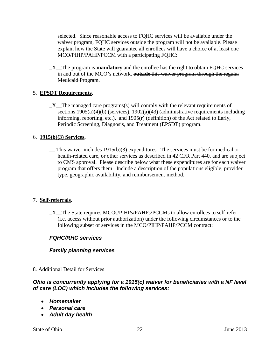selected. Since reasonable access to FQHC services will be available under the waiver program, FQHC services outside the program will not be available. Please explain how the State will guarantee all enrollees will have a choice of at least one MCO/PIHP/PAHP/PCCM with a participating FQHC:

\_X\_\_The program is **mandatory** and the enrollee has the right to obtain FQHC services in and out of the MCO's network. **outside** this waiver program through the regular Medicaid Program.

# 5. **EPSDT Requirements.**

 $X$  The managed care programs(s) will comply with the relevant requirements of sections  $1905(a)(4)(b)$  (services),  $1902(a)(43)$  (administrative requirements including informing, reporting, etc.), and 1905(r) (definition) of the Act related to Early, Periodic Screening, Diagnosis, and Treatment (EPSDT) program.

## 6. **1915(b)(3) Services.**

 $\equiv$  This waiver includes 1915(b)(3) expenditures. The services must be for medical or health-related care, or other services as described in 42 CFR Part 440, and are subject to CMS approval. Please describe below what these expenditures are for each waiver program that offers them. Include a description of the populations eligible, provider type, geographic availability, and reimbursement method.

#### 7. **Self-referrals.**

\_X\_\_The State requires MCOs/PIHPs/PAHPs/PCCMs to allow enrollees to self-refer (i.e. access without prior authorization) under the following circumstances or to the following subset of services in the MCO/PIHP/PAHP/PCCM contract:

## *FQHC/RHC services*

## *Family planning services*

8. Additional Detail for Services

# *Ohio is concurrently applying for a 1915(c) waiver for beneficiaries with a NF level of care (LOC) which includes the following services:*

- *Homemaker*
- *Personal care*
- *Adult day health*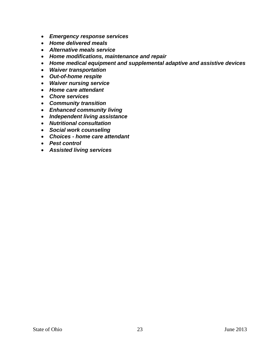- *Emergency response services*
- *Home delivered meals*
- *Alternative meals service*
- *Home modifications, maintenance and repair*
- *Home medical equipment and supplemental adaptive and assistive devices*
- *Waiver transportation*
- *Out-of-home respite*
- *Waiver nursing service*
- *Home care attendant*
- *Chore services*
- *Community transition*
- *Enhanced community living*
- *Independent living assistance*
- *Nutritional consultation*
- *Social work counseling*
- *Choices - home care attendant*
- *Pest control*
- *Assisted living services*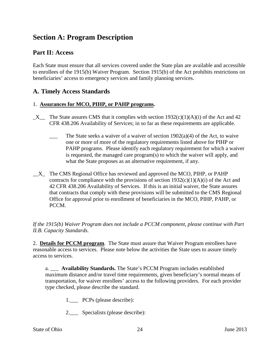# **Section A: Program Description**

# **Part II: Access**

Each State must ensure that all services covered under the State plan are available and accessible to enrollees of the 1915(b) Waiver Program. Section 1915(b) of the Act prohibits restrictions on beneficiaries' access to emergency services and family planning services.

# **A. Timely Access Standards**

#### 1. **Assurances for MCO, PIHP, or PAHP programs.**

- $\_X$  The State assures CMS that it complies with section 1932(c)(1)(A)(i) of the Act and 42 CFR 438.206 Availability of Services; in so far as these requirements are applicable.
	- The State seeks a waiver of a waiver of section  $1902(a)(4)$  of the Act, to waive one or more of more of the regulatory requirements listed above for PIHP or PAHP programs. Please identify each regulatory requirement for which a waiver is requested, the managed care program(s) to which the waiver will apply, and what the State proposes as an alternative requirement, if any.
- \_\_X\_ The CMS Regional Office has reviewed and approved the MCO, PIHP, or PAHP contracts for compliance with the provisions of section  $1932(c)(1)(A)(i)$  of the Act and 42 CFR 438.206 Availability of Services. If this is an initial waiver, the State assures that contracts that comply with these provisions will be submitted to the CMS Regional Office for approval prior to enrollment of beneficiaries in the MCO, PIHP, PAHP, or PCCM.

*If the 1915(b) Waiver Program does not include a PCCM component, please continue with Part II.B. Capacity Standards.*

2. **Details for PCCM program**. The State must assure that Waiver Program enrollees have reasonable access to services. Please note below the activities the State uses to assure timely access to services.

a. \_\_\_ **Availability Standards.** The State's PCCM Program includes established maximum distance and/or travel time requirements, given beneficiary's normal means of transportation, for waiver enrollees' access to the following providers. For each provider type checked, please describe the standard.

- 1. PCPs (please describe):
- 2. Specialists (please describe):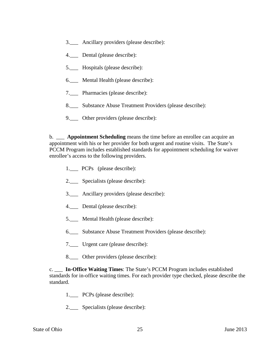- 3.\_\_\_ Ancillary providers (please describe):
- 4.\_\_\_ Dental (please describe):
- 5.\_\_\_ Hospitals (please describe):
- 6.\_\_\_ Mental Health (please describe):
- 7.\_\_\_ Pharmacies (please describe):
- 8.\_\_\_ Substance Abuse Treatment Providers (please describe):
- 9.\_\_\_ Other providers (please describe):

b. \_\_\_ **Appointment Scheduling** means the time before an enrollee can acquire an appointment with his or her provider for both urgent and routine visits. The State's PCCM Program includes established standards for appointment scheduling for waiver enrollee's access to the following providers.

- 1.\_\_\_ PCPs (please describe):
- 2.\_\_\_ Specialists (please describe):
- 3.\_\_\_ Ancillary providers (please describe):
- 4.\_\_\_ Dental (please describe):
- 5. Mental Health (please describe):
- 6.\_\_\_ Substance Abuse Treatment Providers (please describe):
- 7.\_\_\_ Urgent care (please describe):
- 8. Other providers (please describe):

c. \_\_\_ **In-Office Waiting Times**: The State's PCCM Program includes established standards for in-office waiting times. For each provider type checked, please describe the standard.

- 1.\_\_\_ PCPs (please describe):
- 2.\_\_\_ Specialists (please describe):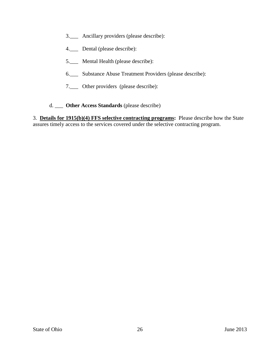- 3.\_\_\_ Ancillary providers (please describe):
- 4.\_\_\_ Dental (please describe):
- 5.\_\_\_ Mental Health (please describe):
- 6.\_\_\_ Substance Abuse Treatment Providers (please describe):
- 7.\_\_\_ Other providers (please describe):
- d. \_\_\_ **Other Access Standards** (please describe)

3. **Details for 1915(b)(4) FFS selective contracting programs:** Please describe how the State assures timely access to the services covered under the selective contracting program.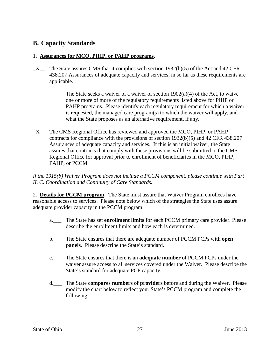# **B. Capacity Standards**

## 1. **Assurances for MCO, PIHP, or PAHP programs.**

- $X$  The State assures CMS that it complies with section 1932(b)(5) of the Act and 42 CFR 438.207 Assurances of adequate capacity and services, in so far as these requirements are applicable.
	- The State seeks a waiver of a waiver of section  $1902(a)(4)$  of the Act, to waive one or more of more of the regulatory requirements listed above for PIHP or PAHP programs. Please identify each regulatory requirement for which a waiver is requested, the managed care program(s) to which the waiver will apply, and what the State proposes as an alternative requirement, if any.
- \_X\_\_ The CMS Regional Office has reviewed and approved the MCO, PIHP, or PAHP contracts for compliance with the provisions of section 1932(b)(5) and 42 CFR 438.207 Assurances of adequate capacity and services. If this is an initial waiver, the State assures that contracts that comply with these provisions will be submitted to the CMS Regional Office for approval prior to enrollment of beneficiaries in the MCO, PIHP, PAHP, or PCCM.

*If the 1915(b) Waiver Program does not include a PCCM component, please continue with Part II, C. Coordination and Continuity of Care Standards.*

2. **Details for PCCM program**. The State must assure that Waiver Program enrollees have reasonable access to services. Please note below which of the strategies the State uses assure adequate provider capacity in the PCCM program.

- a.\_\_\_ The State has set **enrollment limits** for each PCCM primary care provider. Please describe the enrollment limits and how each is determined.
- b.\_\_\_ The State ensures that there are adequate number of PCCM PCPs with **open panels**. Please describe the State's standard.
- c.\_\_\_ The State ensures that there is an **adequate number** of PCCM PCPs under the waiver assure access to all services covered under the Waiver. Please describe the State's standard for adequate PCP capacity.
- d.\_\_\_ The State **compares numbers of providers** before and during the Waiver. Please modify the chart below to reflect your State's PCCM program and complete the following.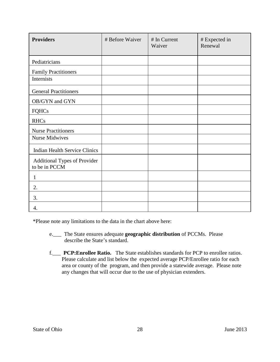| <b>Providers</b>                              | # Before Waiver | # In Current<br>Waiver | # Expected in<br>Renewal |
|-----------------------------------------------|-----------------|------------------------|--------------------------|
| Pediatricians                                 |                 |                        |                          |
| <b>Family Practitioners</b>                   |                 |                        |                          |
| Internists                                    |                 |                        |                          |
| <b>General Practitioners</b>                  |                 |                        |                          |
| OB/GYN and GYN                                |                 |                        |                          |
| FQHCs                                         |                 |                        |                          |
| <b>RHCs</b>                                   |                 |                        |                          |
| <b>Nurse Practitioners</b>                    |                 |                        |                          |
| <b>Nurse Midwives</b>                         |                 |                        |                          |
| <b>Indian Health Service Clinics</b>          |                 |                        |                          |
| Additional Types of Provider<br>to be in PCCM |                 |                        |                          |
| $\mathbf{1}$                                  |                 |                        |                          |
| 2.                                            |                 |                        |                          |
| 3.                                            |                 |                        |                          |
| 4.                                            |                 |                        |                          |

\*Please note any limitations to the data in the chart above here:

- e.\_\_\_ The State ensures adequate **geographic distribution** of PCCMs. Please describe the State's standard.
- f.\_\_\_ **PCP:Enrollee Ratio.** The State establishes standards for PCP to enrollee ratios. Please calculate and list below the expected average PCP/Enrollee ratio for each area or county of the program, and then provide a statewide average. Please note any changes that will occur due to the use of physician extenders.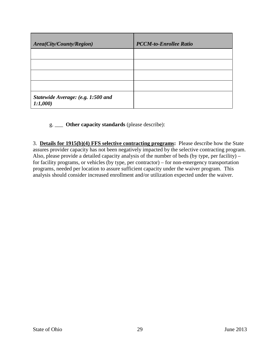| Area(City/County/Region)                      | <b>PCCM-to-Enrollee Ratio</b> |
|-----------------------------------------------|-------------------------------|
|                                               |                               |
|                                               |                               |
|                                               |                               |
|                                               |                               |
| Statewide Average: (e.g. 1:500 and<br>1:1,000 |                               |

# g. \_\_\_ **Other capacity standards** (please describe):

3. **Details for 1915(b)(4) FFS selective contracting programs:** Please describe how the State assures provider capacity has not been negatively impacted by the selective contracting program. Also, please provide a detailed capacity analysis of the number of beds (by type, per facility) – for facility programs, or vehicles (by type, per contractor) – for non-emergency transportation programs, needed per location to assure sufficient capacity under the waiver program. This analysis should consider increased enrollment and/or utilization expected under the waiver.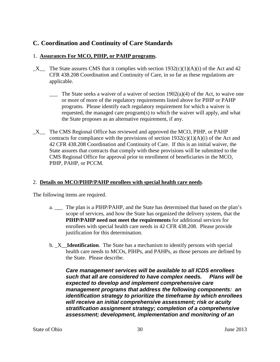# **C. Coordination and Continuity of Care Standards**

# 1. **Assurances For MCO, PIHP, or PAHP programs.**

- $X$  The State assures CMS that it complies with section 1932(c)(1)(A)(i) of the Act and 42 CFR 438.208 Coordination and Continuity of Care, in so far as these regulations are applicable.
	- The State seeks a waiver of a waiver of section  $1902(a)(4)$  of the Act, to waive one or more of more of the regulatory requirements listed above for PIHP or PAHP programs. Please identify each regulatory requirement for which a waiver is requested, the managed care program(s) to which the waiver will apply, and what the State proposes as an alternative requirement, if any.
- \_X\_\_ The CMS Regional Office has reviewed and approved the MCO, PIHP, or PAHP contracts for compliance with the provisions of section  $1932(c)(1)(A)(i)$  of the Act and 42 CFR 438.208 Coordination and Continuity of Care. If this is an initial waiver, the State assures that contracts that comply with these provisions will be submitted to the CMS Regional Office for approval prior to enrollment of beneficiaries in the MCO, PIHP, PAHP, or PCCM.

# 2. **Details on MCO/PIHP/PAHP enrollees with special health care needs**.

The following items are required.

- a. \_\_\_ The plan is a PIHP/PAHP, and the State has determined that based on the plan's scope of services, and how the State has organized the delivery system, that the **PIHP/PAHP need not meet the requirements** for additional services for enrollees with special health care needs in 42 CFR 438.208. Please provide justification for this determination.
- b. \_X\_\_**Identification**. The State has a mechanism to identify persons with special health care needs to MCOs, PIHPs, and PAHPs, as those persons are defined by the State. Please describe.

*Care management services will be available to all ICDS enrollees such that all are considered to have complex needs. Plans will be expected to develop and implement comprehensive care management programs that address the following components: an identification strategy to prioritize the timeframe by which enrollees will receive an initial comprehensive assessment; risk or acuity stratification assignment strategy; completion of a comprehensive assessment; development, implementation and monitoring of an*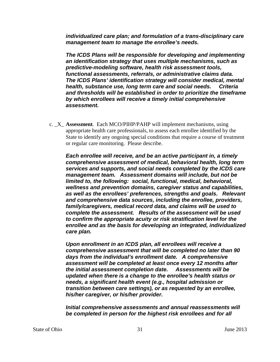*individualized care plan; and formulation of a trans-disciplinary care management team to manage the enrollee's needs.* 

*The ICDS Plans will be responsible for developing and implementing an identification strategy that uses multiple mechanisms, such as predictive-modeling software, health risk assessment tools, functional assessments, referrals, or administrative claims data. The ICDS Plans' identification strategy will consider medical, mental health, substance use, long term care and social needs. Criteria and thresholds will be established in order to prioritize the timeframe by which enrollees will receive a timely initial comprehensive assessment.* 

c. \_X\_ **Assessment**. Each MCO/PIHP/PAHP will implement mechanisms, using appropriate health care professionals, to assess each enrollee identified by the State to identify any ongoing special conditions that require a course of treatment or regular care monitoring. Please describe.

*Each enrollee will receive, and be an active participant in, a timely comprehensive assessment of medical, behavioral health, long term services and supports, and social needs completed by the ICDS care management team. Assessment domains will include, but not be limited to, the following: social, functional, medical, behavioral, wellness and prevention domains, caregiver status and capabilities, as well as the enrollees' preferences, strengths and goals. Relevant and comprehensive data sources, including the enrollee, providers, family/caregivers, medical record data, and claims will be used to complete the assessment. Results of the assessment will be used to confirm the appropriate acuity or risk stratification level for the enrollee and as the basis for developing an integrated, individualized care plan.* 

*Upon enrollment in an ICDS plan, all enrollees will receive a comprehensive assessment that will be completed no later than 90 days from the individual's enrollment date. A comprehensive assessment will be completed at least once every 12 months after the initial assessment completion date. Assessments will be updated when there is a change to the enrollee's health status or needs, a significant health event (e.g., hospital admission or transition between care settings), or as requested by an enrollee, his/her caregiver, or his/her provider.* 

*Initial comprehensive assessments and annual reassessments will be completed in person for the highest risk enrollees and for all*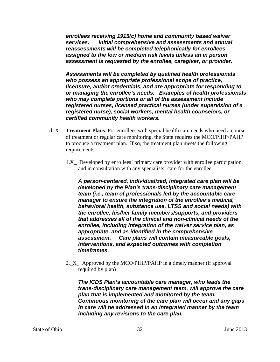*enrollees receiving 1915(c) home and community based waiver services. Initial comprehensive and assessments and annual reassessments will be completed telephonically for enrollees assigned to the low or medium risk levels unless an in person assessment is requested by the enrollee, caregiver, or provider.* 

*Assessments will be completed by qualified health professionals who possess an appropriate professional scope of practice, licensure, and/or credentials, and are appropriate for responding to or managing the enrollee's needs. Examples of health professionals who may complete portions or all of the assessment include registered nurses, licensed practical nurses (under supervision of a registered nurse), social workers, mental health counselors, or certified community health workers.* 

- d. X **Treatment Plans**. For enrollees with special health care needs who need a course of treatment or regular care monitoring, the State requires the MCO/PIHP/PAHP to produce a treatment plan. If so, the treatment plan meets the following requirements:
	- 1.X\_ Developed by enrollees' primary care provider with enrollee participation, and in consultation with any specialists' care for the enrollee

*A person-centered, individualized, integrated care plan will be developed by the Plan's trans-disciplinary care management team (i.e., team of professionals led by the accountable care manager to ensure the integration of the enrollee's medical, behavioral health, substance use, LTSS and social needs) with the enrollee, his/her family members/supports, and providers that addresses all of the clinical and non-clinical needs of the enrollee, including integration of the waiver service plan, as appropriate, and as identified in the comprehensive assessment. Care plans will contain measureable goals, interventions, and expected outcomes with completion timeframes.*

2.\_X\_ Approved by the MCO/PIHP/PAHP in a timely manner (if approval required by plan)

*The ICDS Plan's accountable care manager, who leads the trans-disciplinary care management team, will approve the care plan that is implemented and monitored by the team. Continuous monitoring of the care plan will occur and any gaps in care will be addressed in an integrated manner by the team including any revisions to the care plan.*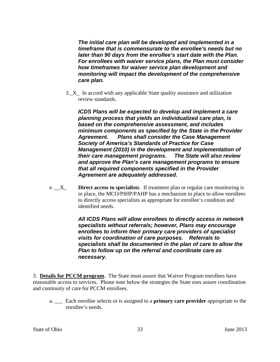*The initial care plan will be developed and implemented in a timeframe that is commensurate to the enrollee's needs but no later than 90 days from the enrollee's start date with the Plan. For enrollees with waiver service plans, the Plan must consider how timeframes for waiver service plan development and monitoring will impact the development of the comprehensive care plan.*

3.\_X\_ In accord with any applicable State quality assurance and utilization review standards.

*ICDS Plans will be expected to develop and implement a care planning process that yields an individualized care plan, is based on the comprehensive assessment, and includes minimum components as specified by the State in the Provider Agreement. Plans shall consider the Case Management Society of America's Standards of Practice for Case Management (2010) in the development and implementation of their care management programs. The State will also review and approve the Plan's care management programs to ensure that all required components specified in the Provider Agreement are adequately addressed.*

e. \_\_X\_ **Direct access to specialists**. If treatment plan or regular care monitoring is in place, the MCO/PIHP/PAHP has a mechanism in place to allow enrollees to directly access specialists as appropriate for enrollee's condition and identified needs.

> *All ICDS Plans will allow enrollees to directly access in network specialists without referrals; however, Plans may encourage enrollees to inform their primary care providers of specialist visits for coordination of care purposes. Referrals to specialists shall be documented in the plan of care to allow the Plan to follow up on the referral and coordinate care as necessary.*

3. **Details for PCCM program**. The State must assure that Waiver Program enrollees have reasonable access to services. Please note below the strategies the State uses assure coordination and continuity of care for PCCM enrollees.

a. \_\_\_ Each enrollee selects or is assigned to a **primary care provider** appropriate to the enrollee's needs.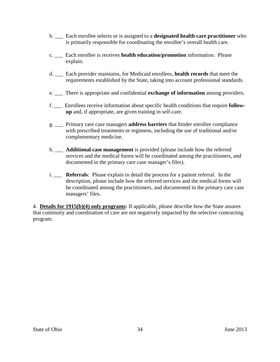- b. \_\_\_ Each enrollee selects or is assigned to a **designated health care practitioner** who is primarily responsible for coordinating the enrollee's overall health care.
- c. \_\_\_ Each enrollee is receives **health education/promotion** information. Please explain.
- d. \_\_\_ Each provider maintains, for Medicaid enrollees, **health records** that meet the requirements established by the State, taking into account professional standards.
- e. \_\_\_ There is appropriate and confidential **exchange of information** among providers.
- f. \_\_\_ Enrollees receive information about specific health conditions that require **followup** and, if appropriate, are given training in self-care.
- g. \_\_\_ Primary care case managers **address barriers** that hinder enrollee compliance with prescribed treatments or regimens, including the use of traditional and/or complementary medicine.
- h. \_\_\_ **Additional case management** is provided (please include how the referred services and the medical forms will be coordinated among the practitioners, and documented in the primary care case manager's files).
- i. \_\_\_ **Referrals**: Please explain in detail the process for a patient referral. In the description, please include how the referred services and the medical forms will be coordinated among the practitioners, and documented in the primary care case managers' files.

4. **Details for 1915(b)(4) only programs:** If applicable, please describe how the State assures that continuity and coordination of care are not negatively impacted by the selective contracting program.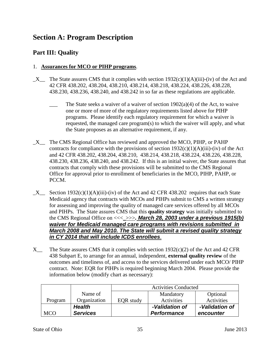# **Section A: Program Description**

# **Part III: Quality**

# 1. **Assurances for MCO or PIHP programs**.

- $X$  The State assures CMS that it complies with section 1932(c)(1)(A)(iii)-(iv) of the Act and 42 CFR 438.202, 438.204, 438.210, 438.214, 438.218, 438.224, 438.226, 438.228, 438.230, 438.236, 438.240, and 438.242 in so far as these regulations are applicable.
	- The State seeks a waiver of a waiver of section  $1902(a)(4)$  of the Act, to waive one or more of more of the regulatory requirements listed above for PIHP programs. Please identify each regulatory requirement for which a waiver is requested, the managed care program(s) to which the waiver will apply, and what the State proposes as an alternative requirement, if any.
- \_X\_\_ The CMS Regional Office has reviewed and approved the MCO, PIHP, or PAHP contracts for compliance with the provisions of section  $1932(c)(1)(A)(iii)$ -(iv) of the Act and 42 CFR 438.202, 438.204, 438.210, 438.214, 438.218, 438.224, 438.226, 438.228, 438.230, 438.236, 438.240, and 438.242. If this is an initial waiver, the State assures that contracts that comply with these provisions will be submitted to the CMS Regional Office for approval prior to enrollment of beneficiaries in the MCO, PIHP, PAHP, or PCCM.
- $X$  Section 1932(c)(1)(A)(iii)-(iv) of the Act and 42 CFR 438.202 requires that each State Medicaid agency that contracts with MCOs and PIHPs submit to CMS a written strategy for assessing and improving the quality of managed care services offered by all MCOs and PIHPs. The State assures CMS that this **quality strategy** was initially submitted to the CMS Regional Office on <<<\_>>>*. March 28, 2003 under a previous 1915(b) waiver for Medicaid managed care programs with revisions submitted in March 2008 and May 2010. The State will submit a revised quality strategy in CY 2014 that will include ICDS enrollees*.
- X The State assures CMS that it complies with section  $1932(c)(2)$  of the Act and 42 CFR 438 Subpart E, to arrange for an annual, independent, **external quality review** of the outcomes and timeliness of, and access to the services delivered under each MCO/ PIHP contract. Note: EQR for PIHPs is required beginning March 2004. Please provide the information below (modify chart as necessary):

|            |                 | <b>Activities Conducted</b> |                    |                |
|------------|-----------------|-----------------------------|--------------------|----------------|
|            | Name of         |                             | Mandatory          | Optional       |
| Program    | Organization    | <b>EQR</b> study            | Activities         | Activities     |
|            | <b>Health</b>   |                             | -Validation of     | -Validation of |
| <b>MCO</b> | <b>Services</b> |                             | <b>Performance</b> | encounter      |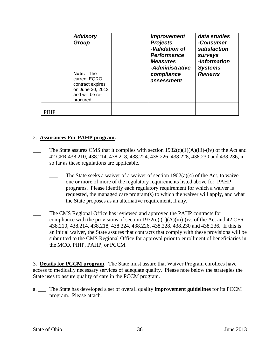|             | <b>Advisory</b><br>Group<br>Note: The<br>current EQRO<br>contract expires<br>on June 30, 2013<br>and will be re-<br>procured. | <i><b>Improvement</b></i><br><b>Projects</b><br>-Validation of<br><b>Performance</b><br><b>Measures</b><br>-Administrative<br>compliance<br>assessment | data studies<br>-Consumer<br>satisfaction<br>surveys<br>-Information<br><b>Systems</b><br><b>Reviews</b> |
|-------------|-------------------------------------------------------------------------------------------------------------------------------|--------------------------------------------------------------------------------------------------------------------------------------------------------|----------------------------------------------------------------------------------------------------------|
| <b>PIHP</b> |                                                                                                                               |                                                                                                                                                        |                                                                                                          |

## 2. **Assurances For PAHP program.**

- The State assures CMS that it complies with section  $1932(c)(1)(A)(iii)$ -(iv) of the Act and 42 CFR 438.210, 438.214, 438.218, 438.224, 438.226, 438.228, 438.230 and 438.236, in so far as these regulations are applicable.
	- The State seeks a waiver of a waiver of section  $1902(a)(4)$  of the Act, to waive one or more of more of the regulatory requirements listed above for PAHP programs. Please identify each regulatory requirement for which a waiver is requested, the managed care program(s) to which the waiver will apply, and what the State proposes as an alternative requirement, if any.
- The CMS Regional Office has reviewed and approved the PAHP contracts for compliance with the provisions of section 1932(c)  $(1)(A)(iii)$ -(iv) of the Act and 42 CFR 438.210, 438.214, 438.218, 438.224, 438.226, 438.228, 438.230 and 438.236. If this is an initial waiver, the State assures that contracts that comply with these provisions will be submitted to the CMS Regional Office for approval prior to enrollment of beneficiaries in the MCO, PIHP, PAHP, or PCCM.

3. **Details for PCCM program**. The State must assure that Waiver Program enrollees have access to medically necessary services of adequate quality. Please note below the strategies the State uses to assure quality of care in the PCCM program.

a. \_\_\_ The State has developed a set of overall quality **improvement guidelines** for its PCCM program. Please attach.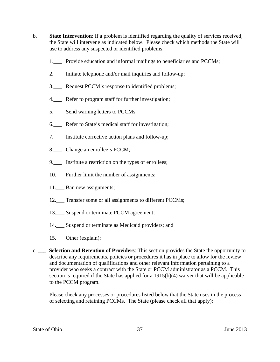- b. \_\_\_ **State Intervention**: If a problem is identified regarding the quality of services received, the State will intervene as indicated below. Please check which methods the State will use to address any suspected or identified problems.
	- 1. Provide education and informal mailings to beneficiaries and PCCMs;
	- 2.\_\_\_ Initiate telephone and/or mail inquiries and follow-up;
	- 3.\_\_\_ Request PCCM's response to identified problems;
	- 4.\_\_\_ Refer to program staff for further investigation;
	- 5.\_\_\_ Send warning letters to PCCMs;
	- 6.\_\_\_ Refer to State's medical staff for investigation;
	- 7.\_\_\_ Institute corrective action plans and follow-up;
	- 8.\_\_\_ Change an enrollee's PCCM;
	- 9.\_\_\_ Institute a restriction on the types of enrollees;
	- 10. Further limit the number of assignments;
	- 11. Ban new assignments;
	- 12.\_\_ Transfer some or all assignments to different PCCMs;
	- 13.\_\_\_ Suspend or terminate PCCM agreement;
	- 14. Suspend or terminate as Medicaid providers; and
	- 15.\_\_\_ Other (explain):
- c. \_\_\_ **Selection and Retention of Providers**: This section provides the State the opportunity to describe any requirements, policies or procedures it has in place to allow for the review and documentation of qualifications and other relevant information pertaining to a provider who seeks a contract with the State or PCCM administrator as a PCCM. This section is required if the State has applied for a 1915(b)(4) waiver that will be applicable to the PCCM program.

Please check any processes or procedures listed below that the State uses in the process of selecting and retaining PCCMs. The State (please check all that apply):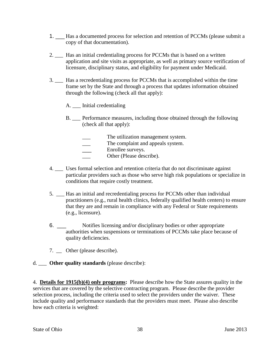- 1. \_\_\_ Has a documented process for selection and retention of PCCMs (please submit a copy of that documentation).
- 2. \_\_\_ Has an initial credentialing process for PCCMs that is based on a written application and site visits as appropriate, as well as primary source verification of licensure, disciplinary status, and eligibility for payment under Medicaid.
- 3. \_\_\_ Has a recredentialing process for PCCMs that is accomplished within the time frame set by the State and through a process that updates information obtained through the following (check all that apply):
	- A. \_\_\_ Initial credentialing
	- B. \_\_\_ Performance measures, including those obtained through the following (check all that apply):
		- The utilization management system.
		- The complaint and appeals system.
		- Enrollee surveys.
		- Other (Please describe).
- 4. \_\_\_ Uses formal selection and retention criteria that do not discriminate against particular providers such as those who serve high risk populations or specialize in conditions that require costly treatment.
- 5. \_\_\_ Has an initial and recredentialing process for PCCMs other than individual practitioners (e.g., rural health clinics, federally qualified health centers) to ensure that they are and remain in compliance with any Federal or State requirements (e.g., licensure).
- 6. \_\_\_ Notifies licensing and/or disciplinary bodies or other appropriate authorities when suspensions or terminations of PCCMs take place because of quality deficiencies.
- 7. Other (please describe).
- d. \_\_\_ **Other quality standards** (please describe):

4. **Details for 1915(b)(4) only programs:** Please describe how the State assures quality in the services that are covered by the selective contracting program. Please describe the provider selection process, including the criteria used to select the providers under the waiver. These include quality and performance standards that the providers must meet. Please also describe how each criteria is weighted: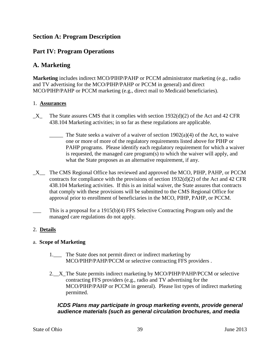## **Section A: Program Description**

## **Part IV: Program Operations**

## **A. Marketing**

**Marketing** includes indirect MCO/PIHP/PAHP or PCCM administrator marketing (e.g., radio and TV advertising for the MCO/PIHP/PAHP or PCCM in general) and direct MCO/PIHP/PAHP or PCCM marketing (e.g., direct mail to Medicaid beneficiaries).

### 1. **Assurances**

- $X$  The State assures CMS that it complies with section 1932(d)(2) of the Act and 42 CFR 438.104 Marketing activities; in so far as these regulations are applicable.
	- $\frac{1}{\sqrt{1-\frac{1}{\sqrt{1-\frac{1}{\sqrt{1-\frac{1}{\sqrt{1-\frac{1}{\sqrt{1-\frac{1}{\sqrt{1-\frac{1}{\sqrt{1-\frac{1}{\sqrt{1-\frac{1}{\sqrt{1-\frac{1}{\sqrt{1-\frac{1}{\sqrt{1-\frac{1}{\sqrt{1-\frac{1}{\sqrt{1-\frac{1}{\sqrt{1-\frac{1}{\sqrt{1-\frac{1}{\sqrt{1-\frac{1}{\sqrt{1-\frac{1}{\sqrt{1-\frac{1}{\sqrt{1-\frac{1}{\sqrt{1-\frac{1}{\sqrt{1-\frac{1}{\sqrt{1-\frac{1}{\sqrt{1-\frac{1}{\sqrt{1-\frac{1$ one or more of more of the regulatory requirements listed above for PIHP or PAHP programs. Please identify each regulatory requirement for which a waiver is requested, the managed care program(s) to which the waiver will apply, and what the State proposes as an alternative requirement, if any.
- \_X\_\_ The CMS Regional Office has reviewed and approved the MCO, PIHP, PAHP, or PCCM contracts for compliance with the provisions of section 1932(d)(2) of the Act and 42 CFR 438.104 Marketing activities. If this is an initial waiver, the State assures that contracts that comply with these provisions will be submitted to the CMS Regional Office for approval prior to enrollment of beneficiaries in the MCO, PIHP, PAHP, or PCCM.
- This is a proposal for a 1915(b)(4) FFS Selective Contracting Program only and the managed care regulations do not apply.

## 2. **Details**

#### a. **Scope of Marketing**

- 1.\_\_\_ The State does not permit direct or indirect marketing by MCO/PIHP/PAHP/PCCM or selective contracting FFS providers .
- 2.\_\_X\_The State permits indirect marketing by MCO/PIHP/PAHP/PCCM or selective contracting FFS providers (e.g., radio and TV advertising for the MCO/PIHP/PAHP or PCCM in general). Please list types of indirect marketing permitted.

## *ICDS Plans may participate in group marketing events, provide general audience materials (such as general circulation brochures, and media*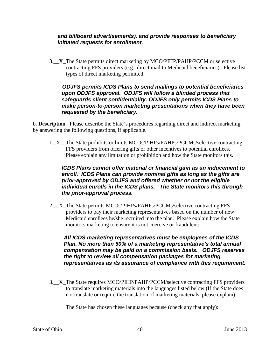## *and billboard advertisements), and provide responses to beneficiary initiated requests for enrollment.*

3. X The State permits direct marketing by MCO/PIHP/PAHP/PCCM or selective contracting FFS providers (e.g., direct mail to Medicaid beneficiaries). Please list types of direct marketing permitted.

## *ODJFS permits ICDS Plans to send mailings to potential beneficiaries upon ODJFS approval. ODJFS will follow a blinded process that safeguards client confidentiality. ODJFS only permits ICDS Plans to make person-to-person marketing presentations when they have been requested by the beneficiary.*

b. **Description**. Please describe the State's procedures regarding direct and indirect marketing by answering the following questions, if applicable.

1.\_X\_\_The State prohibits or limits MCOs/PIHPs/PAHPs/PCCMs/selective contracting FFS providers from offering gifts or other incentives to potential enrollees. Please explain any limitation or prohibition and how the State monitors this.

## *ICDS Plans cannot offer material or financial gain as an inducement to enroll. ICDS Plans can provide nominal gifts as long as the gifts are prior-approved by ODJFS and offered whether or not the eligible individual enrolls in the ICDS plans. The State monitors this through the prior-approval process.*

2.\_\_X\_The State permits MCOs/PIHPs/PAHPs/PCCMs/selective contracting FFS providers to pay their marketing representatives based on the number of new Medicaid enrollees he/she recruited into the plan. Please explain how the State monitors marketing to ensure it is not coercive or fraudulent:

*All ICDS marketing representatives must be employees of the ICDS Plan. No more than 50% of a marketing representative's total annual compensation may be paid on a commission basis. ODJFS reserves the right to review all compensation packages for marketing representatives as its assurance of compliance with this requirement.* 

3. X The State requires MCO/PIHP/PAHP/PCCM/selective contracting FFS providers to translate marketing materials into the languages listed below (If the State does not translate or require the translation of marketing materials, please explain):

The State has chosen these languages because (check any that apply):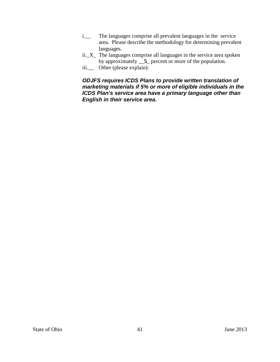- i.\_\_ The languages comprise all prevalent languages in the service area. Please describe the methodology for determining prevalent languages.
- ii.\_X\_ The languages comprise all languages in the service area spoken by approximately \_\_**5**\_ percent or more of the population.
- iii.\_\_ Other (please explain):

## *ODJFS requires ICDS Plans to provide written translation of marketing materials if 5% or more of eligible individuals in the ICDS Plan's service area have a primary language other than English in their service area.*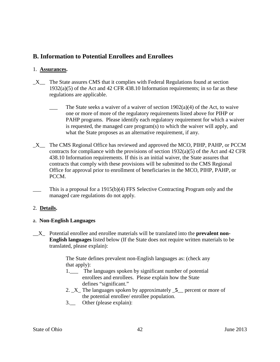# **B. Information to Potential Enrollees and Enrollees**

### 1. **Assurances.**

- $X$  The State assures CMS that it complies with Federal Regulations found at section 1932(a)(5) of the Act and 42 CFR 438.10 Information requirements; in so far as these regulations are applicable.
	- The State seeks a waiver of a waiver of section  $1902(a)(4)$  of the Act, to waive one or more of more of the regulatory requirements listed above for PIHP or PAHP programs. Please identify each regulatory requirement for which a waiver is requested, the managed care program(s) to which the waiver will apply, and what the State proposes as an alternative requirement, if any.
- \_X\_\_ The CMS Regional Office has reviewed and approved the MCO, PIHP, PAHP, or PCCM contracts for compliance with the provisions of section 1932(a)(5) of the Act and 42 CFR 438.10 Information requirements. If this is an initial waiver, the State assures that contracts that comply with these provisions will be submitted to the CMS Regional Office for approval prior to enrollment of beneficiaries in the MCO, PIHP, PAHP, or PCCM.
- This is a proposal for a  $1915(b)(4)$  FFS Selective Contracting Program only and the managed care regulations do not apply.

## 2. **Details.**

#### a. **Non-English Languages**

\_\_X\_ Potential enrollee and enrollee materials will be translated into the **prevalent non-English languages** listed below (If the State does not require written materials to be translated, please explain):

> The State defines prevalent non-English languages as: (check any that apply):

- 1.\_\_\_ The languages spoken by significant number of potential enrollees and enrollees. Please explain how the State defines "significant."
- 2. \_X\_ The languages spoken by approximately \_**5**\_\_ percent or more of the potential enrollee/ enrollee population.
- 3.\_\_ Other (please explain):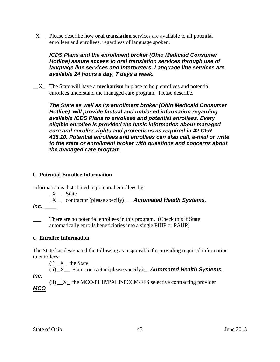\_X\_\_ Please describe how **oral translation** services are available to all potential enrollees and enrollees, regardless of language spoken.

## *ICDS Plans and the enrollment broker (Ohio Medicaid Consumer Hotline) assure access to oral translation services through use of language line services and interpreters. Language line services are available 24 hours a day, 7 days a week.*

\_\_X\_ The State will have a **mechanism** in place to help enrollees and potential enrollees understand the managed care program. Please describe.

*The State as well as its enrollment broker (Ohio Medicaid Consumer Hotline) will provide factual and unbiased information regarding available ICDS Plans to enrollees and potential enrollees. Every eligible enrollee is provided the basic information about managed care and enrollee rights and protections as required in 42 CFR 438.10. Potential enrollees and enrollees can also call, e-mail or write to the state or enrollment broker with questions and concerns about the managed care program***.**

## b. **Potential Enrollee Information**

Information is distributed to potential enrollees by:

 $X$  State

\_X\_\_ contractor (please specify) \_\_\_*Automated Health Systems, Inc.\_*\_\_\_\_

There are no potential enrollees in this program. (Check this if State automatically enrolls beneficiaries into a single PIHP or PAHP)

## **c. Enrollee Information**

The State has designated the following as responsible for providing required information to enrollees:

 $(i)$   $X_$  the State

(ii) \_X\_\_ State contractor (please specify):\_*\_Automated Health Systems,* 

*Inc.\_\_\_\_\_\_*

(ii) X the MCO/PIHP/PAHP/PCCM/FFS selective contracting provider *MCO*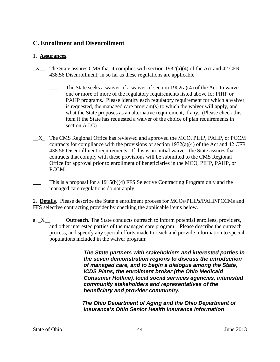# **C. Enrollment and Disenrollment**

## 1. **Assurances.**

- $X$  The State assures CMS that it complies with section 1932(a)(4) of the Act and 42 CFR 438.56 Disenrollment; in so far as these regulations are applicable.
	- The State seeks a waiver of a waiver of section  $1902(a)(4)$  of the Act, to waive one or more of more of the regulatory requirements listed above for PIHP or PAHP programs. Please identify each regulatory requirement for which a waiver is requested, the managed care program(s) to which the waiver will apply, and what the State proposes as an alternative requirement, if any. (Please check this item if the State has requested a waiver of the choice of plan requirements in section A.I.C)
- \_\_X\_ The CMS Regional Office has reviewed and approved the MCO, PIHP, PAHP, or PCCM contracts for compliance with the provisions of section  $1932(a)(4)$  of the Act and 42 CFR 438.56 Disenrollment requirements. If this is an initial waiver, the State assures that contracts that comply with these provisions will be submitted to the CMS Regional Office for approval prior to enrollment of beneficiaries in the MCO, PIHP, PAHP, or PCCM.
- This is a proposal for a 1915(b)(4) FFS Selective Contracting Program only and the managed care regulations do not apply.

2. **Details**. Please describe the State's enrollment process for MCOs/PIHPs/PAHP/PCCMs and FFS selective contracting provider by checking the applicable items below.

a. X **Outreach.** The State conducts outreach to inform potential enrollees, providers, and other interested parties of the managed care program. Please describe the outreach process, and specify any special efforts made to reach and provide information to special populations included in the waiver program:

> *The State partners with stakeholders and interested parties in the seven demonstration regions to discuss the introduction of managed care, and to begin a dialogue among the State, ICDS Plans, the enrollment broker (the Ohio Medicaid Consumer Hotline), local social services agencies, interested community stakeholders and representatives of the beneficiary and provider community.*

*The Ohio Department of Aging and the Ohio Department of Insurance's Ohio Senior Health Insurance Information*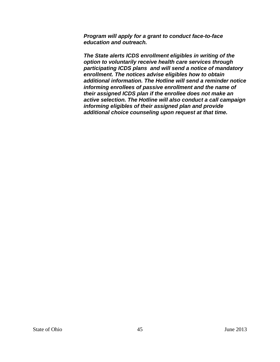*Program will apply for a grant to conduct face-to-face education and outreach.* 

*The State alerts ICDS enrollment eligibles in writing of the option to voluntarily receive health care services through participating ICDS plans and will send a notice of mandatory enrollment. The notices advise eligibles how to obtain additional information. The Hotline will send a reminder notice informing enrollees of passive enrollment and the name of their assigned ICDS plan if the enrollee does not make an active selection. The Hotline will also conduct a call campaign informing eligibles of their assigned plan and provide additional choice counseling upon request at that time.*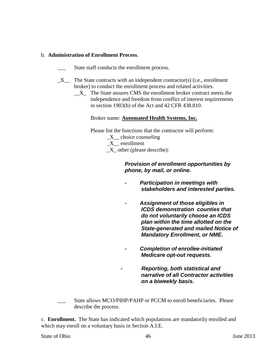## b. **Administration of Enrollment Process**.

- State staff conducts the enrollment process.
- $\_X$  The State contracts with an independent contractor(s) (i.e., enrollment broker) to conduct the enrollment process and related activities.
	- $X_{\text{max}}$  The State assures CMS the enrollment broker contract meets the independence and freedom from conflict of interest requirements in section 1903(b) of the Act and 42 CFR 438.810.

#### Broker name: **Automated Health Systems, Inc.**

Please list the functions that the contractor will perform:

- X choice counseling
- \_X\_\_ enrollment

 $X_$  other (please describe):

## *Provision of enrollment opportunities by phone, by mail, or online.*

- *- Participation in meetings with stakeholders and interested parties.*
- *- Assignment of those eligibles in ICDS demonstration counties that do not voluntarily choose an ICDS plan within the time allotted on the State-generated and mailed Notice of Mandatory Enrollment, or NME.*
- *- Completion of enrollee-initiated Medicare opt-out requests.*

*- Reporting, both statistical and narrative of all Contractor activities on a biweekly basis.*

State allows MCO/PIHP/PAHP or PCCM to enroll beneficiaries. Please describe the process.

c. **Enrollment.** The State has indicated which populations are mandatorily enrolled and which may enroll on a voluntary basis in Section A.I.E.

#### State of Ohio  $\frac{46}{100}$  June 2013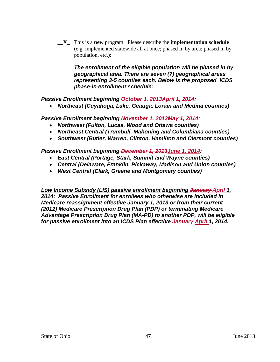\_\_X\_ This is a **new** program. Please describe the **implementation schedule** (e.g. implemented statewide all at once; phased in by area; phased in by population, etc.):

*The enrollment of the eligible population will be phased in by geographical area. There are seven (7) geographical areas representing 3-5 counties each. Below is the proposed ICDS phase-in enrollment schedule:*

*Passive Enrollment beginning October 1, 2013April 1, 2014:*

• *Northeast (Cuyahoga, Lake, Geauga, Lorain and Medina counties)*

*Passive Enrollment beginning November 1, 2013May 1, 2014:*

- *Northwest (Fulton, Lucas, Wood and Ottawa counties)*
- *Northeast Central (Trumbull, Mahoning and Columbiana counties)*
- *Southwest (Butler, Warren, Clinton, Hamilton and Clermont counties)*

*Passive Enrollment beginning December 1, 2013June 1, 2014:*

- *East Central (Portage, Stark, Summit and Wayne counties)*
- *Central (Delaware, Franklin, Pickaway, Madison and Union counties)*
- *West Central (Clark, Greene and Montgomery counties)*

*Low Income Subsidy (LIS) passive enrollment beginning January April 1, 2014: Passive Enrollment for enrollees who otherwise are included in Medicare reassignment effective January 1, 2013 or from their current (2012) Medicare Prescription Drug Plan (PDP) or terminating Medicare Advantage Prescription Drug Plan (MA-PD) to another PDP, will be eligible for passive enrollment into an ICDS Plan effective January April 1, 2014.*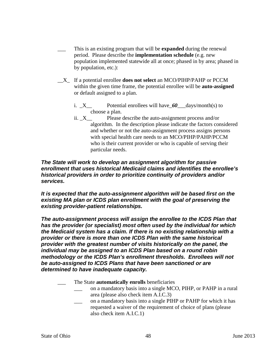- This is an existing program that will be **expanded** during the renewal period. Please describe the **implementation schedule** (e.g. new population implemented statewide all at once; phased in by area; phased in by population, etc.):
- \_\_X\_ If a potential enrollee **does not select** an MCO/PIHP/PAHP or PCCM within the given time frame, the potential enrollee will be **auto-assigned** or default assigned to a plan.
	- i. \_X\_\_ Potential enrollees will have\_*60*\_\_\_days/month(s) to choose a plan.
	- ii. \_X\_\_ Please describe the auto-assignment process and/or algorithm. In the description please indicate the factors considered and whether or not the auto-assignment process assigns persons with special health care needs to an MCO/PIHP/PAHP/PCCM who is their current provider or who is capable of serving their particular needs.

*The State will work to develop an assignment algorithm for passive enrollment that uses historical Medicaid claims and identifies the enrollee's historical providers in order to prioritize continuity of providers and/or services.*

*It is expected that the auto-assignment algorithm will be based first on the existing MA plan or ICDS plan enrollment with the goal of preserving the existing provider-patient relationships.* 

*The auto-assignment process will assign the enrollee to the ICDS Plan that has the provider (or specialist) most often used by the individual for which the Medicaid system has a claim. If there is no existing relationship with a provider or there is more than one ICDS Plan with the same historical provider with the greatest number of visits historically on the panel, the individual may be assigned to an ICDS Plan based on a round robin methodology or the ICDS Plan's enrollment thresholds. Enrollees will not be auto-assigned to ICDS Plans that have been sanctioned or are determined to have inadequate capacity.*

- \_\_\_ The State **automatically enrolls** beneficiaries
	- on a mandatory basis into a single MCO, PIHP, or PAHP in a rural area (please also check item A.I.C.3)
	- on a mandatory basis into a single PIHP or PAHP for which it has requested a waiver of the requirement of choice of plans (please also check item A.I.C.1)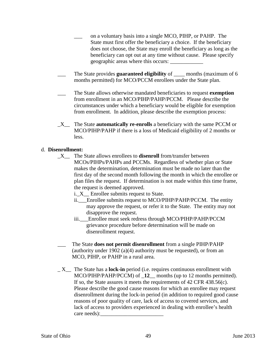- \_\_\_ on a voluntary basis into a single MCO, PIHP, or PAHP. The State must first offer the beneficiary a choice. If the beneficiary does not choose, the State may enroll the beneficiary as long as the beneficiary can opt out at any time without cause. Please specify geographic areas where this occurs: \_\_\_\_\_\_\_\_\_\_\_\_
- The State provides **guaranteed eligibility** of months (maximum of 6 months permitted) for MCO/PCCM enrollees under the State plan.
- \_\_\_ The State allows otherwise mandated beneficiaries to request **exemption** from enrollment in an MCO/PIHP/PAHP/PCCM. Please describe the circumstances under which a beneficiary would be eligible for exemption from enrollment. In addition, please describe the exemption process:
- \_X\_\_ The State **automatically re-enrolls** a beneficiary with the same PCCM or MCO/PIHP/PAHP if there is a loss of Medicaid eligibility of 2 months or less.

#### d. **Disenrollment:**

- \_X\_\_ The State allows enrollees to **disenroll** from/transfer between MCOs/PIHPs/PAHPs and PCCMs. Regardless of whether plan or State makes the determination, determination must be made no later than the first day of the second month following the month in which the enrollee or plan files the request. If determination is not made within this time frame, the request is deemed approved.
	- i. X Enrollee submits request to State.
	- ii.\_\_\_Enrollee submits request to MCO/PIHP/PAHP/PCCM. The entity may approve the request, or refer it to the State. The entity may not disapprove the request.
	- iii. Enrollee must seek redress through MCO/PIHP/PAHP/PCCM grievance procedure before determination will be made on disenrollment request.
- \_\_\_ The State **does not permit disenrollment** from a single PIHP/PAHP (authority under 1902 (a)(4) authority must be requested), or from an MCO, PIHP, or PAHP in a rural area.
- \_ X\_\_ The State has a **lock-in** period (i.e. requires continuous enrollment with MCO/PIHP/PAHP/PCCM) of \_**12**\_\_ months (up to 12 months permitted). If so, the State assures it meets the requirements of 42 CFR 438.56(c). Please describe the good cause reasons for which an enrollee may request disenrollment during the lock-in period (in addition to required good cause reasons of poor quality of care, lack of access to covered services, and lack of access to providers experienced in dealing with enrollee's health care needs):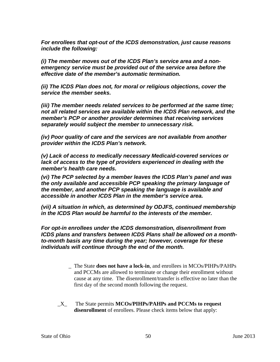*For enrollees that opt-out of the ICDS demonstration, just cause reasons include the following:*

*(i) The member moves out of the ICDS Plan's service area and a nonemergency service must be provided out of the service area before the effective date of the member's automatic termination.*

*(ii) The ICDS Plan does not, for moral or religious objections, cover the service the member seeks.*

*(iii) The member needs related services to be performed at the same time; not all related services are available within the ICDS Plan network, and the member's PCP or another provider determines that receiving services separately would subject the member to unnecessary risk.*

*(iv) Poor quality of care and the services are not available from another provider within the ICDS Plan's network.*

*(v) Lack of access to medically necessary Medicaid-covered services or lack of access to the type of providers experienced in dealing with the member's health care needs.*

*(vi) The PCP selected by a member leaves the ICDS Plan's panel and was the only available and accessible PCP speaking the primary language of the member, and another PCP speaking the language is available and accessible in another ICDS Plan in the member's service area.*

*(vii) A situation in which, as determined by ODJFS, continued membership in the ICDS Plan would be harmful to the interests of the member.*

*For opt-in enrollees under the ICDS demonstration, disenrollment from ICDS plans and transfers between ICDS Plans shall be allowed on a monthto-month basis any time during the year; however, coverage for these individuals will continue through the end of the month.*

- \_ The State **does not have a lock-in**, and enrollees in MCOs/PIHPs/PAHPs and PCCMs are allowed to terminate or change their enrollment without cause at any time. The disenrollment/transfer is effective no later than the first day of the second month following the request.
- \_X\_ The State permits **MCOs/PIHPs/PAHPs and PCCMs to request disenrollment** of enrollees. Please check items below that apply: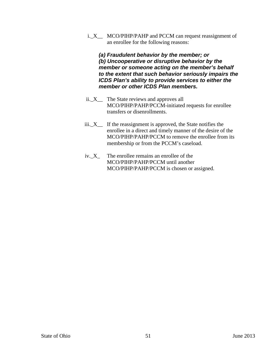i.\_X\_\_ MCO/PIHP/PAHP and PCCM can request reassignment of an enrollee for the following reasons:

*(a) Fraudulent behavior by the member; or (b) Uncooperative or disruptive behavior by the member or someone acting on the member's behalf to the extent that such behavior seriously impairs the ICDS Plan's ability to provide services to either the member or other ICDS Plan members.*

- ii.\_X\_\_ The State reviews and approves all MCO/PIHP/PAHP/PCCM-initiated requests for enrollee transfers or disenrollments.
- iii.\_X\_\_ If the reassignment is approved, the State notifies the enrollee in a direct and timely manner of the desire of the MCO/PIHP/PAHP/PCCM to remove the enrollee from its membership or from the PCCM's caseload.
- iv. X The enrollee remains an enrollee of the MCO/PIHP/PAHP/PCCM until another MCO/PIHP/PAHP/PCCM is chosen or assigned.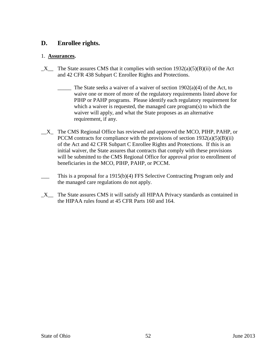## **D. Enrollee rights.**

## 1. **Assurances.**

- $X$  The State assures CMS that it complies with section 1932(a)(5)(B)(ii) of the Act and 42 CFR 438 Subpart C Enrollee Rights and Protections.
	- The State seeks a waiver of a waiver of section  $1902(a)(4)$  of the Act, to waive one or more of more of the regulatory requirements listed above for PIHP or PAHP programs. Please identify each regulatory requirement for which a waiver is requested, the managed care program(s) to which the waiver will apply, and what the State proposes as an alternative requirement, if any.
- \_\_X\_ The CMS Regional Office has reviewed and approved the MCO, PIHP, PAHP, or PCCM contracts for compliance with the provisions of section  $1932(a)(5)(B)(ii)$ of the Act and 42 CFR Subpart C Enrollee Rights and Protections. If this is an initial waiver, the State assures that contracts that comply with these provisions will be submitted to the CMS Regional Office for approval prior to enrollment of beneficiaries in the MCO, PIHP, PAHP, or PCCM.
- This is a proposal for a 1915(b)(4) FFS Selective Contracting Program only and the managed care regulations do not apply.
- $X$  The State assures CMS it will satisfy all HIPAA Privacy standards as contained in the HIPAA rules found at 45 CFR Parts 160 and 164.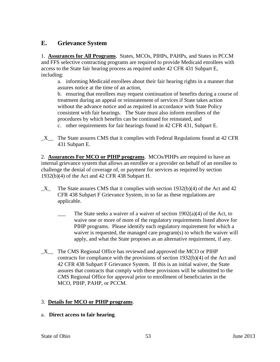# **E. Grievance System**

1. **Assurances for All Programs**. States, MCOs, PIHPs, PAHPs, and States in PCCM and FFS selective contracting programs are required to provide Medicaid enrollees with access to the State fair hearing process as required under 42 CFR 431 Subpart E, including:

a. informing Medicaid enrollees about their fair hearing rights in a manner that assures notice at the time of an action,

b. ensuring that enrollees may request continuation of benefits during a course of treatment during an appeal or reinstatement of services if State takes action without the advance notice and as required in accordance with State Policy consistent with fair hearings. The State must also inform enrollees of the procedures by which benefits can be continued for reinstated, and

c. other requirements for fair hearings found in 42 CFR 431, Subpart E.

\_X\_\_ The State assures CMS that it complies with Federal Regulations found at 42 CFR 431 Subpart E.

2. **Assurances For MCO or PIHP programs**. MCOs/PIHPs are required to have an internal grievance system that allows an enrollee or a provider on behalf of an enrollee to challenge the denial of coverage of, or payment for services as required by section 1932(b)(4) of the Act and 42 CFR 438 Subpart H.

- $X$  The State assures CMS that it complies with section 1932(b)(4) of the Act and 42 CFR 438 Subpart F Grievance System, in so far as these regulations are applicable.
	- The State seeks a waiver of a waiver of section  $1902(a)(4)$  of the Act, to waive one or more of more of the regulatory requirements listed above for PIHP programs. Please identify each regulatory requirement for which a waiver is requested, the managed care program(s) to which the waiver will apply, and what the State proposes as an alternative requirement, if any.
- \_X\_\_ The CMS Regional Office has reviewed and approved the MCO or PIHP contracts for compliance with the provisions of section 1932(b)(4) of the Act and 42 CFR 438 Subpart F Grievance System. If this is an initial waiver, the State assures that contracts that comply with these provisions will be submitted to the CMS Regional Office for approval prior to enrollment of beneficiaries in the MCO, PIHP, PAHP, or PCCM.

## 3. **Details for MCO or PIHP programs**.

a. **Direct access to fair hearing**.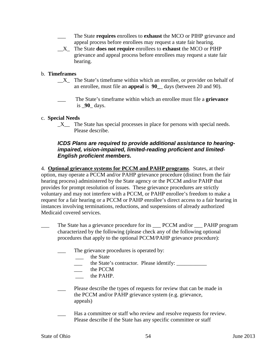- \_\_\_ The State **requires** enrollees to **exhaust** the MCO or PIHP grievance and appeal process before enrollees may request a state fair hearing.
- \_\_X\_ The State **does not require** enrollees to **exhaust** the MCO or PIHP grievance and appeal process before enrollees may request a state fair hearing.

## b. **Timeframes**

- $X_{\text{max}}$  The State's timeframe within which an enrollee, or provider on behalf of an enrollee, must file an **appeal** is **90\_**\_ days (between 20 and 90).
- \_\_\_ The State's timeframe within which an enrollee must file a **grievance** is \_**90**\_ days.

#### c. **Special Needs**

 $X$  The State has special processes in place for persons with special needs. Please describe.

### *ICDS Plans are required to provide additional assistance to hearingimpaired, vision-impaired, limited-reading proficient and limited-English proficient members.*

4. **Optional grievance systems for PCCM and PAHP programs**. States, at their option, may operate a PCCM and/or PAHP grievance procedure (distinct from the fair hearing process) administered by the State agency or the PCCM and/or PAHP that provides for prompt resolution of issues. These grievance procedures are strictly voluntary and may not interfere with a PCCM, or PAHP enrollee's freedom to make a request for a fair hearing or a PCCM or PAHP enrollee's direct access to a fair hearing in instances involving terminations, reductions, and suspensions of already authorized Medicaid covered services.

- The State has a grievance procedure for its \_\_\_ PCCM and/or \_\_\_ PAHP program characterized by the following (please check any of the following optional procedures that apply to the optional PCCM/PAHP grievance procedure):
	- The grievance procedures is operated by:
		- the State
		- \_\_\_ the State's contractor. Please identify: \_\_\_\_\_\_\_\_\_\_\_
			- the PCCM
			- \_\_\_ the PAHP.
	- Please describe the types of requests for review that can be made in the PCCM and/or PAHP grievance system (e.g. grievance, appeals)
	- Has a committee or staff who review and resolve requests for review. Please describe if the State has any specific committee or staff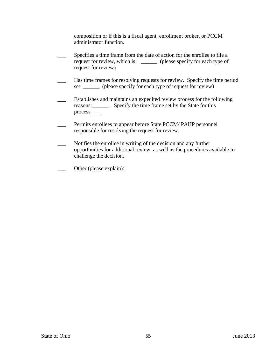composition or if this is a fiscal agent, enrollment broker, or PCCM administrator function.

- Specifies a time frame from the date of action for the enrollee to file a request for review, which is: \_\_\_\_\_\_ (please specify for each type of request for review) Has time frames for resolving requests for review. Specify the time period set: \_\_\_\_\_\_ (please specify for each type of request for review) \_\_\_ Establishes and maintains an expedited review process for the following reasons:\_\_\_\_\_\_ . Specify the time frame set by the State for this process\_\_\_\_ Permits enrollees to appear before State PCCM/ PAHP personnel responsible for resolving the request for review. Notifies the enrollee in writing of the decision and any further opportunities for additional review, as well as the procedures available to challenge the decision. Other (please explain):
-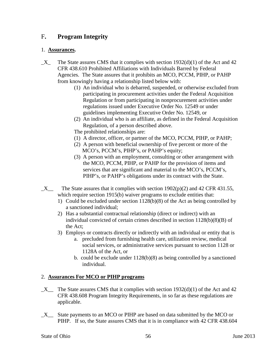# F**. Program Integrity**

## 1. **Assurances.**

- $X$  The State assures CMS that it complies with section 1932(d)(1) of the Act and 42 CFR 438.610 Prohibited Affiliations with Individuals Barred by Federal Agencies. The State assures that it prohibits an MCO, PCCM, PIHP, or PAHP from knowingly having a relationship listed below with:
	- (1) An individual who is debarred, suspended, or otherwise excluded from participating in procurement activities under the Federal Acquisition Regulation or from participating in nonprocurement activities under regulations issued under Executive Order No. 12549 or under guidelines implementing Executive Order No. 12549, or
	- (2) An individual who is an affiliate, as defined in the Federal Acquisition Regulation, of a person described above.
	- The prohibited relationships are:
	- (1) A director, officer, or partner of the MCO, PCCM, PIHP, or PAHP;
	- (2) A person with beneficial ownership of five percent or more of the MCO's, PCCM's, PIHP's, or PAHP's equity;
	- (3) A person with an employment, consulting or other arrangement with the MCO, PCCM, PIHP, or PAHP for the provision of items and services that are significant and material to the MCO's, PCCM's, PIHP's, or PAHP's obligations under its contract with the State.
- $X$  The State assures that it complies with section 1902(p)(2) and 42 CFR 431.55, which require section 1915(b) waiver programs to exclude entities that:
	- 1) Could be excluded under section 1128(b)(8) of the Act as being controlled by a sanctioned individual;
	- 2) Has a substantial contractual relationship (direct or indirect) with an individual convicted of certain crimes described in section 1128(b)(8)(B) of the Act;
	- 3) Employs or contracts directly or indirectly with an individual or entity that is
		- a. precluded from furnishing health care, utilization review, medical social services, or administrative services pursuant to section 1128 or 1128A of the Act, or
		- b. could be exclude under 1128(b)(8) as being controlled by a sanctioned individual.

## 2. **Assurances For MCO or PIHP programs**

- $X$  The State assures CMS that it complies with section 1932(d)(1) of the Act and 42 CFR 438.608 Program Integrity Requirements, in so far as these regulations are applicable.
- \_X\_\_ State payments to an MCO or PIHP are based on data submitted by the MCO or PIHP. If so, the State assures CMS that it is in compliance with 42 CFR 438.604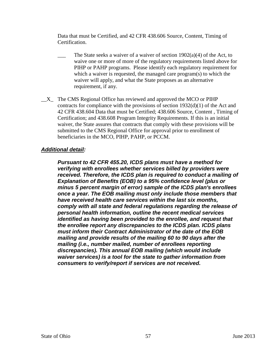Data that must be Certified, and 42 CFR 438.606 Source, Content, Timing of Certification.

- The State seeks a waiver of a waiver of section  $1902(a)(4)$  of the Act, to waive one or more of more of the regulatory requirements listed above for PIHP or PAHP programs. Please identify each regulatory requirement for which a waiver is requested, the managed care program(s) to which the waiver will apply, and what the State proposes as an alternative requirement, if any.
- $X_{\text{max}}$  The CMS Regional Office has reviewed and approved the MCO or PIHP contracts for compliance with the provisions of section 1932(d)(1) of the Act and 42 CFR 438.604 Data that must be Certified; 438.606 Source, Content , Timing of Certification; and 438.608 Program Integrity Requirements. If this is an initial waiver, the State assures that contracts that comply with these provisions will be submitted to the CMS Regional Office for approval prior to enrollment of beneficiaries in the MCO, PIHP, PAHP, or PCCM.

## *Additional detail:*

*Pursuant to 42 CFR 455.20, ICDS plans must have a method for verifying with enrollees whether services billed by providers were received. Therefore, the ICDS plan is required to conduct a mailing of Explanation of Benefits (EOB) to a 95% confidence level (plus or minus 5 percent margin of error) sample of the ICDS plan's enrollees once a year. The EOB mailing must only include those members that have received health care services within the last six months, comply with all state and federal regulations regarding the release of personal health information, outline the recent medical services identified as having been provided to the enrollee, and request that the enrollee report any discrepancies to the ICDS plan. ICDS plans must inform their Contract Administrator of the date of the EOB mailing and provide results of the mailing 60 to 90 days after the mailing (i.e., number mailed, number of enrollees reporting discrepancies). This annual EOB mailing (which would include waiver services) is a tool for the state to gather information from consumers to verify/report if services are not received.*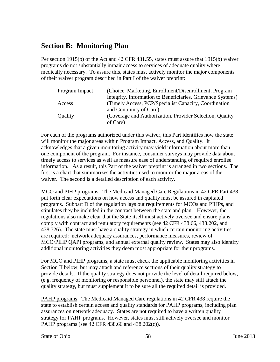# **Section B: Monitoring Plan**

Per section 1915(b) of the Act and 42 CFR 431.55, states must assure that 1915(b) waiver programs do not substantially impair access to services of adequate quality where medically necessary. To assure this, states must actively monitor the major components of their waiver program described in Part I of the waiver preprint:

| Program Impact | (Choice, Marketing, Enrollment/Disenrollment, Program       |
|----------------|-------------------------------------------------------------|
|                | Integrity, Information to Beneficiaries, Grievance Systems) |
| Access         | (Timely Access, PCP/Specialist Capacity, Coordination)      |
|                | and Continuity of Care)                                     |
| <b>Quality</b> | (Coverage and Authorization, Provider Selection, Quality)   |
|                | of Care)                                                    |

For each of the programs authorized under this waiver, this Part identifies how the state will monitor the major areas within Program Impact, Access, and Quality. It acknowledges that a given monitoring activity may yield information about more than one component of the program. For instance, consumer surveys may provide data about timely access to services as well as measure ease of understanding of required enrollee information. As a result, this Part of the waiver preprint is arranged in two sections. The first is a chart that summarizes the activities used to monitor the major areas of the waiver. The second is a detailed description of each activity.

MCO and PIHP programs. The Medicaid Managed Care Regulations in 42 CFR Part 438 put forth clear expectations on how access and quality must be assured in capitated programs. Subpart D of the regulation lays out requirements for MCOs and PIHPs, and stipulates they be included in the contract between the state and plan. However, the regulations also make clear that the State itself must actively oversee and ensure plans comply with contract and regulatory requirements (see 42 CFR 438.66, 438.202, and 438.726). The state must have a quality strategy in which certain monitoring activities are required: network adequacy assurances, performance measures, review of MCO/PIHP QAPI programs, and annual external quality review. States may also identify additional monitoring activities they deem most appropriate for their programs.

For MCO and PIHP programs, a state must check the applicable monitoring activities in Section II below, but may attach and reference sections of their quality strategy to provide details. If the quality strategy does not provide the level of detail required below, (e.g. frequency of monitoring or responsible personnel), the state may still attach the quality strategy, but must supplement it to be sure all the required detail is provided.

PAHP programs. The Medicaid Managed Care regulations in 42 CFR 438 require the state to establish certain access and quality standards for PAHP programs, including plan assurances on network adequacy. States are not required to have a written quality strategy for PAHP programs. However, states must still actively oversee and monitor PAHP programs (see 42 CFR 438.66 and 438.202(c)).

State of Ohio 58 June 2013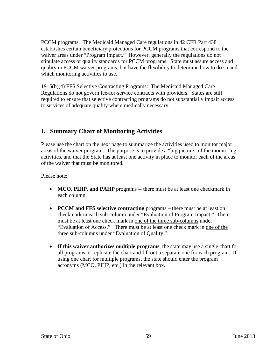PCCM programs. The Medicaid Managed Care regulations in 42 CFR Part 438 establishes certain beneficiary protections for PCCM programs that correspond to the waiver areas under "Program Impact." However, generally the regulations do not stipulate access or quality standards for PCCM programs. State must assure access and quality in PCCM waiver programs, but have the flexibility to determine how to do so and which monitoring activities to use.

1915(b)(4) FFS Selective Contracting Programs: The Medicaid Managed Care Regulations do not govern fee-for-service contracts with providers. States are still required to ensure that selective contracting programs do not substantially impair access to services of adequate quality where medically necessary.

## **I. Summary Chart of Monitoring Activities**

Please use the chart on the next page to summarize the activities used to monitor major areas of the waiver program. The purpose is to provide a "big picture" of the monitoring activities, and that the State has at least one activity in place to monitor each of the areas of the waiver that must be monitored.

Please note:

- **MCO, PIHP, and PAHP** programs -- there must be at least one checkmark in each column.
- **PCCM and FFS selective contracting** programs there must be at least on checkmark in each sub-column under "Evaluation of Program Impact." There must be at least one check mark in one of the three sub-columns under "Evaluation of Access." There must be at least one check mark in one of the three sub-columns under "Evaluation of Quality."
- **If this waiver authorizes multiple programs**, the state may use a single chart for all programs or replicate the chart and fill out a separate one for each program. If using one chart for multiple programs, the state should enter the program acronyms (MCO, PIHP, etc.) in the relevant box.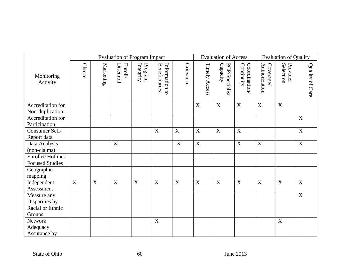|                                    | <b>Evaluation of Program Impact</b> |             |                                             |                      |                                 |             |               | <b>Evaluation of Access</b> |                            |                           | <b>Evaluation of Quality</b> |                 |  |
|------------------------------------|-------------------------------------|-------------|---------------------------------------------|----------------------|---------------------------------|-------------|---------------|-----------------------------|----------------------------|---------------------------|------------------------------|-----------------|--|
| Monitoring<br>Activity             | <b>Choice</b>                       | Marketing   | $\ensuremath{\mathsf{Enroll}}$<br>Disenroll | Program<br>Integrity | Information to<br>Beneficiaries | Grievance   | Timely Access | PCP/Specialist<br>Capacity  | Coordination<br>Continuity | Coverage<br>Authorization | Provider<br>Selection        | Quality of Care |  |
| Accreditation for                  |                                     |             |                                             |                      |                                 |             | $\mathbf X$   | $\mathbf X$                 | $\mathbf X$                | $\overline{X}$            | $\mathbf X$                  |                 |  |
| Non-duplication                    |                                     |             |                                             |                      |                                 |             |               |                             |                            |                           |                              |                 |  |
| Accreditation for<br>Participation |                                     |             |                                             |                      |                                 |             |               |                             |                            |                           |                              | X               |  |
| Consumer Self-                     |                                     |             |                                             |                      | X                               | X           | X             | X                           | X                          |                           |                              | X               |  |
| Report data                        |                                     |             |                                             |                      |                                 |             |               |                             |                            |                           |                              |                 |  |
| Data Analysis                      |                                     |             | $\boldsymbol{X}$                            |                      |                                 | $\mathbf X$ | X             |                             | X                          | X                         |                              | X               |  |
| (non-claims)                       |                                     |             |                                             |                      |                                 |             |               |                             |                            |                           |                              |                 |  |
| <b>Enrollee Hotlines</b>           |                                     |             |                                             |                      |                                 |             |               |                             |                            |                           |                              |                 |  |
| <b>Focused Studies</b>             |                                     |             |                                             |                      |                                 |             |               |                             |                            |                           |                              |                 |  |
| Geographic                         |                                     |             |                                             |                      |                                 |             |               |                             |                            |                           |                              |                 |  |
| mapping                            |                                     |             |                                             |                      |                                 |             |               |                             |                            |                           |                              |                 |  |
| Independent                        | $\mathbf X$                         | $\mathbf X$ | X                                           | X                    | $\mathbf X$                     | X           | $\mathbf X$   | $\mathbf X$                 | $\mathbf X$                | $\mathbf X$               | $\mathbf X$                  | $\mathbf X$     |  |
| Assessment                         |                                     |             |                                             |                      |                                 |             |               |                             |                            |                           |                              |                 |  |
| Measure any                        |                                     |             |                                             |                      |                                 |             |               |                             |                            |                           |                              | X               |  |
| Disparities by                     |                                     |             |                                             |                      |                                 |             |               |                             |                            |                           |                              |                 |  |
| Racial or Ethnic                   |                                     |             |                                             |                      |                                 |             |               |                             |                            |                           |                              |                 |  |
| Groups                             |                                     |             |                                             |                      |                                 |             |               |                             |                            |                           |                              |                 |  |
| Network                            |                                     |             |                                             |                      | X                               |             |               |                             |                            |                           | X                            |                 |  |
| Adequacy                           |                                     |             |                                             |                      |                                 |             |               |                             |                            |                           |                              |                 |  |
| Assurance by                       |                                     |             |                                             |                      |                                 |             |               |                             |                            |                           |                              |                 |  |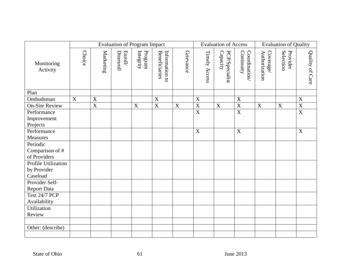|                        | <b>Evaluation of Program Impact</b> |                       |                                           |                      |                                        |                  |  |                  | <b>Evaluation of Access</b> |                            |                           | <b>Evaluation of Quality</b> |                 |  |
|------------------------|-------------------------------------|-----------------------|-------------------------------------------|----------------------|----------------------------------------|------------------|--|------------------|-----------------------------|----------------------------|---------------------------|------------------------------|-----------------|--|
| Monitoring<br>Activity | <b>Choice</b>                       | Marketing             | Disenroll<br>$\ensuremath{\text{Enroll}}$ | Program<br>Integrity | <b>Beneficiaries</b><br>Information to | Grievance        |  | Timely Access    | PCP/Specialist<br>Capacity  | Continuity<br>Coordination | Coverage<br>Authorization | Provider<br>Selection        | Quality of Care |  |
| Plan                   |                                     |                       |                                           |                      |                                        |                  |  |                  |                             |                            |                           |                              |                 |  |
| Ombudsman              | $\mathbf X$                         | $\mathbf X$           |                                           |                      | $\mathbf X$                            |                  |  | X                |                             | $\boldsymbol{\mathrm{X}}$  |                           |                              | X               |  |
| <b>On-Site Review</b>  |                                     | $\overline{\text{X}}$ |                                           | X                    | $\overline{X}$                         | $\boldsymbol{X}$ |  | $\mathbf X$      | X                           | $\overline{X}$             | X                         | X                            | $\mathbf X$     |  |
| Performance            |                                     |                       |                                           |                      |                                        |                  |  | $\overline{X}$   |                             | $\overline{X}$             |                           |                              | $\overline{X}$  |  |
| Improvement            |                                     |                       |                                           |                      |                                        |                  |  |                  |                             |                            |                           |                              |                 |  |
| Projects               |                                     |                       |                                           |                      |                                        |                  |  |                  |                             |                            |                           |                              |                 |  |
| Performance            |                                     |                       |                                           |                      |                                        |                  |  | $\boldsymbol{X}$ |                             | X                          |                           |                              | X               |  |
| Measures               |                                     |                       |                                           |                      |                                        |                  |  |                  |                             |                            |                           |                              |                 |  |
| Periodic               |                                     |                       |                                           |                      |                                        |                  |  |                  |                             |                            |                           |                              |                 |  |
| Comparison of #        |                                     |                       |                                           |                      |                                        |                  |  |                  |                             |                            |                           |                              |                 |  |
| of Providers           |                                     |                       |                                           |                      |                                        |                  |  |                  |                             |                            |                           |                              |                 |  |
| Profile Utilization    |                                     |                       |                                           |                      |                                        |                  |  |                  |                             |                            |                           |                              |                 |  |
| by Provider            |                                     |                       |                                           |                      |                                        |                  |  |                  |                             |                            |                           |                              |                 |  |
| Caseload               |                                     |                       |                                           |                      |                                        |                  |  |                  |                             |                            |                           |                              |                 |  |
| Provider Self-         |                                     |                       |                                           |                      |                                        |                  |  |                  |                             |                            |                           |                              |                 |  |
| <b>Report Data</b>     |                                     |                       |                                           |                      |                                        |                  |  |                  |                             |                            |                           |                              |                 |  |
| <b>Test 24/7 PCP</b>   |                                     |                       |                                           |                      |                                        |                  |  |                  |                             |                            |                           |                              |                 |  |
| Availability           |                                     |                       |                                           |                      |                                        |                  |  |                  |                             |                            |                           |                              |                 |  |
| Utilization            |                                     |                       |                                           |                      |                                        |                  |  |                  |                             |                            |                           |                              |                 |  |
| Review                 |                                     |                       |                                           |                      |                                        |                  |  |                  |                             |                            |                           |                              |                 |  |
|                        |                                     |                       |                                           |                      |                                        |                  |  |                  |                             |                            |                           |                              |                 |  |
| Other: (describe)      |                                     |                       |                                           |                      |                                        |                  |  |                  |                             |                            |                           |                              |                 |  |
|                        |                                     |                       |                                           |                      |                                        |                  |  |                  |                             |                            |                           |                              |                 |  |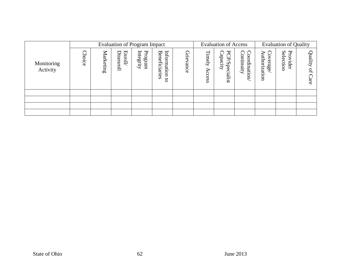|                        |                       |           |                            | <b>Evaluation of Program Impact</b> |                                                         | <b>Evaluation of Access</b> |                                             |                                       | <b>Evaluation of Quality</b>             |                                  |                                                  |                               |
|------------------------|-----------------------|-----------|----------------------------|-------------------------------------|---------------------------------------------------------|-----------------------------|---------------------------------------------|---------------------------------------|------------------------------------------|----------------------------------|--------------------------------------------------|-------------------------------|
| Monitoring<br>Activity | hoice<br><sup>1</sup> | Marketing | <b>Enroll</b><br>Disenroll | Program<br>Integrity                | Information<br>Benefi<br>ciarie<br>Ö۵<br>$\overline{5}$ | Grie<br>ance                | $\overline{\phantom{0}}$<br>imely<br>Access | PCP/Specialist<br>$\Omega$<br>apacity | $\Omega$<br>Coordinati<br>ontinuity<br>C | Authori<br>O<br>erage,<br>ration | Sele<br>$\overline{\mathbf{d}}$<br>ction<br>ider | Quality<br>$\mathbf{q}$<br>ЯÉ |
|                        |                       |           |                            |                                     |                                                         |                             |                                             |                                       |                                          |                                  |                                                  |                               |
|                        |                       |           |                            |                                     |                                                         |                             |                                             |                                       |                                          |                                  |                                                  |                               |
|                        |                       |           |                            |                                     |                                                         |                             |                                             |                                       |                                          |                                  |                                                  |                               |
|                        |                       |           |                            |                                     |                                                         |                             |                                             |                                       |                                          |                                  |                                                  |                               |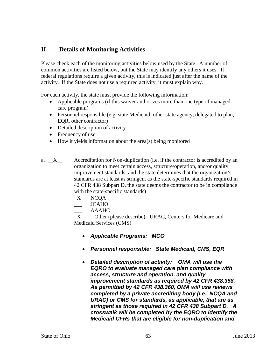# **II. Details of Monitoring Activities**

Please check each of the monitoring activities below used by the State. A number of common activities are listed below, but the State may identify any others it uses. If federal regulations require a given activity, this is indicated just after the name of the activity. If the State does not use a required activity, it must explain why.

For each activity, the state must provide the following information:

- Applicable programs (if this waiver authorizes more than one type of managed care program)
- Personnel responsible (e.g. state Medicaid, other state agency, delegated to plan, EQR, other contractor)
- Detailed description of activity
- Frequency of use
- How it yields information about the area(s) being monitored

a.  $\bar{X}$  Accreditation for Non-duplication (i.e. if the contractor is accredited by an organization to meet certain access, structure/operation, and/or quality improvement standards, and the state determines that the organization's standards are at least as stringent as the state-specific standards required in 42 CFR 438 Subpart D, the state deems the contractor to be in compliance with the state-specific standards)

- $X$ <sup> $NCA$ </sup>
- \_\_\_ JCAHO
	- \_\_\_ AAAHC

X Other (please describe): URAC, Centers for Medicare and Medicaid Services (CMS)

- *Applicable Programs: MCO*
- *Personnel responsible: State Medicaid, CMS, EQR*
- *Detailed description of activity: OMA will use the EQRO to evaluate managed care plan compliance with access, structure and operation, and quality improvement standards as required by 42 CFR 438.358. As permitted by 42 CFR 438.360, OMA will use reviews completed by a private accrediting body (i.e., NCQA and URAC) or CMS for standards, as applicable, that are as stringent as those required in 42 CFR 438 Subpart D. A crosswalk will be completed by the EQRO to identify the Medicaid CFRs that are eligible for non-duplication and*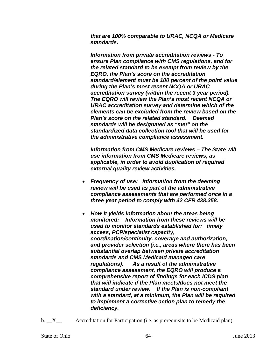*that are 100% comparable to URAC, NCQA or Medicare standards.* 

*Information from private accreditation reviews - To ensure Plan compliance with CMS regulations, and for the related standard to be exempt from review by the EQRO, the Plan's score on the accreditation standard/element must be 100 percent of the point value during the Plan's most recent NCQA or URAC accreditation survey (within the recent 3 year period). The EQRO will review the Plan's most recent NCQA or URAC accreditation survey and determine which of the elements can be excluded from the review based on the Plan's score on the related standard. Deemed standards will be designated as "met" on the standardized data collection tool that will be used for the administrative compliance assessment.* 

*Information from CMS Medicare reviews – The State will use information from CMS Medicare reviews, as applicable, in order to avoid duplication of required external quality review activities.* 

- *Frequency of use: Information from the deeming review will be used as part of the administrative compliance assessments that are performed once in a three year period to comply with 42 CFR 438.358.*
- *How it yields information about the areas being monitored: Information from these reviews will be used to monitor standards established for: timely access, PCP/specialist capacity, coordination/continuity, coverage and authorization, and provider selection (i.e., areas where there has been substantial overlap between private accreditation standards and CMS Medicaid managed care regulations). As a result of the administrative compliance assessment, the EQRO will produce a comprehensive report of findings for each ICDS plan that will indicate if the Plan meets/does not meet the standard under review. If the Plan is non-compliant with a standard, at a minimum, the Plan will be required to implement a corrective action plan to remedy the deficiency.*
- b.  $X$  Accreditation for Participation (i.e. as prerequisite to be Medicaid plan)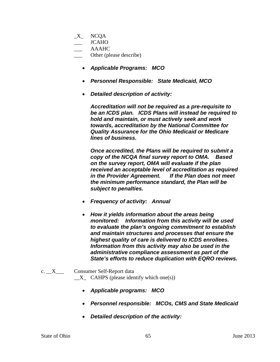- $X$  NCQA
- \_\_\_ JCAHO
- \_\_\_ AAAHC
- \_\_\_ Other (please describe)
	- *Applicable Programs: MCO*
	- *Personnel Responsible: State Medicaid, MCO*
	- *Detailed description of activity:*

*Accreditation will not be required as a pre-requisite to be an ICDS plan. ICDS Plans will instead be required to hold and maintain, or must actively seek and work towards, accreditation by the National Committee for Quality Assurance for the Ohio Medicaid or Medicare lines of business.* 

*Once accredited, the Plans will be required to submit a copy of the NCQA final survey report to OMA. Based on the survey report, OMA will evaluate if the plan received an acceptable level of accreditation as required in the Provider Agreement. If the Plan does not meet the minimum performance standard, the Plan will be subject to penalties.* 

- *Frequency of activity: Annual*
- *How it yields information about the areas being monitored: Information from this activity will be used to evaluate the plan's ongoing commitment to establish and maintain structures and processes that ensure the highest quality of care is delivered to ICDS enrollees. Information from this activity may also be used in the administrative compliance assessment as part of the State's efforts to reduce duplication with EQRO reviews.*
- c. X Consumer Self-Report data  $X$  CAHPS (please identify which one(s))
	- *Applicable programs: MCO*
	- *Personnel responsible: MCOs, CMS and State Medicaid*
	- *Detailed description of the activity:*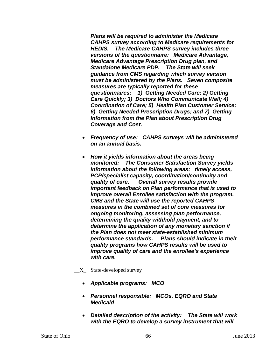*Plans will be required to administer the Medicare CAHPS survey according to Medicare requirements for HEDIS. The Medicare CAHPS survey includes three versions of the questionnaire: Medicare Advantage, Medicare Advantage Prescription Drug plan, and Standalone Medicare PDP. The State will seek guidance from CMS regarding which survey version must be administered by the Plans. Seven composite measures are typically reported for these questionnaires: 1) Getting Needed Care; 2) Getting Care Quickly; 3) Doctors Who Communicate Well; 4) Coordination of Care; 5) Health Plan Customer Service; 6) Getting Needed Prescription Drugs; and 7) Getting Information from the Plan about Prescription Drug Coverage and Cost.* 

- *Frequency of use: CAHPS surveys will be administered on an annual basis.*
- *How it yields information about the areas being monitored: The Consumer Satisfaction Survey yields information about the following areas: timely access, PCP/specialist capacity, coordination/continuity and quality of care. Overall survey results provide important feedback on Plan performance that is used to improve overall Enrollee satisfaction with the program. CMS and the State will use the reported CAHPS measures in the combined set of core measures for ongoing monitoring, assessing plan performance, determining the quality withhold payment, and to determine the application of any monetary sanction if the Plan does not meet state-established minimum performance standards. Plans should indicate in their quality programs how CAHPS results will be used to improve quality of care and the enrollee's experience with care.*
- $X_{\text{max}}$  State-developed survey
	- *Applicable programs: MCO*
	- *Personnel responsible: MCOs, EQRO and State Medicaid*
	- *Detailed description of the activity: The State will work with the EQRO to develop a survey instrument that will*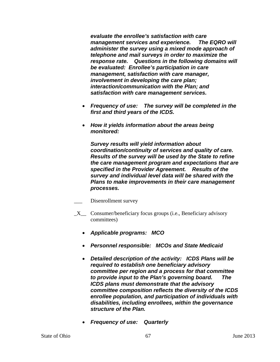*evaluate the enrollee's satisfaction with care management services and experience. The EQRO will administer the survey using a mixed mode approach of telephone and mail surveys in order to maximize the response rate. Questions in the following domains will be evaluated: Enrollee's participation in care management, satisfaction with care manager, involvement in developing the care plan; interaction/communication with the Plan; and satisfaction with care management services.* 

- *Frequency of use: The survey will be completed in the first and third years of the ICDS.*
- *How it yields information about the areas being monitored:*

*Survey results will yield information about coordination/continuity of services and quality of care. Results of the survey will be used by the State to refine the care management program and expectations that are specified in the Provider Agreement. Results of the survey and individual level data will be shared with the Plans to make improvements in their care management processes.*

- Disenrollment survey
- \_X\_\_ Consumer/beneficiary focus groups (i.e., Beneficiary advisory committees)
	- *Applicable programs: MCO*
	- *Personnel responsible: MCOs and State Medicaid*
	- *Detailed description of the activity: ICDS Plans will be required to establish one beneficiary advisory committee per region and a process for that committee to provide input to the Plan's governing board. The ICDS plans must demonstrate that the advisory committee composition reflects the diversity of the ICDS enrollee population, and participation of individuals with disabilities, including enrollees, within the governance structure of the Plan.*
	- *Frequency of use: Quarterly*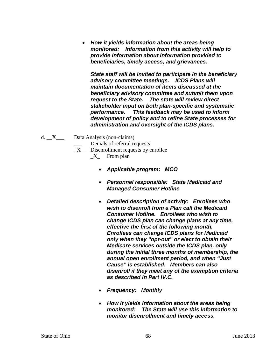• *How it yields information about the areas being monitored: Information from this activity will help to provide information about information provided to beneficiaries, timely access, and grievances.* 

*State staff will be invited to participate in the beneficiary advisory committee meetings. ICDS Plans will maintain documentation of items discussed at the beneficiary advisory committee and submit them upon request to the State. The state will review direct stakeholder input on both plan-specific and systematic performance. This feedback may be used to inform development of policy and to refine State processes for administration and oversight of the ICDS plans.*

- d. \_\_X\_\_\_ Data Analysis (non-claims)
	- Denials of referral requests
	- $X$  Disenrollment requests by enrollee
		- X From plan
			- *Applicable program: MCO*
			- *Personnel responsible: State Medicaid and Managed Consumer Hotline*
			- *Detailed description of activity: Enrollees who wish to disenroll from a Plan call the Medicaid Consumer Hotline. Enrollees who wish to change ICDS plan can change plans at any time, effective the first of the following month. Enrollees can change ICDS plans for Medicaid only when they "opt-out" or elect to obtain their Medicare services outside the ICDS plan, only during the initial three months of membership, the annual open enrollment period, and when "Just Cause" is established. Members can also disenroll if they meet any of the exemption criteria as described in Part IV.C.*
			- *Frequency: Monthly*
			- *How it yields information about the areas being monitored: The State will use this information to monitor disenrollment and timely access.*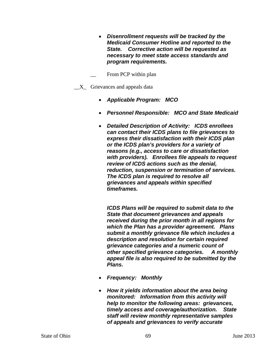• *Disenrollment requests will be tracked by the Medicaid Consumer Hotline and reported to the State. Corrective action will be requested as necessary to meet state access standards and program requirements.*

From PCP within plan

 $X_{\text{-}}$  Grievances and appeals data

- *Applicable Program: MCO*
- *Personnel Responsible: MCO and State Medicaid*
- *Detailed Description of Activity: ICDS enrollees can contact their ICDS plans to file grievances to express their dissatisfaction with their ICDS plan or the ICDS plan's providers for a variety of reasons (e.g., access to care or dissatisfaction with providers). Enrollees file appeals to request review of ICDS actions such as the denial, reduction, suspension or termination of services. The ICDS plan is required to resolve all grievances and appeals within specified timeframes.*

*ICDS Plans will be required to submit data to the State that document grievances and appeals received during the prior month in all regions for which the Plan has a provider agreement. Plans submit a monthly grievance file which includes a description and resolution for certain required grievance categories and a numeric count of other specified grievance categories. A monthly appeal file is also required to be submitted by the Plans.*

- *Frequency: Monthly*
- *How it yields information about the area being monitored: Information from this activity will help to monitor the following areas: grievances, timely access and coverage/authorization. State staff will review monthly representative samples of appeals and grievances to verify accurate*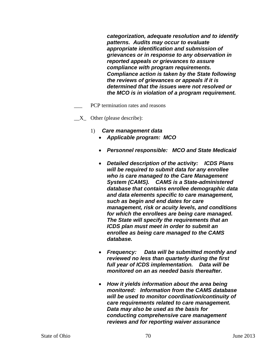*categorization, adequate resolution and to identify patterns. Audits may occur to evaluate appropriate identification and submission of grievances or in response to any observation in reported appeals or grievances to assure compliance with program requirements. Compliance action is taken by the State following the reviews of grievances or appeals if it is determined that the issues were not resolved or the MCO is in violation of a program requirement.*

- PCP termination rates and reasons
- $X_$  Other (please describe):
	- 1) *Care management data*
		- *Applicable program: MCO*
		- *Personnel responsible: MCO and State Medicaid*
		- *Detailed description of the activity: ICDS Plans will be required to submit data for any enrollee who is care managed to the Care Management System (CAMS). CAMS is a State-administered database that contains enrollee demographic data and data elements specific to care management, such as begin and end dates for care management, risk or acuity levels, and conditions for which the enrollees are being care managed. The State will specify the requirements that an ICDS plan must meet in order to submit an enrollee as being care managed to the CAMS database.*
		- *Frequency: Data will be submitted monthly and reviewed no less than quarterly during the first full year of ICDS implementation. Data will be monitored on an as needed basis thereafter.*
		- *How it yields information about the area being monitored: Information from the CAMS database will be used to monitor coordination/continuity of care requirements related to care management. Data may also be used as the basis for conducting comprehensive care management reviews and for reporting waiver assurance*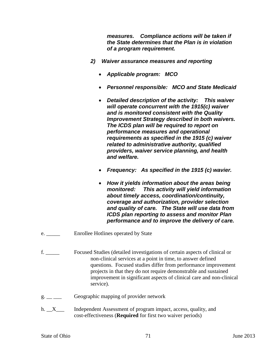*measures. Compliance actions will be taken if the State determines that the Plan is in violation of a program requirement.*

- *2) Waiver assurance measures and reporting*
	- *Applicable program: MCO*
	- *Personnel responsible: MCO and State Medicaid*
	- *Detailed description of the activity: This waiver will operate concurrent with the 1915(c) waiver and is monitored consistent with the Quality Improvement Strategy described in both waivers. The ICDS plan will be required to report on performance measures and operational requirements as specified in the 1915 (c) waiver related to administrative authority, qualified providers, waiver service planning, and health and welfare.*
	- *Frequency: As specified in the 1915 (c) wavier.*
	- *How it yields information about the areas being monitored: This activity will yield information about timely access, coordination/continuity, coverage and authorization, provider selection and quality of care. The State will use data from ICDS plan reporting to assess and monitor Plan performance and to improve the delivery of care.*
- e. <u>\_\_\_\_\_</u> Enrollee Hotlines operated by State
- f. \_\_\_\_\_ Focused Studies (detailed investigations of certain aspects of clinical or non-clinical services at a point in time, to answer defined questions. Focused studies differ from performance improvement projects in that they do not require demonstrable and sustained improvement in significant aspects of clinical care and non-clinical service).
- $g_{\text{max}} =$  Geographic mapping of provider network
- h. X<sub>\_\_</sub>\_ Independent Assessment of program impact, access, quality, and cost-effectiveness (**Required** for first two waiver periods)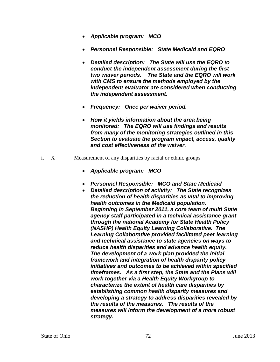- *Applicable program: MCO*
- *Personnel Responsible: State Medicaid and EQRO*
- *Detailed description: The State will use the EQRO to conduct the independent assessment during the first two waiver periods. The State and the EQRO will work with CMS to ensure the methods employed by the independent evaluator are considered when conducting the independent assessment.*
- *Frequency: Once per waiver period.*
- *How it yields information about the area being monitored: The EQRO will use findings and results from many of the monitoring strategies outlined in this Section to evaluate the program impact, access, quality and cost effectiveness of the waiver.*
- i.  $X$  Measurement of any disparities by racial or ethnic groups
	- *Applicable program: MCO*
	- *Personnel Responsible: MCO and State Medicaid*
	- *Detailed description of activity: The State recognizes the reduction of health disparities as vital to improving health outcomes in the Medicaid population. Beginning in September 2011, a core team of multi State agency staff participated in a technical assistance grant through the national Academy for State Health Policy (NASHP) Health Equity Learning Collaborative. The Learning Collaborative provided facilitated peer learning and technical assistance to state agencies on ways to reduce health disparities and advance health equity. The development of a work plan provided the initial framework and integration of health disparity policy initiatives and outcomes to be achieved within specified timeframes. As a first step, the State and the Plans will work together via a Health Equity Workgroup to characterize the extent of health care disparities by establishing common health disparity measures and developing a strategy to address disparities revealed by the results of the measures. The results of the measures will inform the development of a more robust strategy.*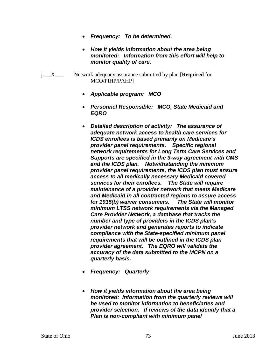- *Frequency: To be determined.*
- *How it yields information about the area being monitored: Information from this effort will help to monitor quality of care.*
- j. \_\_X\_\_\_ Network adequacy assurance submitted by plan [**Required** for MCO/PIHP/PAHP]
	- *Applicable program: MCO*
	- *Personnel Responsible: MCO, State Medicaid and EQRO*
	- *Detailed description of activity: The assurance of adequate network access to health care services for ICDS enrollees is based primarily on Medicare's provider panel requirements. Specific regional network requirements for Long Term Care Services and Supports are specified in the 3-way agreement with CMS and the ICDS plan. Notwithstanding the minimum provider panel requirements, the ICDS plan must ensure access to all medically necessary Medicaid covered services for their enrollees. The State will require maintenance of a provider network that meets Medicare and Medicaid in all contracted regions to assure access for 1915(b) waiver consumers. The State will monitor minimum LTSS network requirements via the Managed Care Provider Network, a database that tracks the number and type of providers in the ICDS plan's provider network and generates reports to indicate compliance with the State-specified minimum panel requirements that will be outlined in the ICDS plan provider agreement. The EQRO will validate the accuracy of the data submitted to the MCPN on a quarterly basis.*
	- *Frequency: Quarterly*
	- *How it yields information about the area being monitored: Information from the quarterly reviews will be used to monitor information to beneficiaries and provider selection. If reviews of the data identify that a Plan is non-compliant with minimum panel*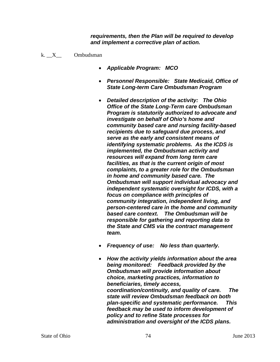*requirements, then the Plan will be required to develop and implement a corrective plan of action.* 

- k.  $X$  Ombudsman
	- *Applicable Program: MCO*
	- *Personnel Responsible: State Medicaid, Office of State Long-term Care Ombudsman Program*
	- *Detailed description of the activity: The Ohio Office of the State Long-Term care Ombudsman Program is statutorily authorized to advocate and investigate on behalf of Ohio's home and community based care and nursing facility-based recipients due to safeguard due process, and serve as the early and consistent means of identifying systematic problems. As the ICDS is implemented, the Ombudsman activity and resources will expand from long term care facilities, as that is the current origin of most complaints, to a greater role for the Ombudsman in home and community based care. The Ombudsman will support individual advocacy and independent systematic oversight for ICDS, with a focus on compliance with principles of community integration, independent living, and person-centered care in the home and community based care context. The Ombudsman will be responsible for gathering and reporting data to the State and CMS via the contract management team.*
	- *Frequency of use: No less than quarterly.*
	- *How the activity yields information about the area being monitored: Feedback provided by the Ombudsman will provide information about choice, marketing practices, information to beneficiaries, timely access, coordination/continuity, and quality of care. The state will review Ombudsman feedback on both plan-specific and systematic performance. This feedback may be used to inform development of policy and to refine State processes for administration and oversight of the ICDS plans.*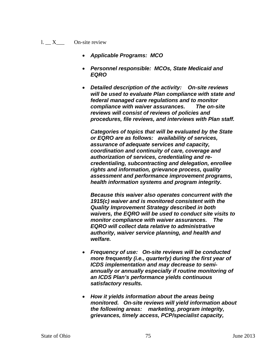- $l. X$  On-site review
	- *Applicable Programs: MCO*
	- *Personnel responsible: MCOs, State Medicaid and EQRO*
	- *Detailed description of the activity: On-site reviews will be used to evaluate Plan compliance with state and federal managed care regulations and to monitor compliance with waiver assurances. The on-site reviews will consist of reviews of policies and procedures, file reviews, and interviews with Plan staff.*

*Categories of topics that will be evaluated by the State or EQRO are as follows: availability of services, assurance of adequate services and capacity, coordination and continuity of care, coverage and authorization of services, credentialing and recredentialing, subcontracting and delegation, enrollee rights and information, grievance process, quality assessment and performance improvement programs, health information systems and program integrity.* 

*Because this waiver also operates concurrent with the 1915(c) waiver and is monitored consistent with the Quality Improvement Strategy described in both waivers, the EQRO will be used to conduct site visits to monitor compliance with waiver assurances. The EQRO will collect data relative to administrative authority, waiver service planning, and health and welfare.* 

- *Frequency of use: On-site reviews will be conducted more frequently (i.e., quarterly) during the first year of ICDS implementation and may decrease to semiannually or annually especially if routine monitoring of an ICDS Plan's performance yields continuous satisfactory results.*
- *How it yields information about the areas being monitored. On-site reviews will yield information about the following areas: marketing, program integrity, grievances, timely access, PCP/specialist capacity,*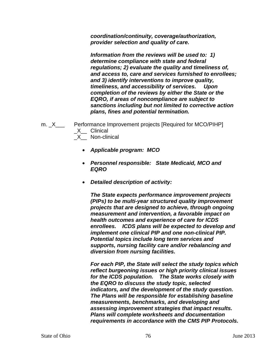*coordination/continuity, coverage/authorization, provider selection and quality of care.* 

*Information from the reviews will be used to: 1) determine compliance with state and federal regulations; 2) evaluate the quality and timeliness of, and access to, care and services furnished to enrollees; and 3) identify interventions to improve quality, timeliness, and accessibility of services. Upon completion of the reviews by either the State or the EQRO, if areas of noncompliance are subject to sanctions including but not limited to corrective action plans, fines and potential termination.* 

- m. X\_\_\_ Performance Improvement projects [Required for MCO/PIHP] \_X\_\_ Clinical \_X\_\_ Non-clinical
	- *Applicable program: MCO*
	- *Personnel responsible: State Medicaid, MCO and EQRO*
	- *Detailed description of activity:*

*The State expects performance improvement projects (PIPs) to be multi-year structured quality improvement projects that are designed to achieve, through ongoing measurement and intervention, a favorable impact on health outcomes and experience of care for ICDS enrollees. ICDS plans will be expected to develop and implement one clinical PIP and one non-clinical PIP. Potential topics include long term services and supports, nursing facility care and/or rebalancing and diversion from nursing facilities.*

*For each PIP, the State will select the study topics which reflect burgeoning issues or high priority clinical issues for the ICDS population. The State works closely with the EQRO to discuss the study topic, selected indicators, and the development of the study question. The Plans will be responsible for establishing baseline measurements, benchmarks, and developing and assessing improvement strategies that impact results. Plans will complete worksheets and documentation requirements in accordance with the CMS PIP Protocols.*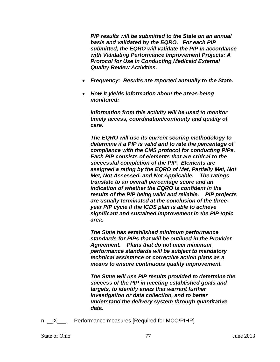*PIP results will be submitted to the State on an annual basis and validated by the EQRO. For each PIP submitted, the EQRO will validate the PIP in accordance with Validating Performance Improvement Projects: A Protocol for Use in Conducting Medicaid External Quality Review Activities.* 

- *Frequency: Results are reported annually to the State.*
- *How it yields information about the areas being monitored:*

*Information from this activity will be used to monitor timely access, coordination/continuity and quality of care.* 

*The EQRO will use its current scoring methodology to determine if a PIP is valid and to rate the percentage of compliance with the CMS protocol for conducting PIPs. Each PIP consists of elements that are critical to the successful completion of the PIP. Elements are assigned a rating by the EQRO of Met, Partially Met, Not Met, Not Assessed, and Not Applicable. The ratings translate to an overall percentage score and an indication of whether the EQRO is confident in the results of the PIP being valid and reliable. PIP projects are usually terminated at the conclusion of the threeyear PIP cycle if the ICDS plan is able to achieve significant and sustained improvement in the PIP topic area.*

*The State has established minimum performance standards for PIPs that will be outlined in the Provider Agreement. Plans that do not meet minimum performance standards will be subject to mandatory technical assistance or corrective action plans as a means to ensure continuous quality improvement.*

*The State will use PIP results provided to determine the success of the PIP in meeting established goals and targets, to identify areas that warrant further investigation or data collection, and to better understand the delivery system through quantitative data.* 

n. X Performance measures [Required for MCO/PIHP]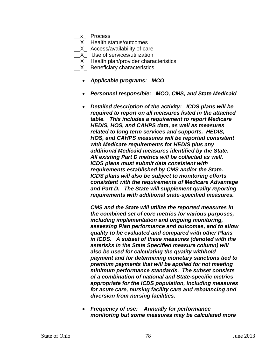\_\_x\_ Process

X Health status/outcomes

- \_\_X\_ Access/availability of care
- \_\_X\_ Use of services/utilization
- X Health plan/provider characteristics
- **X\_ Beneficiary characteristics** 
	- *Applicable programs: MCO*
	- *Personnel responsible: MCO, CMS, and State Medicaid*
	- *Detailed description of the activity: ICDS plans will be required to report on all measures listed in the attached table. This includes a requirement to report Medicare HEDIS, HOS, and CAHPS data, as well as measures related to long term services and supports. HEDIS, HOS, and CAHPS measures will be reported consistent with Medicare requirements for HEDIS plus any additional Medicaid measures identified by the State. All existing Part D metrics will be collected as well. ICDS plans must submit data consistent with requirements established by CMS and/or the State. ICDS plans will also be subject to monitoring efforts consistent with the requirements of Medicare Advantage and Part D. The State will supplement quality reporting requirements with additional state-specified measures.*

*CMS and the State will utilize the reported measures in the combined set of core metrics for various purposes, including implementation and ongoing monitoring, assessing Plan performance and outcomes, and to allow quality to be evaluated and compared with other Plans in ICDS. A subset of these measures (denoted with the asterisks in the State Specified measure column) will also be used for calculating the quality withhold payment and for determining monetary sanctions tied to premium payments that will be applied for not meeting minimum performance standards. The subset consists of a combination of national and State-specific metrics appropriate for the ICDS population, including measures for acute care, nursing facility care and rebalancing and diversion from nursing facilities.*

• *Frequency of use: Annually for performance monitoring but some measures may be calculated more*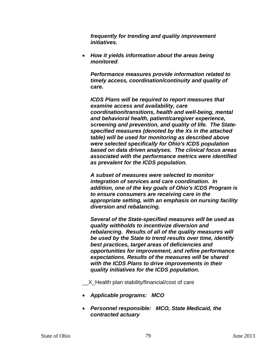*frequently for trending and quality improvement initiatives.*

• *How it yields information about the areas being monitored:* 

*Performance measures provide information related to timely access, coordination/continuity and quality of care.* 

*ICDS Plans will be required to report measures that examine access and availability, care coordination/transitions, health and well-being, mental and behavioral health, patient/caregiver experience, screening and prevention, and quality of life. The Statespecified measures (denoted by the Xs in the attached table) will be used for monitoring as described above were selected specifically for Ohio's ICDS population based on data driven analyses. The clinical focus areas associated with the performance metrics were identified as prevalent for the ICDS population.* 

*A subset of measures were selected to monitor integration of services and care coordination. In addition, one of the key goals of Ohio's ICDS Program is to ensure consumers are receiving care in the appropriate setting, with an emphasis on nursing facility diversion and rebalancing.* 

*Several of the State-specified measures will be used as quality withholds to incentivize diversion and rebalancing. Results of all of the quality measures will be used by the State to trend results over time, identify best practices, target areas of deficiencies and opportunities for improvement, and refine performance expectations. Results of the measures will be shared with the ICDS Plans to drive improvements in their quality initiatives for the ICDS population.*

X Health plan stability/financial/cost of care

- *Applicable programs: MCO*
- *Personnel responsible: MCO, State Medicaid, the contracted actuary*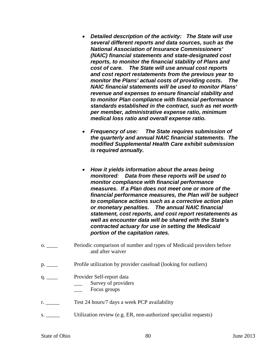- *Detailed description of the activity: The State will use several different reports and data sources, such as the National Association of Insurance Commissioners' (NAIC) financial statements and state-designated cost reports, to monitor the financial stability of Plans and cost of care. The State will use annual cost reports and cost report restatements from the previous year to monitor the Plans' actual costs of providing costs. The NAIC financial statements will be used to monitor Plans' revenue and expenses to ensure financial stability and to monitor Plan compliance with financial performance standards established in the contract, such as net worth per member, administrative expense ratio, minimum medical loss ratio and overall expense ratio.*
- *Frequency of use: The State requires submission of the quarterly and annual NAIC financial statements. The modified Supplemental Health Care exhibit submission is required annually.*
- *How it yields information about the areas being monitored: Data from these reports will be used to monitor compliance with financial performance measures. If a Plan does not meet one or more of the financial performance measures, the Plan will be subject to compliance actions such as a corrective action plan or monetary penalties. The annual NAIC financial statement, cost reports, and cost report restatements as well as encounter data will be shared with the State's contracted actuary for use in setting the Medicaid portion of the capitation rates.*
- o. \_\_\_\_ Periodic comparison of number and types of Medicaid providers before and after waiver
- p. \_\_\_\_ Profile utilization by provider caseload (looking for outliers)
- q. \_\_\_\_ Provider Self-report data
	- \_\_\_ Survey of providers
	- Focus groups
- r. Test 24 hours/7 days a week PCP availability
- s. Utilization review (e.g. ER, non-authorized specialist requests)

State of Ohio 80 June 2013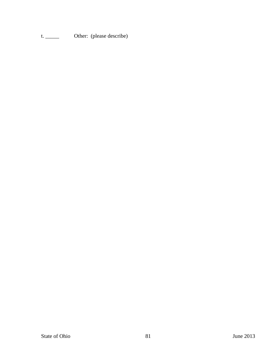t. \_\_\_\_\_\_\_ Other: (please describe)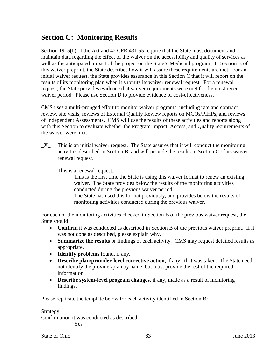# **Section C: Monitoring Results**

Section 1915(b) of the Act and 42 CFR 431.55 require that the State must document and maintain data regarding the effect of the waiver on the accessibility and quality of services as well as the anticipated impact of the project on the State's Medicaid program. In Section B of this waiver preprint, the State describes how it will assure these requirements are met. For an initial waiver request, the State provides assurance in this Section C that it will report on the results of its monitoring plan when it submits its waiver renewal request. For a renewal request, the State provides evidence that waiver requirements were met for the most recent waiver period. Please use Section D to provide evidence of cost-effectiveness.

CMS uses a multi-pronged effort to monitor waiver programs, including rate and contract review, site visits, reviews of External Quality Review reports on MCOs/PIHPs, and reviews of Independent Assessments. CMS will use the results of these activities and reports along with this Section to evaluate whether the Program Impact, Access, and Quality requirements of the waiver were met.

 $X$  This is an initial waiver request. The State assures that it will conduct the monitoring activities described in Section B, and will provide the results in Section C of its waiver renewal request.

\_\_\_ This is a renewal request.

- This is the first time the State is using this waiver format to renew an existing waiver. The State provides below the results of the monitoring activities conducted during the previous waiver period.
- The State has used this format previously, and provides below the results of monitoring activities conducted during the previous waiver.

For each of the monitoring activities checked in Section B of the previous waiver request, the State should:

- **Confirm** it was conducted as described in Section B of the previous waiver preprint. If it was not done as described, please explain why.
- **Summarize the results** or findings of each activity. CMS may request detailed results as appropriate.
- **Identify problems** found, if any.
- **Describe plan/provider-level corrective action**, if any, that was taken. The State need not identify the provider/plan by name, but must provide the rest of the required information.
- **Describe system-level program changes**, if any, made as a result of monitoring findings.

Please replicate the template below for each activity identified in Section B:

Strategy:

Confirmation it was conducted as described:

\_\_\_ Yes

State of Ohio 83 June 2013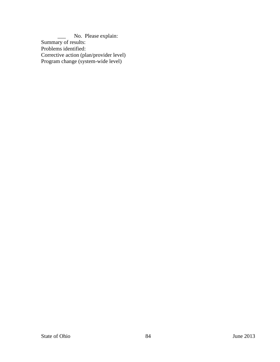\_\_\_ No. Please explain: Summary of results: Problems identified: Corrective action (plan/provider level) Program change (system-wide level)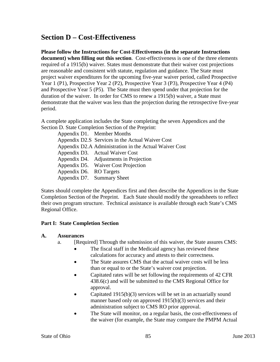## **Section D – Cost-Effectiveness**

## **Please follow the Instructions for Cost-Effectiveness (in the separate Instructions**

**document) when filling out this section**. Cost-effectiveness is one of the three elements required of a 1915(b) waiver. States must demonstrate that their waiver cost projections are reasonable and consistent with statute, regulation and guidance. The State must project waiver expenditures for the upcoming five-year waiver period, called Prospective Year 1 (P1), Prospective Year 2 (P2), Prospective Year 3 (P3), Prospective Year 4 (P4) and Prospective Year 5 (P5). The State must then spend under that projection for the duration of the waiver. In order for CMS to renew a 1915(b) waiver, a State must demonstrate that the waiver was less than the projection during the retrospective five-year period.

A complete application includes the State completing the seven Appendices and the Section D. State Completion Section of the Preprint:

Appendix D1. Member Months Appendix D2.S Services in the Actual Waiver Cost Appendix D2.A Administration in the Actual Waiver Cost Appendix D3. Actual Waiver Cost Appendix D4. Adjustments in Projection Appendix D5. Waiver Cost Projection Appendix D6. RO Targets Appendix D7. Summary Sheet

States should complete the Appendices first and then describe the Appendices in the State Completion Section of the Preprint. Each State should modify the spreadsheets to reflect their own program structure. Technical assistance is available through each State's CMS Regional Office.

## **Part I: State Completion Section**

#### **A. Assurances**

- a. [Required] Through the submission of this waiver, the State assures CMS:
	- The fiscal staff in the Medicaid agency has reviewed these calculations for accuracy and attests to their correctness.
	- The State assures CMS that the actual waiver costs will be less than or equal to or the State's waiver cost projection.
	- Capitated rates will be set following the requirements of 42 CFR 438.6(c) and will be submitted to the CMS Regional Office for approval.
	- Capitated  $1915(b)(3)$  services will be set in an actuarially sound manner based only on approved 1915(b)(3) services and their administration subject to CMS RO prior approval.
	- The State will monitor, on a regular basis, the cost-effectiveness of the waiver (for example, the State may compare the PMPM Actual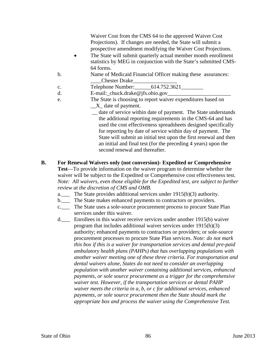Waiver Cost from the CMS 64 to the approved Waiver Cost Projections). If changes are needed, the State will submit a prospective amendment modifying the Waiver Cost Projections.

- The State will submit quarterly actual member month enrollment statistics by MEG in conjunction with the State's submitted CMS-64 forms.
- b. Name of Medicaid Financial Officer making these assurances: \_\_\_\_Chester Drake\_\_\_\_\_\_\_\_\_\_\_\_\_\_\_\_
- c. Telephone Number: 614.752.3621
- d. E-mail: chuck.drake@jfs.ohio.gov
- e. The State is choosing to report waiver expenditures based on  $X_$  date of payment.
	- \_\_ date of service within date of payment. The State understands the additional reporting requirements in the CMS-64 and has used the cost effectiveness spreadsheets designed specifically for reporting by date of service within day of payment. The State will submit an initial test upon the first renewal and then an initial and final test (for the preceding 4 years) upon the second renewal and thereafter.
- **B. For Renewal Waivers only (not conversion)- Expedited or Comprehensive Test**—To provide information on the waiver program to determine whether the waiver will be subject to the Expedited or Comprehensive cost effectiveness test. *Note: All waivers, even those eligible for the Expedited test, are subject to further review at the discretion of CMS and OMB.*
	- a.\_\_\_ The State provides additional services under 1915(b)(3) authority.
	- b. The State makes enhanced payments to contractors or providers.
	- c.\_\_\_ The State uses a sole-source procurement process to procure State Plan services under this waiver.
	- d.\_\_\_ Enrollees in this waiver receive services under another 1915(b) waiver program that includes additional waiver services under 1915(b)(3) authority; enhanced payments to contractors or providers; or sole-source procurement processes to procure State Plan services. *Note: do not mark this box if this is a waiver for transportation services and dental pre-paid ambulatory health plans (PAHPs) that has overlapping populations with another waiver meeting one of these three criteria. For transportation and dental waivers alone, States do not need to consider an overlapping population with another waiver containing additional services, enhanced payments, or sole source procurement as a trigger for the comprehensive waiver test. However, if the transportation services or dental PAHP waiver meets the criteria in a, b, or c for additional services, enhanced payments, or sole source procurement then the State should mark the appropriate box and process the waiver using the Comprehensive Test.*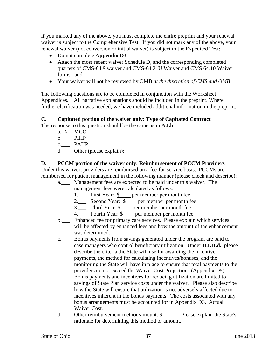If you marked any of the above, you must complete the entire preprint and your renewal waiver is subject to the Comprehensive Test. If you did not mark any of the above, your renewal waiver (not conversion or initial waiver) is subject to the Expedited Test:

- Do not complete **Appendix D3**
- Attach the most recent waiver Schedule D, and the corresponding completed quarters of CMS-64.9 waiver and CMS-64.21U Waiver and CMS 64.10 Waiver forms, and
- Your waiver will not be reviewed by OMB *at the discretion of CMS and OMB*.

The following questions are to be completed in conjunction with the Worksheet Appendices. All narrative explanations should be included in the preprint. Where further clarification was needed, we have included additional information in the preprint.

## **C. Capitated portion of the waiver only: Type of Capitated Contract**

The response to this question should be the same as in **A.I.b**.

- a. X MCO
- b.\_\_\_ PIHP
- c.\_\_\_ PAHP
- d.\_\_\_ Other (please explain):

## **D. PCCM portion of the waiver only: Reimbursement of PCCM Providers**

Under this waiver, providers are reimbursed on a fee-for-service basis. PCCMs are reimbursed for patient management in the following manner (please check and describe):

- a.\_\_\_ Management fees are expected to be paid under this waiver. The management fees were calculated as follows.
	- 1.\_\_\_ First Year: \$ per member per month fee
	- 2.\_\_\_ Second Year: \$ per member per month fee
	- $3.$  Third Year:  $\frac{6}{5}$  per member per month fee
	- 4. Fourth Year:  $\frac{1}{2}$  per member per month fee
- b. Enhanced fee for primary care services. Please explain which services will be affected by enhanced fees and how the amount of the enhancement was determined.
- c.\_\_\_ Bonus payments from savings generated under the program are paid to case managers who control beneficiary utilization. Under **D.I.H.d.**, please describe the criteria the State will use for awarding the incentive payments, the method for calculating incentives/bonuses, and the monitoring the State will have in place to ensure that total payments to the providers do not exceed the Waiver Cost Projections (Appendix D5). Bonus payments and incentives for reducing utilization are limited to savings of State Plan service costs under the waiver. Please also describe how the State will ensure that utilization is not adversely affected due to incentives inherent in the bonus payments. The costs associated with any bonus arrangements must be accounted for in Appendix D3. Actual Waiver Cost.
- d. Other reimbursement method/amount. \$ Please explain the State's rationale for determining this method or amount.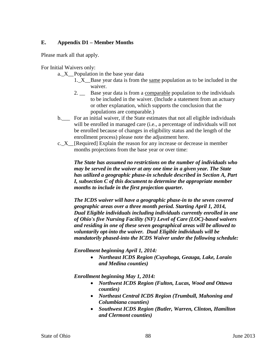## **E. Appendix D1 – Member Months**

Please mark all that apply.

For Initial Waivers only:

- a. X Population in the base year data
	- 1.\_X\_\_Base year data is from the same population as to be included in the waiver.
	- 2.  $\quad \_$  Base year data is from a comparable population to the individuals to be included in the waiver. (Include a statement from an actuary or other explanation, which supports the conclusion that the populations are comparable.)
- b. For an initial waiver, if the State estimates that not all eligible individuals will be enrolled in managed care (i.e., a percentage of individuals will not be enrolled because of changes in eligibility status and the length of the enrollment process) please note the adjustment here.
- c.\_X\_\_[Required] Explain the reason for any increase or decrease in member months projections from the base year or over time:

*The State has assumed no restrictions on the number of individuals who may be served in the waiver at any one time in a given year. The State has utilized a geographic phase-in schedule described in Section A, Part I, subsection C of this document to determine the appropriate member months to include in the first projection quarter.* 

*The ICDS waiver will have a geographic phase-in to the seven covered geographic areas over a three month period. Starting April 1, 2014, Dual Eligible individuals including individuals currently enrolled in one of Ohio's five Nursing Facility (NF) Level of Care (LOC)-based waivers and residing in one of these seven geographical areas will be allowed to voluntarily opt-into the waiver. Dual Eligible individuals will be mandatorily phased-into the ICDS Waiver under the following schedule:* 

*Enrollment beginning April 1, 2014:*

• *Northeast ICDS Region (Cuyahoga, Geauga, Lake, Lorain and Medina counties)*

*Enrollment beginning May 1, 2014:*

- *Northwest ICDS Region (Fulton, Lucas, Wood and Ottawa counties)*
- *Northeast Central ICDS Region (Trumbull, Mahoning and Columbiana counties)*
- *Southwest ICDS Region (Butler, Warren, Clinton, Hamilton and Clermont counties)*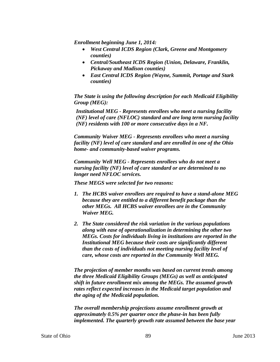*Enrollment beginning June 1, 2014:*

- *West Central ICDS Region (Clark, Greene and Montgomery counties)*
- *Central/Southeast ICDS Region (Union, Delaware, Franklin, Pickaway and Madison counties)*
- *East Central ICDS Region (Wayne, Summit, Portage and Stark counties)*

*The State is using the following description for each Medicaid Eligibility Group (MEG):*

*Institutional MEG - Represents enrollees who meet a nursing facility (NF) level of care (NFLOC) standard and are long term nursing facility (NF) residents with 100 or more consecutive days in a NF.* 

*Community Waiver MEG - Represents enrollees who meet a nursing facility (NF) level of care standard and are enrolled in one of the Ohio home- and community-based waiver programs.* 

*Community Well MEG - Represents enrollees who do not meet a nursing facility (NF) level of care standard or are determined to no longer need NFLOC services.* 

*These MEGS were selected for two reasons:*

- *1. The HCBS waiver enrollees are required to have a stand-alone MEG because they are entitled to a different benefit package than the other MEGs. All HCBS waiver enrollees are in the Community Waiver MEG.*
- *2. The State considered the risk variation in the various populations along with ease of operationalization in determining the other two MEGs. Costs for individuals living in institutions are reported in the Institutional MEG because their costs are significantly different than the costs of individuals not meeting nursing facility level of care, whose costs are reported in the Community Well MEG.*

*The projection of member months was based on current trends among the three Medicaid Eligibility Groups (MEGs) as well as anticipated shift in future enrollment mix among the MEGs. The assumed growth rates reflect expected increases in the Medicaid target population and the aging of the Medicaid population.* 

*The overall membership projections assume enrollment growth at approximately 0.5% per quarter once the phase-in has been fully implemented. The quarterly growth rate assumed between the base year*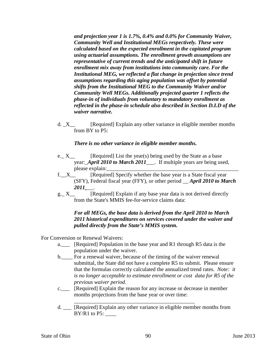*and projection year 1 is 1.7%, 0.4% and 0.0% for Community Waiver, Community Well and Institutional MEGs respectively. These were calculated based on the expected enrollment in the capitated program using actuarial assumptions. The enrollment growth assumptions are representative of current trends and the anticipated shift in future enrollment mix away from institutions into community care. For the Institutional MEG, we reflected a flat change in projection since trend assumptions regarding this aging population was offset by potential shifts from the Institutional MEG to the Community Waiver and/or Community Well MEGs. Additionally projected quarter 1 reflects the phase-in of individuals from voluntary to mandatory enrollment as reflected in the phase-in schedule also described in Section D.I.D of the waiver narrative.*

d. X [Required] Explain any other variance in eligible member months from BY to P5:

#### *There is no other variance in eligible member months.*

- e.  $X_{\text{max}}$  [Required] List the year(s) being used by the State as a base year:\_*April 2010 to March 2011*\_\_\_. If multiple years are being used, please explain:
- f.\_\_X\_\_ [Required] Specify whether the base year is a State fiscal year (SFY), Federal fiscal year (FFY), or other period \_\_ *April 2010 to March 2011\_*\_\_.
- g.  $X$  [Required] Explain if any base year data is not derived directly from the State's MMIS fee-for-service claims data:

## *For all MEGs, the base data is derived from the April 2010 to March 2011 historical expenditures on services covered under the waiver and pulled directly from the State's MMIS system.*

For Conversion or Renewal Waivers:

- a.\_\_\_ [Required] Population in the base year and R1 through R5 data is the population under the waiver.
- b. For a renewal waiver, because of the timing of the waiver renewal submittal, the State did not have a complete R5 to submit. Please ensure that the formulas correctly calculated the annualized trend rates. *Note: it is no longer acceptable to estimate enrollment or cost data for R5 of the previous waiver period.*
- c.\_\_\_ [Required] Explain the reason for any increase or decrease in member months projections from the base year or over time:

\_\_\_\_\_\_\_\_\_\_\_\_\_\_\_\_\_\_\_\_\_\_\_\_\_\_\_\_\_\_\_\_\_\_\_\_\_\_\_\_\_\_\_\_

d. \_\_\_ [Required] Explain any other variance in eligible member months from  $BY/R1$  to  $P5$ :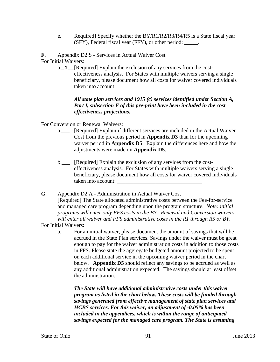e. [Required] Specify whether the BY/R1/R2/R3/R4/R5 is a State fiscal year (SFY), Federal fiscal year (FFY), or other period: \_\_\_\_\_.

**F.** Appendix D2.S - Services in Actual Waiver Cost For Initial Waivers:

> a.\_X\_\_[Required] Explain the exclusion of any services from the costeffectiveness analysis. For States with multiple waivers serving a single beneficiary, please document how all costs for waiver covered individuals taken into account.

## *All state plan services and 1915 (c) services identified under Section A, Part I, subsection F of this pre-print have been included in the cost effectiveness projections.*

For Conversion or Renewal Waivers:

- a.\_\_\_ [Required] Explain if different services are included in the Actual Waiver Cost from the previous period in **Appendix D3** than for the upcoming waiver period in **Appendix D5**. Explain the differences here and how the adjustments were made on **Appendix D5**:
- \_\_\_\_\_\_\_\_\_\_\_\_\_\_\_\_\_\_\_\_\_\_\_\_\_\_\_\_\_\_\_\_\_\_\_\_\_\_\_\_\_\_\_\_\_\_\_\_\_\_\_\_\_\_\_\_\_\_\_\_ b. [Required] Explain the exclusion of any services from the costeffectiveness analysis. For States with multiple waivers serving a single beneficiary, please document how all costs for waiver covered individuals taken into account:
- **G.** Appendix D2.A Administration in Actual Waiver Cost [Required] The State allocated administrative costs between the Fee-for-service and managed care program depending upon the program structure. *Note: initial programs will enter only FFS costs in the BY. Renewal and Conversion waivers will enter all waiver and FFS administrative costs in the R1 through R5 or BY.*  For Initial Waivers:
	- a. For an initial waiver, please document the amount of savings that will be accrued in the State Plan services. Savings under the waiver must be great enough to pay for the waiver administration costs in addition to those costs in FFS. Please state the aggregate budgeted amount projected to be spent on each additional service in the upcoming waiver period in the chart below. **Appendix D5** should reflect any savings to be accrued as well as any additional administration expected. The savings should at least offset the administration.

*The State will have additional administrative costs under this waiver program as listed in the chart below. These costs will be funded through savings generated from effective management of state plan services and HCBS services. For this waiver, an adjustment of -0.05% has been included in the appendices, which is within the range of anticipated savings expected for the managed care program. The State is assuming*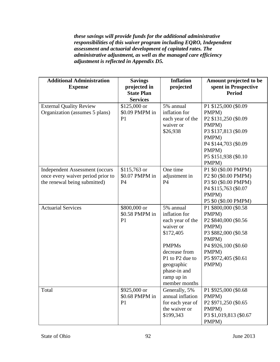*these savings will provide funds for the additional administrative responsibilities of this waiver program including EQRO, Independent assessment and actuarial development of capitated rates. The administrative adjustment, as well as the managed care efficiency adjustment is reflected in Appendix D5.*

| <b>Additional Administration</b><br><b>Expense</b>                                                         | <b>Savings</b><br>projected in<br><b>State Plan</b><br><b>Services</b> | <b>Inflation</b><br>projected                                                                                                                                                             | Amount projected to be<br>spent in Prospective<br><b>Period</b>                                                                                                                   |
|------------------------------------------------------------------------------------------------------------|------------------------------------------------------------------------|-------------------------------------------------------------------------------------------------------------------------------------------------------------------------------------------|-----------------------------------------------------------------------------------------------------------------------------------------------------------------------------------|
| <b>External Quality Review</b><br>Organization (assumes 5 plans)                                           | \$125,000 or<br>\$0.09 PMPM in<br>P <sub>1</sub>                       | 5% annual<br>inflation for<br>each year of the<br>waiver or<br>\$26,938                                                                                                                   | P1 \$125,000 (\$0.09)<br>PMPM)<br>P <sub>2</sub> \$131,250 (\$0.09<br>PMPM)<br>P3 \$137,813 (\$0.09)<br>PMPM)<br>P4 \$144,703 (\$0.09)<br>PMPM)<br>P5 \$151,938 (\$0.10)<br>PMPM) |
| <b>Independent Assessment (occurs</b><br>once every waiver period prior to<br>the renewal being submitted) | $$115,763$ or<br>\$0.07 PMPM in<br><b>P4</b>                           | One time<br>adjustment in<br>P4                                                                                                                                                           | P1 \$0 (\$0.00 PMPM)<br>P <sub>2</sub> \$0 (\$0.00 PMPM)<br>P3 \$0 (\$0.00 PMPM)<br>P4 \$115,763 (\$0.07<br>PMPM)<br>P5 \$0 (\$0.00 PMPM)                                         |
| <b>Actuarial Services</b>                                                                                  | \$800,000 or<br>\$0.58 PMPM in<br>P <sub>1</sub>                       | 5% annual<br>inflation for<br>each year of the<br>waiver or<br>\$172,405<br><b>PMPMs</b><br>decrease from<br>P1 to P2 due to<br>geographic<br>phase-in and<br>ramp up in<br>member months | P1 \$800,000 (\$0.58)<br>PMPM)<br>P <sub>2</sub> \$840,000 (\$0.56<br>PMPM)<br>P3 \$882,000 (\$0.58)<br>PMPM)<br>P4 \$926,100 (\$0.60<br>PMPM)<br>P5 \$972,405 (\$0.61)<br>PMPM)  |
| Total                                                                                                      | \$925,000 or<br>\$0.68 PMPM in<br>P <sub>1</sub>                       | Generally, 5%<br>annual inflation<br>for each year of<br>the waiver or<br>\$199,343                                                                                                       | P1 \$925,000 (\$0.68)<br>PMPM)<br>P2 \$971,250 (\$0.65)<br>PMPM)<br>P3 \$1,019,813 (\$0.67<br>PMPM)                                                                               |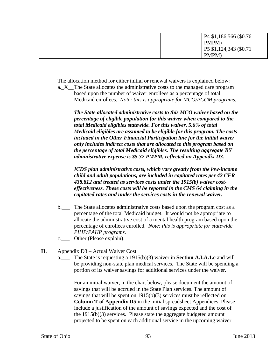|  | $P4$ \$1,186,566 (\$0.76 |
|--|--------------------------|
|  | PMPM)                    |
|  | P5 \$1,124,343 (\$0.71   |
|  | PMPM)                    |

The allocation method for either initial or renewal waivers is explained below:

a.\_X\_\_The State allocates the administrative costs to the managed care program based upon the number of waiver enrollees as a percentage of total Medicaid enrollees. *Note: this is appropriate for MCO/PCCM programs.*

*The State allocated administrative costs to this MCO waiver based on the percentage of eligible population for this waiver when compared to the total Medicaid eligibles statewide. For this waiver, 5.6% of total Medicaid eligibles are assumed to be eligible for this program. The costs included in the Other Financial Participation line for the initial waiver only includes indirect costs that are allocated to this program based on the percentage of total Medicaid eligibles. The resulting aggregate BY administrative expense is \$5.37 PMPM, reflected on Appendix D3.* 

*ICDS plan administrative costs, which vary greatly from the low-income child and adult populations, are included in capitated rates per 42 CFR 438.812 and treated as services costs under the 1915(b) waiver costeffectiveness. These costs will be reported in the CMS 64 claiming in the capitated rates and under the services costs in the renewal waiver.*

- b. The State allocates administrative costs based upon the program cost as a percentage of the total Medicaid budget. It would not be appropriate to allocate the administrative cost of a mental health program based upon the percentage of enrollees enrolled. *Note: this is appropriate for statewide PIHP/PAHP programs.*
- c.\_\_\_ Other (Please explain).
- **H.** Appendix D3 Actual Waiver Cost
	- a.\_\_\_ The State is requesting a 1915(b)(3) waiver in **Section A.I.A.1.c** and will be providing non-state plan medical services. The State will be spending a portion of its waiver savings for additional services under the waiver.

For an initial waiver, in the chart below, please document the amount of savings that will be accrued in the State Plan services. The amount of savings that will be spent on 1915(b)(3) services must be reflected on **Column T of Appendix D5** in the initial spreadsheet Appendices. Please include a justification of the amount of savings expected and the cost of the 1915(b)(3) services. Please state the aggregate budgeted amount projected to be spent on each additional service in the upcoming waiver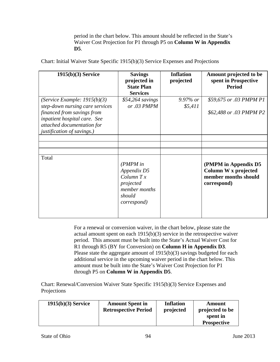period in the chart below. This amount should be reflected in the State's Waiver Cost Projection for P1 through P5 on **Column W in Appendix D5**.

| $1915(b)(3)$ Service                                                                                                                                                                        | <b>Savings</b><br>projected in<br><b>State Plan</b>                                               | <b>Inflation</b><br>projected | Amount projected to be<br>spent in Prospective<br><b>Period</b>                     |
|---------------------------------------------------------------------------------------------------------------------------------------------------------------------------------------------|---------------------------------------------------------------------------------------------------|-------------------------------|-------------------------------------------------------------------------------------|
| (Service Example: $1915(b)(3)$<br>step-down nursing care services<br>financed from savings from<br>inpatient hospital care. See<br>attached documentation for<br>justification of savings.) | <b>Services</b><br>\$54,264 savings<br>or .03 PMPM                                                | $9.97\%$ or<br>\$5,411        | \$59,675 or .03 PMPM P1<br>\$62,488 or .03 PMPM P2                                  |
|                                                                                                                                                                                             |                                                                                                   |                               |                                                                                     |
| Total                                                                                                                                                                                       | $(PMPM)$ in<br>Appendix D5<br>$Column\,Tx$<br>projected<br>member months<br>should<br>correspond) |                               | (PMPM in Appendix D5<br>Column W x projected<br>member months should<br>correspond) |

Chart: Initial Waiver State Specific 1915(b)(3) Service Expenses and Projections

For a renewal or conversion waiver, in the chart below, please state the actual amount spent on each 1915(b)(3) service in the retrospective waiver period. This amount must be built into the State's Actual Waiver Cost for R1 through R5 (BY for Conversion) on **Column H in Appendix D3**. Please state the aggregate amount of 1915(b)(3) savings budgeted for each additional service in the upcoming waiver period in the chart below. This amount must be built into the State's Waiver Cost Projection for P1 through P5 on **Column W in Appendix D5**.

Chart: Renewal/Conversion Waiver State Specific 1915(b)(3) Service Expenses and Projections

| $1915(b)(3)$ Service | <b>Amount Spent in</b>      | Inflation | Amount             |
|----------------------|-----------------------------|-----------|--------------------|
|                      | <b>Retrospective Period</b> | projected | projected to be    |
|                      |                             |           | spent in           |
|                      |                             |           | <b>Prospective</b> |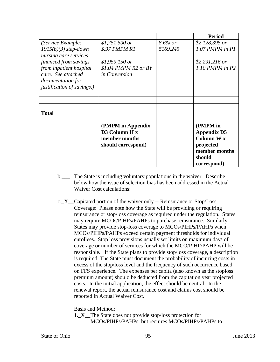|                                                                    |                                                                           |            | <b>Period</b>                                                                                              |
|--------------------------------------------------------------------|---------------------------------------------------------------------------|------------|------------------------------------------------------------------------------------------------------------|
| (Service Example:                                                  | \$1,751,500 or                                                            | $8.6\%$ or | $$2,128,395$ or                                                                                            |
| $1915(b)(3)$ step-down<br>nursing care services                    | \$.97 PMPM R1                                                             | \$169,245  | $1.07$ PMPM in P1                                                                                          |
| financed from savings                                              | $$1,959,150$ or                                                           |            | $$2,291,216$ or                                                                                            |
| from inpatient hospital<br>care. See attached<br>documentation for | $$1.04$ PMPM R2 or BY<br>in Conversion                                    |            | $1.10$ PMPM in P2                                                                                          |
| justification of savings.)                                         |                                                                           |            |                                                                                                            |
|                                                                    |                                                                           |            |                                                                                                            |
|                                                                    |                                                                           |            |                                                                                                            |
|                                                                    |                                                                           |            |                                                                                                            |
| <b>Total</b>                                                       |                                                                           |            |                                                                                                            |
|                                                                    | (PMPM in Appendix<br>D3 Column H x<br>member months<br>should correspond) |            | (PMPM in<br><b>Appendix D5</b><br><b>Column W x</b><br>projected<br>member months<br>should<br>correspond) |

- b. The State is including voluntary populations in the waiver. Describe below how the issue of selection bias has been addressed in the Actual Waiver Cost calculations:
- c.\_X\_\_Capitated portion of the waiver only -- Reinsurance or Stop/Loss Coverage: Please note how the State will be providing or requiring reinsurance or stop/loss coverage as required under the regulation. States may require MCOs/PIHPs/PAHPs to purchase reinsurance. Similarly, States may provide stop-loss coverage to MCOs/PIHPs/PAHPs when MCOs/PIHPs/PAHPs exceed certain payment thresholds for individual enrollees. Stop loss provisions usually set limits on maximum days of coverage or number of services for which the MCO/PIHP/PAHP will be responsible. If the State plans to provide stop/loss coverage, a description is required. The State must document the probability of incurring costs in excess of the stop/loss level and the frequency of such occurrence based on FFS experience. The expenses per capita (also known as the stoploss premium amount) should be deducted from the capitation year projected costs. In the initial application, the effect should be neutral. In the renewal report, the actual reinsurance cost and claims cost should be reported in Actual Waiver Cost.

Basis and Method:

1.\_X\_\_The State does not provide stop/loss protection for MCOs/PIHPs/PAHPs, but requires MCOs/PIHPs/PAHPs to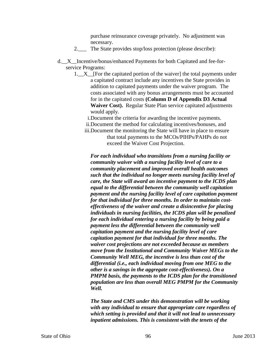purchase reinsurance coverage privately. No adjustment was necessary.

- 2. The State provides stop/loss protection (please describe):
- d.\_\_X\_\_Incentive/bonus/enhanced Payments for both Capitated and fee-forservice Programs:
	- 1.  $X$  [For the capitated portion of the waiver] the total payments under a capitated contract include any incentives the State provides in addition to capitated payments under the waiver program. The costs associated with any bonus arrangements must be accounted for in the capitated costs **(Column D of Appendix D3 Actual Waiver Cost).** Regular State Plan service capitated adjustments would apply.
		- i.Document the criteria for awarding the incentive payments.
		- ii.Document the method for calculating incentives/bonuses, and
		- iii.Document the monitoring the State will have in place to ensure that total payments to the MCOs/PIHPs/PAHPs do not exceed the Waiver Cost Projection.

*For each individual who transitions from a nursing facility or community waiver with a nursing facility level of care to a community placement and improved overall health outcomes such that the individual no longer meets nursing facility level of care, the State will award an incentive payment to the ICDS plan equal to the differential between the community well capitation payment and the nursing facility level of care capitation payment for that individual for three months. In order to maintain costeffectiveness of the waiver and create a disincentive for placing individuals in nursing facilities, the ICDS plan will be penalized for each individual entering a nursing facility by being paid a payment less the differential between the community well capitation payment and the nursing facility level of care capitation payment for that individual for three months. The waiver cost projections are not exceeded because as members move from the Institutional and Community Waiver MEGs to the Community Well MEG, the incentive is less than cost of the differential (i.e., each individual moving from one MEG to the other is a savings in the aggregate cost-effectiveness). On a PMPM basis, the payments to the ICDS plan for the transitioned population are less than overall MEG PMPM for the Community Well.*

*The State and CMS under this demonstration will be working with any individual to ensure that appropriate care regardless of which setting is provided and that it will not lead to unnecessary inpatient admissions. This is consistent with the tenets of the*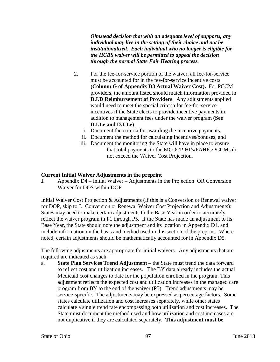*Olmstead decision that with an adequate level of supports, any individual may live in the setting of their choice and not be institutionalized. Each individual who no longer is eligible for the HCBS waiver will be permitted to appeal the decision through the normal State Fair Hearing process.*

- 2. For the fee-for-service portion of the waiver, all fee-for-service must be accounted for in the fee-for-service incentive costs **(Column G of Appendix D3 Actual Waiver Cost).** For PCCM providers, the amount listed should match information provided in **D.I.D Reimbursement of Providers**. Any adjustments applied would need to meet the special criteria for fee-for-service incentives if the State elects to provide incentive payments in addition to management fees under the waiver program **(See D.I.I.e and D.I.J.e)**
	- i. Document the criteria for awarding the incentive payments.
	- ii. Document the method for calculating incentives/bonuses, and
	- iii. Document the monitoring the State will have in place to ensure that total payments to the MCOs/PIHPs/PAHPs/PCCMs do not exceed the Waiver Cost Projection.

## **Current Initial Waiver Adjustments in the preprint**

**I.** Appendix D4 – Initial Waiver – Adjustments in the Projection OR Conversion Waiver for DOS within DOP

Initial Waiver Cost Projection & Adjustments (If this is a Conversion or Renewal waiver for DOP, skip to J. Conversion or Renewal Waiver Cost Projection and Adjustments): States may need to make certain adjustments to the Base Year in order to accurately reflect the waiver program in P1 through P5. If the State has made an adjustment to its Base Year, the State should note the adjustment and its location in Appendix D4, and include information on the basis and method used in this section of the preprint. Where noted, certain adjustments should be mathematically accounted for in Appendix D5.

The following adjustments are appropriate for initial waivers. Any adjustments that are required are indicated as such.

a. **State Plan Services Trend Adjustment** – the State must trend the data forward to reflect cost and utilization increases. The BY data already includes the actual Medicaid cost changes to date for the population enrolled in the program. This adjustment reflects the expected cost and utilization increases in the managed care program from BY to the end of the waiver (P5). Trend adjustments may be service-specific. The adjustments may be expressed as percentage factors. Some states calculate utilization and cost increases separately, while other states calculate a single trend rate encompassing both utilization and cost increases. The State must document the method used and how utilization and cost increases are not duplicative if they are calculated separately. **This adjustment must be**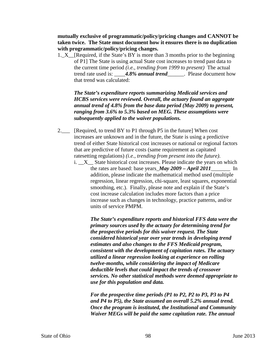**mutually exclusive of programmatic/policy/pricing changes and CANNOT be taken twice. The State must document how it ensures there is no duplication with programmatic/policy/pricing changes.**

1.\_X\_\_[Required, if the State's BY is more than 3 months prior to the beginning of P1] The State is using actual State cost increases to trend past data to the current time period *(i.e., trending from 1999 to present)* The actual trend rate used is: \_\_\_\_*4.8% annual trend*\_\_\_\_\_\_. Please document how that trend was calculated:

*The State's expenditure reports summarizing Medicaid services and HCBS services were reviewed. Overall, the actuary found an aggregate annual trend of 4.8% from the base data period (May 2009) to present, ranging from 3.6% to 5.3% based on MEG. These assumptions were subsequently applied to the waiver populations.*

- 2.\_\_\_ [Required, to trend BY to P1 through P5 in the future] When cost increases are unknown and in the future, the State is using a predictive trend of either State historical cost increases or national or regional factors that are predictive of future costs (same requirement as capitated ratesetting regulations) *(i.e., trending from present into the future)*.
	- $i.$   $X_$  State historical cost increases. Please indicate the years on which the rates are based: base years\_*May 2009 – April 2011*\_\_\_\_\_\_\_ In addition, please indicate the mathematical method used (multiple regression, linear regression, chi-square, least squares, exponential smoothing, etc.). Finally, please note and explain if the State's cost increase calculation includes more factors than a price increase such as changes in technology, practice patterns, and/or units of service PMPM.

*The State's expenditure reports and historical FFS data were the primary sources used by the actuary for determining trend for the prospective periods for this waiver request. The State considered historical year over year trends in developing trend estimates and also changes to the FFS Medicaid program, consistent with the development of capitation rates. The actuary utilized a linear regression looking at experience on rolling twelve-months, while considering the impact of Medicare deductible levels that could impact the trends of crossover services. No other statistical methods were deemed appropriate to use for this population and data.*

*For the prospective time periods (P1 to P2, P2 to P3, P3 to P4 and P4 to P5), the State assumed an overall 5.2% annual trend. Once the program is instituted, the Institutional and Community Waiver MEGs will be paid the same capitation rate. The annual*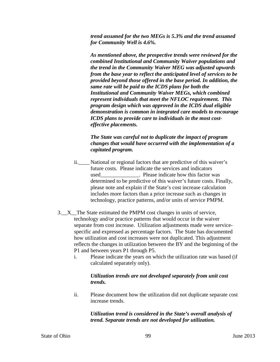*trend assumed for the two MEGs is 5.3% and the trend assumed for Community Well is 4.6%.*

*As mentioned above, the prospective trends were reviewed for the combined Institutional and Community Waiver populations and the trend in the Community Waiver MEG was adjusted upwards from the base year to reflect the anticipated level of services to be provided beyond those offered in the base period. In addition, the same rate will be paid to the ICDS plans for both the Institutional and Community Waiver MEGs, which combined represent individuals that meet the NFLOC requirement. This program design which was approved in the ICDS dual eligible demonstration is common in integrated care models to encourage ICDS plans to provide care to individuals in the most costeffective placements.*

## *The State was careful not to duplicate the impact of program changes that would have occurred with the implementation of a capitated program.*

- ii.\_\_\_\_ National or regional factors that are predictive of this waiver's future costs. Please indicate the services and indicators used Figure . Please indicate how this factor was determined to be predictive of this waiver's future costs. Finally, please note and explain if the State's cost increase calculation includes more factors than a price increase such as changes in technology, practice patterns, and/or units of service PMPM.
- 3.\_\_X\_\_The State estimated the PMPM cost changes in units of service, technology and/or practice patterns that would occur in the waiver separate from cost increase. Utilization adjustments made were servicespecific and expressed as percentage factors. The State has documented how utilization and cost increases were not duplicated. This adjustment reflects the changes in utilization between the BY and the beginning of the P1 and between years P1 through P5.
	- i. Please indicate the years on which the utilization rate was based (if calculated separately only).

## *Utilization trends are not developed separately from unit cost trends.*

ii. Please document how the utilization did not duplicate separate cost increase trends.

> *Utilization trend is considered in the State's overall analysis of trend. Separate trends are not developed for utilization.*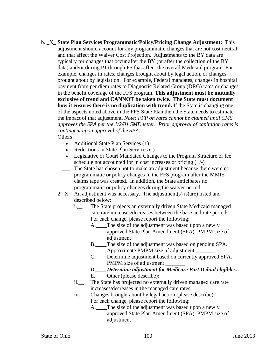b. \_X\_ **State Plan Services Programmatic/Policy/Pricing Change Adjustment:** This adjustment should account for any programmatic changes that are not cost neutral and that affect the Waiver Cost Projection. Adjustments to the BY data are typically for changes that occur after the BY (or after the collection of the BY data) and/or during P1 through P5 that affect the overall Medicaid program. For example, changes in rates, changes brought about by legal action, or changes brought about by legislation. For example, Federal mandates, changes in hospital payment from per diem rates to Diagnostic Related Group (DRG) rates or changes in the benefit coverage of the FFS program. **This adjustment must be mutually exclusive of trend and CANNOT be taken twice. The State must document how it ensures there is no duplication with trend.** If the State is changing one of the aspects noted above in the FFS State Plan then the State needs to estimate the impact of that adjustment. *Note: FFP on rates cannot be claimed until CMS approves the SPA per the 1/2/01 SMD letter. Prior approval of capitation rates is contingent upon approval of the SPA*.

Others:

- Additional State Plan Services (+)
- Reductions in State Plan Services (-)
- Legislative or Court Mandated Changes to the Program Structure or fee schedule not accounted for in cost increases or pricing  $(+/-)$
- 1.\_\_\_ The State has chosen not to make an adjustment because there were no programmatic or policy changes in the FFS program after the MMIS claims tape was created. In addition, the State anticipates no programmatic or policy changes during the waiver period.
- 2.  $X$  An adjustment was necessary. The adjustment(s) is(are) listed and described below:
	- i.\_\_ The State projects an externally driven State Medicaid managed care rate increases/decreases between the base and rate periods. For each change, please report the following:
		- A. The size of the adjustment was based upon a newly approved State Plan Amendment (SPA). PMPM size of adjustment \_\_\_\_\_\_\_
		- B.\_\_\_\_The size of the adjustment was based on pending SPA. Approximate PMPM size of adjustment \_\_\_\_\_\_\_
		- C. Determine adjustment based on currently approved SPA. PMPM size of adjustment
		- *D.\_\_\_\_Determine adjustment for Medicare Part D dual eligibles.*
		- E.\_\_\_\_Other (please describe):
	- ii.\_\_ The State has projected no externally driven managed care rate increases/decreases in the managed care rates.
	- iii.\_\_ Changes brought about by legal action (please describe): For each change, please report the following:
		- A. The size of the adjustment was based upon a newly approved State Plan Amendment (SPA). PMPM size of adjustment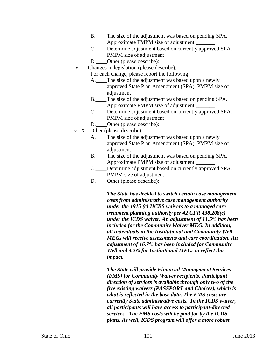- B.\_\_\_\_The size of the adjustment was based on pending SPA. Approximate PMPM size of adjustment \_\_\_\_\_\_\_
- C. Determine adjustment based on currently approved SPA. PMPM size of adjustment
- D. Other (please describe):
- iv. Changes in legislation (please describe):
	- For each change, please report the following:
		- A.\_\_\_\_The size of the adjustment was based upon a newly approved State Plan Amendment (SPA). PMPM size of adjustment \_\_\_\_\_\_\_
		- B.\_\_\_\_The size of the adjustment was based on pending SPA. Approximate PMPM size of adjustment \_\_\_\_\_\_\_
		- C.\_\_\_\_Determine adjustment based on currently approved SPA. PMPM size of adjustment
	- D. Other (please describe):
- v. X Other (please describe):
	- A. The size of the adjustment was based upon a newly approved State Plan Amendment (SPA). PMPM size of adjustment \_\_\_\_\_\_\_
	- B.\_\_\_\_The size of the adjustment was based on pending SPA. Approximate PMPM size of adjustment \_\_\_\_\_\_\_
	- C. Determine adjustment based on currently approved SPA. PMPM size of adjustment
	- D. **\_\_\_\_**Other (please describe):

*The State has decided to switch certain case management costs from administrative case management authority under the 1915 (c) HCBS waivers to a managed care treatment planning authority per 42 CFR 438.208(c) under the ICDS waiver. An adjustment of 11.5% has been included for the Community Waiver MEG. In addition, all individuals in the Institutional and Community Well MEGs will receive assessments and care coordination. An adjustment of 16.7% has been included for Community Well and 4.2% for Institutional MEGs to reflect this impact.* 

*The State will provide Financial Management Services (FMS) for Community Waiver recipients. Participant direction of services is available through only two of the five existing waivers (PASSPORT and Choices), which is what is reflected in the base data. The FMS costs are currently State administrative costs. In the ICDS waiver, all participants will have access to participant-directed services. The FMS costs will be paid for by the ICDS plans. As well, ICDS program will offer a more robust*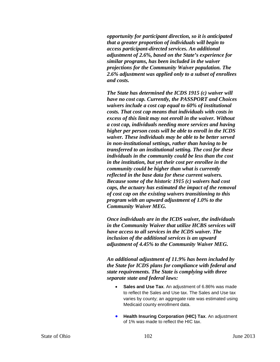*opportunity for participant direction, so it is anticipated that a greater proportion of individuals will begin to access participant-directed services. An additional adjustment of 2.6%, based on the State's experience for similar programs, has been included in the waiver projections for the Community Waiver population. The 2.6% adjustment was applied only to a subset of enrollees and costs.* 

*The State has determined the ICDS 1915 (c) waiver will have no cost cap. Currently, the PASSPORT and Choices waivers include a cost cap equal to 60% of institutional costs. That cost cap means that individuals with costs in excess of this limit may not enroll in the waiver. Without a cost cap, individuals needing more services and having higher per person costs will be able to enroll in the ICDS waiver. These individuals may be able to be better served in non-institutional settings, rather than having to be transferred to an institutional setting. The cost for these individuals in the community could be less than the cost in the institution, but yet their cost per enrollee in the community could be higher than what is currently reflected in the base data for these current waivers. Because some of the historic 1915 (c) waivers had cost caps, the actuary has estimated the impact of the removal of cost cap on the existing waivers transitioning to this program with an upward adjustment of 1.0% to the Community Waiver MEG.*

*Once individuals are in the ICDS waiver, the individuals in the Community Waiver that utilize HCBS services will have access to all services in the ICDS waiver. The inclusion of the additional services is an upward adjustment of 4.45% to the Community Waiver MEG.* 

*An additional adjustment of 11.9% has been included by the State for ICDS plans for compliance with federal and state requirements. The State is complying with three separate state and federal laws:*

- **Sales and Use Tax**. An adjustment of 6.86% was made to reflect the Sales and Use tax. The Sales and Use tax varies by county; an aggregate rate was estimated using Medicaid county enrollment data.
- **Health Insuring Corporation (HIC) Tax. An adjustment** of 1% was made to reflect the HIC tax.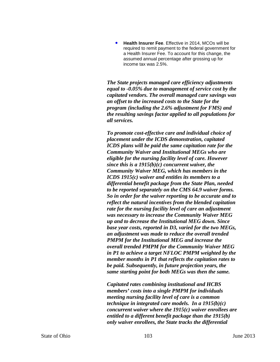• **Health Insurer Fee**. Effective in 2014, MCOs will be required to remit payment to the federal government for a Health Insurer Fee. To account for this change, the assumed annual percentage after grossing up for income tax was 2.5%.

*The State projects managed care efficiency adjustments equal to -0.05% due to management of service cost by the capitated vendors. The overall managed care savings was an offset to the increased costs to the State for the program (including the 2.6% adjustment for FMS) and the resulting savings factor applied to all populations for all services.* 

*To promote cost-effective care and individual choice of placement under the ICDS demonstration, capitated ICDS plans will be paid the same capitation rate for the Community Waiver and Institutional MEGs who are eligible for the nursing facility level of care. However since this is a 1915(b)(c) concurrent waiver, the Community Waiver MEG, which has members in the ICDS 1915(c) waiver and entitles its members to a differential benefit package from the State Plan, needed to be reported separately on the CMS 64.9 waiver forms. So in order for the waiver reporting to be accurate and to reflect the natural incentives from the blended capitation rate for the nursing facility level of care an adjustment was necessary to increase the Community Waiver MEG up and to decrease the Institutional MEG down. Since base year costs, reported in D3, varied for the two MEGs, an adjustment was made to reduce the overall trended PMPM for the Institutional MEG and increase the overall trended PMPM for the Community Waiver MEG in P1 to achieve a target NFLOC PMPM weighted by the member months in P1 that reflects the capitation rates to be paid. Subsequently, in future projection years, the same starting point for both MEGs was then the same.*

*Capitated rates combining institutional and HCBS members' costs into a single PMPM for individuals meeting nursing facility level of care is a common technique in integrated care models. In a 1915(b)(c) concurrent waiver where the 1915(c) waiver enrollees are entitled to a different benefit package than the 1915(b) only waiver enrollees, the State tracks the differential*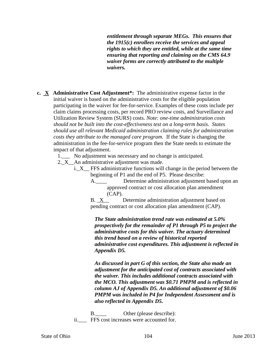*entitlement through separate MEGs. This ensures that the 1915(c) enrollees receive the services and appeal rights to which they are entitled, while at the same time ensuring that reporting and claiming on the CMS 64.9 waiver forms are correctly attributed to the multiple waivers.*

**c. X Administrative Cost Adjustment\*:** The administrative expense factor in the initial waiver is based on the administrative costs for the eligible population participating in the waiver for fee-for-service. Examples of these costs include per claim claims processing costs, per record PRO review costs, and Surveillance and Utilization Review System (SURS) costs. *Note: one-time administration costs should not be built into the cost-effectiveness test on a long-term basis. States should use all relevant Medicaid administration claiming rules for administration costs they attribute to the managed care program.* If the State is changing the administration in the fee-for-service program then the State needs to estimate the impact of that adjustment.

1.\_\_\_ No adjustment was necessary and no change is anticipated.

- 2. $X$  An administrative adjustment was made.
	- i.\_X\_\_ FFS administrative functions will change in the period between the beginning of P1 and the end of P5. Please describe:
		- A. Determine administration adjustment based upon an approved contract or cost allocation plan amendment (CAP).

B. X Determine administration adjustment based on pending contract or cost allocation plan amendment (CAP).

*The State administration trend rate was estimated at 5.0% prospectively for the remainder of P1 through P5 to project the administrative costs for this waiver. The actuary determined this trend based on a review of historical reported administrative cost expenditures. This adjustment is reflected in Appendix D5.* 

*As discussed in part G of this section, the State also made an adjustment for the anticipated cost of contracts associated with the waiver. This includes additional contracts associated with the MCO. This adjustment was \$0.71 PMPM and is reflected in column AJ of Appendix D5. An additional adjustment of \$0.06 PMPM was included in P4 for Independent Assessment and is also reflected in Appendix D5.*

B. Other (please describe): ii. FFS cost increases were accounted for.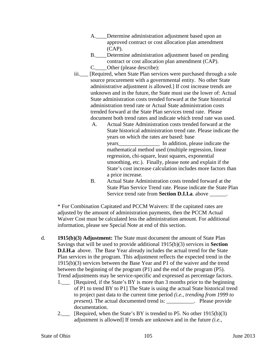- A. Determine administration adjustment based upon an approved contract or cost allocation plan amendment (CAP).
- B.\_\_\_\_Determine administration adjustment based on pending contract or cost allocation plan amendment (CAP).
- C.\_\_\_\_Other (please describe):
- iii. [Required, when State Plan services were purchased through a sole source procurement with a governmental entity. No other State administrative adjustment is allowed.] If cost increase trends are unknown and in the future, the State must use the lower of: Actual State administration costs trended forward at the State historical administration trend rate or Actual State administration costs trended forward at the State Plan services trend rate. Please document both trend rates and indicate which trend rate was used.
	- A. Actual State Administration costs trended forward at the State historical administration trend rate. Please indicate the years on which the rates are based: base years\_\_\_\_\_\_\_\_\_\_\_\_\_\_\_ In addition, please indicate the mathematical method used (multiple regression, linear regression, chi-square, least squares, exponential smoothing, etc.). Finally, please note and explain if the State's cost increase calculation includes more factors than a price increase.
	- B. Actual State Administration costs trended forward at the State Plan Service Trend rate. Please indicate the State Plan Service trend rate from **Section D.I.I.a**. above \_\_\_\_\_\_\_.

\* For Combination Capitated and PCCM Waivers: If the capitated rates are adjusted by the amount of administration payments, then the PCCM Actual Waiver Cost must be calculated less the administration amount. For additional information, please see Special Note at end of this section.

- d. **1915(b)(3) Adjustment:** The State must document the amount of State Plan Savings that will be used to provide additional 1915(b)(3) services in **Section D.I.H.a** above. The Base Year already includes the actual trend for the State Plan services in the program. This adjustment reflects the expected trend in the 1915(b)(3) services between the Base Year and P1 of the waiver and the trend between the beginning of the program (P1) and the end of the program (P5). Trend adjustments may be service-specific and expressed as percentage factors.
	- 1. [Required, if the State's BY is more than 3 months prior to the beginning of P1 to trend BY to P1] The State is using the actual State historical trend to project past data to the current time period *(i.e., trending from 1999 to present*). The actual documented trend is: \_\_\_\_\_\_\_\_\_\_. Please provide documentation.
	- 2. Required, when the State's BY is trended to P5. No other 1915(b)(3) adjustment is allowed] If trends are unknown and in the future *(i.e.,*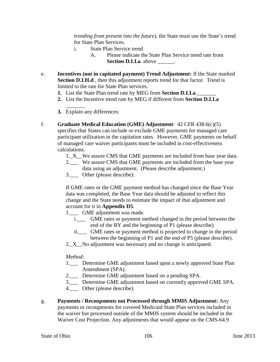*trending from present into the future)*, the State must use the State's trend for State Plan Services.

- i. State Plan Service trend
	- A. Please indicate the State Plan Service trend rate from **Section D.I.I.a.** above  $\qquad$ .
- e. **Incentives (not in capitated payment) Trend Adjustment:** If the State marked **Section D.I.H.d** , then this adjustment reports trend for that factor. Trend is limited to the rate for State Plan services.
	- **1.** List the State Plan trend rate by MEG from **Section D.I.I.a**.
	- **2.** List the Incentive trend rate by MEG if different from **Section D.I.I.a**
	- $\overline{\phantom{a}}$ **3.** Explain any differences:
- f. **Graduate Medical Education (GME) Adjustment**: 42 CFR 438.6(c)(5) specifies that States can include or exclude GME payments for managed care participant utilization in the capitation rates. However, GME payments on behalf of managed care waiver participants must be included in cost-effectiveness calculations.
	- 1.\_X\_\_We assure CMS that GME payments are included from base year data.
	- 2.\_\_\_ We assure CMS that GME payments are included from the base year data using an adjustment. (Please describe adjustment.)
	- 3.\_\_\_ Other (please describe):

If GME rates or the GME payment method has changed since the Base Year data was completed, the Base Year data should be adjusted to reflect this change and the State needs to estimate the impact of that adjustment and account for it in **Appendix D5**.

- 1. GME adjustment was made.
	- i.\_\_\_ GME rates or payment method changed in the period between the end of the BY and the beginning of P1 (please describe).
	- ii.\_\_\_ GME rates or payment method is projected to change in the period between the beginning of P1 and the end of P5 (please describe).
- 2.<sub>\_</sub>X\_\_No adjustment was necessary and no change is anticipated.

#### *Method:*

- 1.\_\_\_ Determine GME adjustment based upon a newly approved State Plan Amendment (SPA).
- 2.\_\_\_ Determine GME adjustment based on a pending SPA.
- 3.\_\_\_ Determine GME adjustment based on currently approved GME SPA.
- 4.\_\_\_ Other (please describe):
- g. **Payments / Recoupments not Processed through MMIS Adjustment:** Any
	- payments or recoupments for covered Medicaid State Plan services included in the waiver but processed outside of the MMIS system should be included in the Waiver Cost Projection. Any adjustments that would appear on the CMS-64.9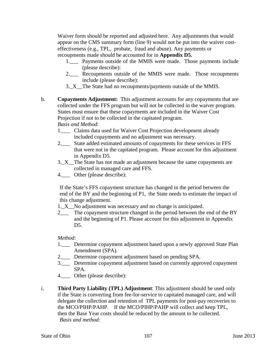Waiver form should be reported and adjusted here. Any adjustments that would appear on the CMS summary form (line 9) would not be put into the waiver costeffectiveness (e.g., TPL, probate, fraud and abuse). Any payments or recoupments made should be accounted for in **Appendix D5.**

- 1.\_\_\_ Payments outside of the MMIS were made. Those payments include (please describe):
- 2.\_\_\_ Recoupments outside of the MMIS were made. Those recoupments include (please describe):
- 3.\_X\_\_The State had no recoupments/payments outside of the MMIS.
- h. **Copayments Adjustment:** This adjustment accounts for any copayments that are collected under the FFS program but will not be collected in the waiver program. States must ensure that these copayments are included in the Waiver Cost Projection if not to be collected in the capitated program. *Basis and Method*:
	- 1.\_\_\_ Claims data used for Waiver Cost Projection development already included copayments and no adjustment was necessary.
	- 2.\_\_\_ State added estimated amounts of copayments for these services in FFS that were not in the capitated program. Please account for this adjustment in Appendix D5.
	- 3.\_X\_\_The State has not made an adjustment because the same copayments are collected in managed care and FFS.
	- 4.\_\_\_ Other (please describe):

If the State's FFS copayment structure has changed in the period between the end of the BY and the beginning of P1, the State needs to estimate the impact of this change adjustment.

- 1. X No adjustment was necessary and no change is anticipated.
- 2\_\_\_ The copayment structure changed in the period between the end of the BY and the beginning of P1. Please account for this adjustment in Appendix D<sub>5</sub>.

## *Method:*

- 1. Determine copayment adjustment based upon a newly approved State Plan Amendment (SPA).
- 2.\_\_\_ Determine copayment adjustment based on pending SPA.
- 3.\_\_\_ Determine copayment adjustment based on currently approved copayment SPA.
- 4.\_\_\_ Other (please describe):
- i. **Third Party Liability (TPL) Adjustment**: This adjustment should be used only if the State is converting from fee-for-service to capitated managed care, and will delegate the collection and retention of TPL payments for post-pay recoveries to the MCO/PIHP/PAHP. If the MCO/PIHP/PAHP will collect and keep TPL, then the Base Year costs should be reduced by the amount to be collected. *Basis and method:*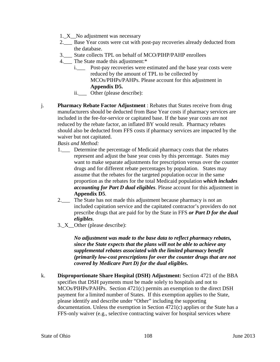- 1. X No adjustment was necessary
- 2.\_\_\_ Base Year costs were cut with post-pay recoveries already deducted from the database.
- 3.\_\_\_ State collects TPL on behalf of MCO/PIHP/PAHP enrollees
- 4. The State made this adjustment:\*
	- i.\_\_\_ Post-pay recoveries were estimated and the base year costs were reduced by the amount of TPL to be collected by MCOs/PIHPs/PAHPs. Please account for this adjustment in **Appendix D5.**
	- ii.\_\_\_ Other (please describe):
- j. **Pharmacy Rebate Factor Adjustment** : Rebates that States receive from drug manufacturers should be deducted from Base Year costs if pharmacy services are included in the fee-for-service or capitated base. If the base year costs are not reduced by the rebate factor, an inflated BY would result. Pharmacy rebates should also be deducted from FFS costs if pharmacy services are impacted by the waiver but not capitated.

*Basis and Method:*

- 1.\_\_\_ Determine the percentage of Medicaid pharmacy costs that the rebates represent and adjust the base year costs by this percentage. States may want to make separate adjustments for prescription versus over the counter drugs and for different rebate percentages by population. States may assume that the rebates for the targeted population occur in the same proportion as the rebates for the total Medicaid population *which includes accounting for Part D dual eligibles*. Please account for this adjustment in **Appendix D5**.
- 2.\_\_\_ The State has not made this adjustment because pharmacy is not an included capitation service and the capitated contractor's providers do not prescribe drugs that are paid for by the State in FFS *or Part D for the dual eligibles*.
- 3.\_X\_\_Other (please describe):

*No adjustment was made to the base data to reflect pharmacy rebates, since the State expects that the plans will not be able to achieve any supplemental rebates associated with the limited pharmacy benefit (primarily low-cost prescriptions for over the counter drugs that are not covered by Medicare Part D) for the dual eligibles.* 

k. **Disproportionate Share Hospital (DSH) Adjustment:** Section 4721 of the BBA specifies that DSH payments must be made solely to hospitals and not to MCOs/PIHPs/PAHPs. Section 4721(c) permits an exemption to the direct DSH payment for a limited number of States. If this exemption applies to the State, please identify and describe under "Other" including the supporting documentation. Unless the exemption in Section 4721(c) applies or the State has a FFS-only waiver (e.g., selective contracting waiver for hospital services where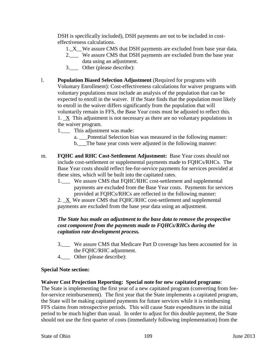DSH is specifically included), DSH payments are not to be included in costeffectiveness calculations.

- 1. X We assure CMS that DSH payments are excluded from base year data.
- 2.\_\_\_ We assure CMS that DSH payments are excluded from the base year data using an adjustment.
- 3.  $\Box$  Other (please describe):
- l. **Population Biased Selection Adjustment** (Required for programs with Voluntary Enrollment): Cost-effectiveness calculations for waiver programs with voluntary populations must include an analysis of the population that can be expected to enroll in the waiver. If the State finds that the population most likely to enroll in the waiver differs significantly from the population that will voluntarily remain in FFS, the Base Year costs must be adjusted to reflect this. 1. \_X This adjustment is not necessary as there are no voluntary populations in the waiver program.
	- 1.\_\_\_ This adjustment was made:
		- a. \_\_\_Potential Selection bias was measured in the following manner:
		- b.\_\_\_The base year costs were adjusted in the following manner:
- m. **FQHC and RHC Cost-Settlement Adjustment:** Base Year costs should not include cost-settlement or supplemental payments made to FQHCs/RHCs. The Base Year costs should reflect fee-for-service payments for services provided at these sites, which will be built into the capitated rates.
	- 1. We assure CMS that FQHC/RHC cost-settlement and supplemental payments are excluded from the Base Year costs. Payments for services provided at FQHCs/RHCs are reflected in the following manner:
	- 2. X We assure CMS that FQHC/RHC cost-settlement and supplemental payments are excluded from the base year data using an adjustment.

### *The State has made an adjustment to the base data to remove the prospective cost component from the payments made to FQHCs/RHCs during the capitation rate development process.*

- 3.\_\_\_ We assure CMS that Medicare Part D coverage has been accounted for in the FQHC/RHC adjustment.
- 4. Other (please describe):

#### **Special Note section:**

#### **Waiver Cost Projection Reporting: Special note for new capitated programs**:

The State is implementing the first year of a new capitated program (converting from feefor-service reimbursement). The first year that the State implements a capitated program, the State will be making capitated payments for future services while it is reimbursing FFS claims from retrospective periods. This will cause State expenditures in the initial period to be much higher than usual. In order to adjust for this double payment, the State should not use the first quarter of costs (immediately following implementation) from the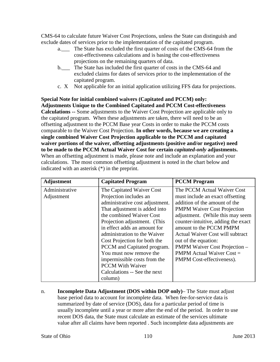CMS-64 to calculate future Waiver Cost Projections, unless the State can distinguish and exclude dates of services prior to the implementation of the capitated program.

- a. The State has excluded the first quarter of costs of the CMS-64 from the cost-effectiveness calculations and is basing the cost-effectiveness projections on the remaining quarters of data.
- b. The State has included the first quarter of costs in the CMS-64 and excluded claims for dates of services prior to the implementation of the capitated program.
- c. X Not applicable for an initial application utilizing FFS data for projections.

**Special Note for initial combined waivers (Capitated and PCCM) only: Adjustments Unique to the Combined Capitated and PCCM Cost-effectiveness Calculations --** Some adjustments to the Waiver Cost Projection are applicable only to the capitated program. When these adjustments are taken, there will need to be an offsetting adjustment to the PCCM Base year Costs in order to make the PCCM costs comparable to the Waiver Cost Projection. **In other words, because we are creating a single combined Waiver Cost Projection applicable to the PCCM and capitated waiver portions of the waiver, offsetting adjustments (positive and/or negative) need to be made to the PCCM Actual Waiver Cost for certain** *capitated-only* **adjustments.** When an offsetting adjustment is made, please note and include an explanation and your calculations. The most common offsetting adjustment is noted in the chart below and indicated with an asterisk (\*) in the preprint.

| <b>Adjustment</b> | <b>Capitated Program</b>        | <b>PCCM</b> Program                     |
|-------------------|---------------------------------|-----------------------------------------|
| Administrative    | The Capitated Waiver Cost       | The PCCM Actual Waiver Cost             |
| Adjustment        | Projection includes an          | must include an exact offsetting        |
|                   | administrative cost adjustment. | addition of the amount of the           |
|                   | That adjustment is added into   | <b>PMPM Waiver Cost Projection</b>      |
|                   | the combined Waiver Cost        | adjustment. (While this may seem        |
|                   | Projection adjustment. (This    | counter-intuitive, adding the exact     |
|                   | in effect adds an amount for    | amount to the PCCM PMPM                 |
|                   | administration to the Waiver    | <b>Actual Waiver Cost will subtract</b> |
|                   | Cost Projection for both the    | out of the equation:                    |
|                   | PCCM and Capitated program.     | PMPM Waiver Cost Projection -           |
|                   | You must now remove the         | <b>PMPM</b> Actual Waiver $Cost =$      |
|                   | impermissible costs from the    | PMPM Cost-effectiveness).               |
|                   | <b>PCCM</b> With Waiver         |                                         |
|                   | Calculations -- See the next    |                                         |
|                   | column)                         |                                         |

n. **Incomplete Data Adjustment (DOS within DOP only)**– The State must adjust base period data to account for incomplete data. When fee-for-service data is summarized by date of service (DOS), data for a particular period of time is usually incomplete until a year or more after the end of the period. In order to use recent DOS data, the State must calculate an estimate of the services ultimate value after all claims have been reported . Such incomplete data adjustments are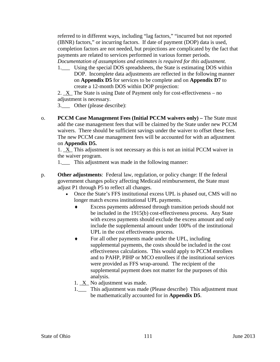referred to in different ways, including "lag factors," "incurred but not reported (IBNR) factors," or incurring factors. If date of payment (DOP) data is used, completion factors are not needed, but projections are complicated by the fact that payments are related to services performed in various former periods. *Documentation of assumptions and estimates is required for this adjustment.*

1.\_\_\_ Using the special DOS spreadsheets, the State is estimating DOS within DOP. Incomplete data adjustments are reflected in the following manner on **Appendix D5** for services to be complete and on **Appendix D7** to create a 12-month DOS within DOP projection:

2.  $X$  The State is using Date of Payment only for cost-effectiveness – no adjustment is necessary.

3.\_\_\_ Other (please describe):

o. **PCCM Case Management Fees (Initial PCCM waivers only) –** The State must add the case management fees that will be claimed by the State under new PCCM waivers. There should be sufficient savings under the waiver to offset these fees. The new PCCM case management fees will be accounted for with an adjustment on **Appendix D5.**

1. \_X\_ This adjustment is not necessary as this is not an initial PCCM waiver in the waiver program.

1.\_\_\_ This adjustment was made in the following manner:

- p. **Other adjustments**: Federal law, regulation, or policy change: If the federal government changes policy affecting Medicaid reimbursement, the State must adjust P1 through P5 to reflect all changes.
	- Once the State's FFS institutional excess UPL is phased out, CMS will no longer match excess institutional UPL payments.
		- Excess payments addressed through transition periods should not be included in the 1915(b) cost-effectiveness process. Any State with excess payments should exclude the excess amount and only include the supplemental amount under 100% of the institutional UPL in the cost effectiveness process.
		- ♦ For all other payments made under the UPL, including supplemental payments, the costs should be included in the cost effectiveness calculations. This would apply to PCCM enrollees and to PAHP, PIHP or MCO enrollees if the institutional services were provided as FFS wrap-around. The recipient of the supplemental payment does not matter for the purposes of this analysis.
		- 1. \_X\_ No adjustment was made.
		- 1.\_\_\_ This adjustment was made (Please describe) This adjustment must be mathematically accounted for in **Appendix D5**.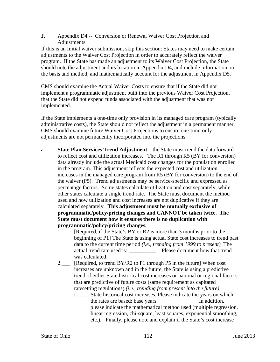**J.** Appendix D4 -- Conversion or Renewal Waiver Cost Projection and Adjustments.

If this is an Initial waiver submission, skip this section: States may need to make certain adjustments to the Waiver Cost Projection in order to accurately reflect the waiver program. If the State has made an adjustment to its Waiver Cost Projection, the State should note the adjustment and its location in Appendix D4, and include information on the basis and method, and mathematically account for the adjustment in Appendix D5.

CMS should examine the Actual Waiver Costs to ensure that if the State did not implement a programmatic adjustment built into the previous Waiver Cost Projection, that the State did not expend funds associated with the adjustment that was not implemented.

If the State implements a one-time only provision in its managed care program (typically administrative costs), the State should not reflect the adjustment in a permanent manner. CMS should examine future Waiver Cost Projections to ensure one-time-only adjustments are not permanently incorporated into the projections.

- a. **State Plan Services Trend Adjustment**  the State must trend the data forward to reflect cost and utilization increases. The R1 through R5 (BY for conversion) data already include the actual Medicaid cost changes for the population enrolled in the program. This adjustment reflects the expected cost and utilization increases in the managed care program from R5 (BY for conversion) to the end of the waiver (P5). Trend adjustments may be service-specific and expressed as percentage factors. Some states calculate utilization and cost separately, while other states calculate a single trend rate. The State must document the method used and how utilization and cost increases are not duplicative if they are calculated separately. **This adjustment must be mutually exclusive of programmatic/policy/pricing changes and CANNOT be taken twice. The State must document how it ensures there is no duplication with programmatic/policy/pricing changes.**
	- 1. [Required, if the State's BY or R2 is more than 3 months prior to the beginning of P1] The State is using actual State cost increases to trend past data to the current time period *(i.e., trending from 1999 to present)* The actual trend rate used is:  $\qquad \qquad$  . Please document how that trend was calculated:
	- 2.\_\_\_ [Required, to trend BY/R2 to P1 through P5 in the future] When cost increases are unknown and in the future, the State is using a predictive trend of either State historical cost increases or national or regional factors that are predictive of future costs (same requirement as capitated ratesetting regulations) *(i.e., trending from present into the future)*.
		- i. State historical cost increases. Please indicate the years on which the rates are based: base years\_\_\_\_\_\_\_\_\_\_\_\_\_\_\_ In addition, please indicate the mathematical method used (multiple regression, linear regression, chi-square, least squares, exponential smoothing, etc.). Finally, please note and explain if the State's cost increase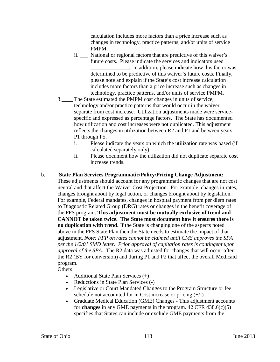calculation includes more factors than a price increase such as changes in technology, practice patterns, and/or units of service PMPM.

- ii. \_\_\_ National or regional factors that are predictive of this waiver's future costs. Please indicate the services and indicators used \_\_\_\_\_\_\_\_\_\_\_\_\_\_. In addition, please indicate how this factor was determined to be predictive of this waiver's future costs. Finally, please note and explain if the State's cost increase calculation includes more factors than a price increase such as changes in technology, practice patterns, and/or units of service PMPM.
- 3.\_\_\_\_ The State estimated the PMPM cost changes in units of service, technology and/or practice patterns that would occur in the waiver separate from cost increase. Utilization adjustments made were servicespecific and expressed as percentage factors. The State has documented how utilization and cost increases were not duplicated. This adjustment reflects the changes in utilization between R2 and P1 and between years P1 through P5.
	- i. Please indicate the years on which the utilization rate was based (if calculated separately only).
	- ii. Please document how the utilization did not duplicate separate cost increase trends.

# b. \_\_\_\_ **State Plan Services Programmatic/Policy/Pricing Change Adjustment:**

These adjustments should account for any programmatic changes that are not cost neutral and that affect the Waiver Cost Projection. For example, changes in rates, changes brought about by legal action, or changes brought about by legislation. For example, Federal mandates, changes in hospital payment from per diem rates to Diagnostic Related Group (DRG) rates or changes in the benefit coverage of the FFS program. **This adjustment must be mutually exclusive of trend and CANNOT be taken twice. The State must document how it ensures there is no duplication with trend.** If the State is changing one of the aspects noted above in the FFS State Plan then the State needs to estimate the impact of that adjustment. *Note: FFP on rates cannot be claimed until CMS approves the SPA per the 1/2/01 SMD letter. Prior approval of capitation rates is contingent upon approval of the SPA*. The R2 data was adjusted for changes that will occur after the R2 (BY for conversion) and during P1 and P2 that affect the overall Medicaid program.

Others:

- Additional State Plan Services  $(+)$
- Reductions in State Plan Services (-)
- Legislative or Court Mandated Changes to the Program Structure or fee schedule not accounted for in Cost increase or pricing  $(+/-)$
- Graduate Medical Education (GME) Changes This adjustment accounts for **changes** in any GME payments in the program. 42 CFR 438.6(c)(5) specifies that States can include or exclude GME payments from the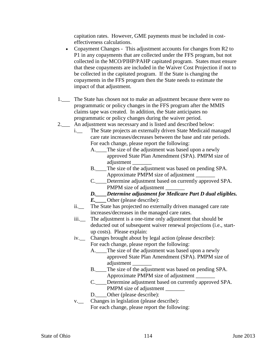capitation rates. However, GME payments must be included in costeffectiveness calculations.

- Copayment Changes This adjustment accounts for changes from R2 to P1 in any copayments that are collected under the FFS program, but not collected in the MCO/PIHP/PAHP capitated program. States must ensure that these copayments are included in the Waiver Cost Projection if not to be collected in the capitated program. If the State is changing the copayments in the FFS program then the State needs to estimate the impact of that adjustment.
- 1. The State has chosen not to make an adjustment because there were no programmatic or policy changes in the FFS program after the MMIS claims tape was created. In addition, the State anticipates no programmatic or policy changes during the waiver period.
- 2.\_\_\_ An adjustment was necessary and is listed and described below:
	- i.\_\_ The State projects an externally driven State Medicaid managed care rate increases/decreases between the base and rate periods. For each change, please report the following:
		- A. The size of the adjustment was based upon a newly approved State Plan Amendment (SPA). PMPM size of adjustment
		- B. The size of the adjustment was based on pending SPA. Approximate PMPM size of adjustment \_\_\_\_\_\_\_
		- C.\_\_\_\_Determine adjustment based on currently approved SPA. PMPM size of adjustment
		- *D.\_\_\_\_Determine adjustment for Medicare Part D dual eligibles.*
		- *E.* Other (please describe):
	- ii.\_\_ The State has projected no externally driven managed care rate increases/decreases in the managed care rates.
	- iii.\_\_ The adjustment is a one-time only adjustment that should be deducted out of subsequent waiver renewal projections (i.e., startup costs). Please explain:
	- iv.\_\_ Changes brought about by legal action (please describe): For each change, please report the following:
		- A. The size of the adjustment was based upon a newly approved State Plan Amendment (SPA). PMPM size of adjustment \_\_\_\_\_\_\_
		- B. The size of the adjustment was based on pending SPA. Approximate PMPM size of adjustment \_\_\_\_\_\_\_
		- C. Determine adjustment based on currently approved SPA. PMPM size of adjustment
		- D. Other (please describe):
	- v.\_\_ Changes in legislation (please describe):
		- For each change, please report the following: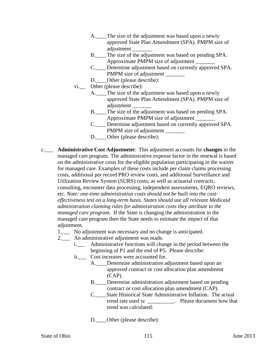- A. The size of the adjustment was based upon a newly approved State Plan Amendment (SPA). PMPM size of adiustment
- B.\_\_\_\_The size of the adjustment was based on pending SPA. Approximate PMPM size of adjustment \_\_\_\_\_\_\_
- C.\_\_\_\_Determine adjustment based on currently approved SPA. PMPM size of adjustment \_\_\_\_\_\_\_\_
- D. **Other (please describe):**
- vi.\_\_ Other (please describe):
	- A. The size of the adjustment was based upon a newly approved State Plan Amendment (SPA). PMPM size of adjustment \_\_\_\_\_\_\_
		- B. The size of the adjustment was based on pending SPA. Approximate PMPM size of adjustment \_\_\_\_\_\_\_
		- C.\_\_\_\_Determine adjustment based on currently approved SPA. PMPM size of adjustment
		- D. Other (please describe):
- c.\_\_\_ **Administrative Cost Adjustment:** This adjustment accounts for **changes** in the managed care program. The administrative expense factor in the renewal is based on the administrative costs for the eligible population participating in the waiver for managed care. Examples of these costs include per claim claims processing costs, additional per record PRO review costs, and additional Surveillance and Utilization Review System (SURS) costs; as well as actuarial contracts, consulting, encounter data processing, independent assessments, EQRO reviews, etc. *Note: one-time administration costs should not be built into the costeffectiveness test on a long-term basis. States should use all relevant Medicaid administration claiming rules for administration costs they attribute to the managed care program.* If the State is changing the administration in the managed care program then the State needs to estimate the impact of that adjustment.
	- 1. No adjustment was necessary and no change is anticipated.
	- 2.\_\_\_ An administrative adjustment was made.
		- i.\_\_\_ Administrative functions will change in the period between the beginning of P1 and the end of P5. Please describe:
		- ii.\_\_\_ Cost increases were accounted for.
			- A. Determine administration adjustment based upon an approved contract or cost allocation plan amendment (CAP).
				- B. Determine administration adjustment based on pending contract or cost allocation plan amendment (CAP).
				- C.\_\_\_\_State Historical State Administrative Inflation. The actual trend rate used is: \_\_\_\_\_\_\_\_\_\_. Please document how that trend was calculated:
				- D. Other (please describe):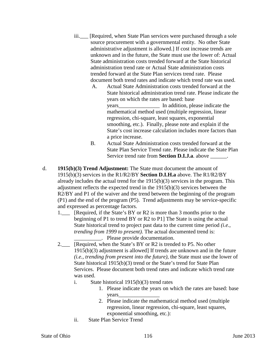- iii. [Required, when State Plan services were purchased through a sole source procurement with a governmental entity. No other State administrative adjustment is allowed.] If cost increase trends are unknown and in the future, the State must use the lower of: Actual State administration costs trended forward at the State historical administration trend rate or Actual State administration costs trended forward at the State Plan services trend rate. Please document both trend rates and indicate which trend rate was used.
	- A. Actual State Administration costs trended forward at the State historical administration trend rate. Please indicate the years on which the rates are based: base years\_\_\_\_\_\_\_\_\_\_\_\_\_\_\_ In addition, please indicate the mathematical method used (multiple regression, linear regression, chi-square, least squares, exponential smoothing, etc.). Finally, please note and explain if the State's cost increase calculation includes more factors than a price increase.
	- B. Actual State Administration costs trended forward at the State Plan Service Trend rate. Please indicate the State Plan Service trend rate from **Section D.I.J.a**. above \_\_\_\_\_\_.
- d. **1915(b)(3) Trend Adjustment:** The State must document the amount of 1915(b)(3) services in the R1/R2/BY **Section D.I.H.a** above. The R1/R2/BY already includes the actual trend for the 1915(b)(3) services in the program. This adjustment reflects the expected trend in the 1915(b)(3) services between the R2/BY and P1 of the waiver and the trend between the beginning of the program (P1) and the end of the program (P5). Trend adjustments may be service-specific and expressed as percentage factors.
	- 1. Required, if the State's BY or R2 is more than 3 months prior to the beginning of P1 to trend BY or R2 to P1] The State is using the actual State historical trend to project past data to the current time period *(i.e., trending from 1999 to present).* The actual documented trend is: \_\_\_\_\_\_\_\_\_\_. Please provide documentation.
	- 2. Required, when the State's BY or R2 is trended to P5. No other 1915(b)(3) adjustment is allowed] If trends are unknown and in the future *(i.e., trending from present into the future)*, the State must use the lower of State historical 1915(b)(3) trend or the State's trend for State Plan Services. Please document both trend rates and indicate which trend rate was used.
		- i. State historical 1915(b)(3) trend rates
			- 1. Please indicate the years on which the rates are based: base years\_\_\_\_\_\_\_\_\_\_\_\_\_\_\_
			- 2. Please indicate the mathematical method used (multiple regression, linear regression, chi-square, least squares, exponential smoothing, etc.):
		- ii. State Plan Service Trend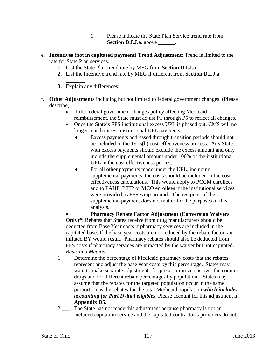- 1. Please indicate the State Plan Service trend rate from **Section D.I.J.a**. above  $\qquad$ .
- e. **Incentives (not in capitated payment) Trend Adjustment:** Trend is limited to the rate for State Plan services.
	- **1.** List the State Plan trend rate by MEG from **Section D.I.J.a** \_\_\_\_\_\_\_
	- **2.** List the Incentive trend rate by MEG if different from **Section D.I.J.a**.
	- $\overline{\phantom{a}}$ **3.** Explain any differences:
- f. **Other Adjustments** including but not limited to federal government changes. (Please describe):
	- If the federal government changes policy affecting Medicaid reimbursement, the State must adjust P1 through P5 to reflect all changes.
	- Once the State's FFS institutional excess UPL is phased out, CMS will no longer match excess institutional UPL payments.
		- ♦ Excess payments addressed through transition periods should not be included in the 1915(b) cost-effectiveness process. Any State with excess payments should exclude the excess amount and only include the supplemental amount under 100% of the institutional UPL in the cost effectiveness process.
		- For all other payments made under the UPL, including supplemental payments, the costs should be included in the cost effectiveness calculations. This would apply to PCCM enrollees and to PAHP, PIHP or MCO enrollees if the institutional services were provided as FFS wrap-around. The recipient of the supplemental payment does not matter for the purposes of this analysis.

• **Pharmacy Rebate Factor Adjustment (Conversion Waivers Only)\***: Rebates that States receive from drug manufacturers should be deducted from Base Year costs if pharmacy services are included in the capitated base. If the base year costs are not reduced by the rebate factor, an inflated BY would result. Pharmacy rebates should also be deducted from FFS costs if pharmacy services are impacted by the waiver but not capitated. *Basis and Method:*

- 1.\_\_\_ Determine the percentage of Medicaid pharmacy costs that the rebates represent and adjust the base year costs by this percentage. States may want to make separate adjustments for prescription versus over the counter drugs and for different rebate percentages by population. States may assume that the rebates for the targeted population occur in the same proportion as the rebates for the total Medicaid population *which includes accounting for Part D dual eligibles*. Please account for this adjustment in **Appendix D5**.
- 2. The State has not made this adjustment because pharmacy is not an included capitation service and the capitated contractor's providers do not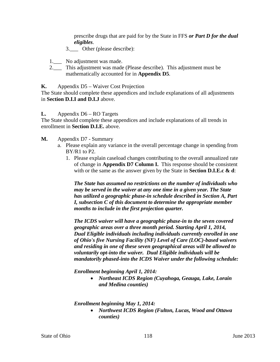prescribe drugs that are paid for by the State in FFS *or Part D for the dual eligibles*.

- 3. Other (please describe):
- 1.\_\_\_ No adjustment was made.
- 2.\_\_\_ This adjustment was made (Please describe). This adjustment must be mathematically accounted for in **Appendix D5**.

#### **K.** Appendix D5 – Waiver Cost Projection

The State should complete these appendices and include explanations of all adjustments in **Section D.I.I and D.I.J** above.

#### **L.** Appendix D6 – RO Targets

The State should complete these appendices and include explanations of all trends in enrollment in **Section D.I.E.** above.

- **M.** Appendix D7 Summary
	- a. Please explain any variance in the overall percentage change in spending from BY/R1 to P2.
		- 1. Please explain caseload changes contributing to the overall annualized rate of change in **Appendix D7 Column I.** This response should be consistent with or the same as the answer given by the State in **Section D.I.E.c & d**:

*The State has assumed no restrictions on the number of individuals who may be served in the waiver at any one time in a given year. The State has utilized a geographic phase-in schedule described in Section A, Part I, subsection C of this document to determine the appropriate member months to include in the first projection quarter.* 

*The ICDS waiver will have a geographic phase-in to the seven covered geographic areas over a three month period. Starting April 1, 2014, Dual Eligible individuals including individuals currently enrolled in one of Ohio's five Nursing Facility (NF) Level of Care (LOC)-based waivers and residing in one of these seven geographical areas will be allowed to voluntarily opt-into the waiver. Dual Eligible individuals will be mandatorily phased-into the ICDS Waiver under the following schedule:* 

*Enrollment beginning April 1, 2014:*

• *Northeast ICDS Region (Cuyahoga, Geauga, Lake, Lorain and Medina counties)*

*Enrollment beginning May 1, 2014:*

• *Northwest ICDS Region (Fulton, Lucas, Wood and Ottawa counties)*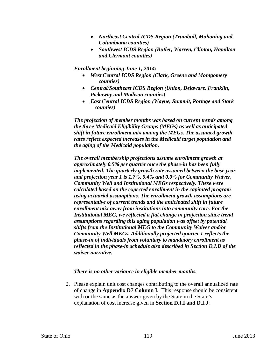- *Northeast Central ICDS Region (Trumbull, Mahoning and Columbiana counties)*
- *Southwest ICDS Region (Butler, Warren, Clinton, Hamilton and Clermont counties)*

*Enrollment beginning June 1, 2014:*

- *West Central ICDS Region (Clark, Greene and Montgomery counties)*
- *Central/Southeast ICDS Region (Union, Delaware, Franklin, Pickaway and Madison counties)*
- *East Central ICDS Region (Wayne, Summit, Portage and Stark counties)*

*The projection of member months was based on current trends among the three Medicaid Eligibility Groups (MEGs) as well as anticipated shift in future enrollment mix among the MEGs. The assumed growth rates reflect expected increases in the Medicaid target population and the aging of the Medicaid population.* 

*The overall membership projections assume enrollment growth at approximately 0.5% per quarter once the phase-in has been fully implemented. The quarterly growth rate assumed between the base year and projection year 1 is 1.7%, 0.4% and 0.0% for Community Waiver, Community Well and Institutional MEGs respectively. These were calculated based on the expected enrollment in the capitated program using actuarial assumptions. The enrollment growth assumptions are representative of current trends and the anticipated shift in future enrollment mix away from institutions into community care. For the Institutional MEG, we reflected a flat change in projection since trend assumptions regarding this aging population was offset by potential shifts from the Institutional MEG to the Community Waiver and/or Community Well MEGs. Additionally projected quarter 1 reflects the phase-in of individuals from voluntary to mandatory enrollment as reflected in the phase-in schedule also described in Section D.I.D of the waiver narrative.*

#### *There is no other variance in eligible member months.*

2. Please explain unit cost changes contributing to the overall annualized rate of change in **Appendix D7 Column I.** This response should be consistent with or the same as the answer given by the State in the State's explanation of cost increase given in **Section D.I.I and D.I.J**: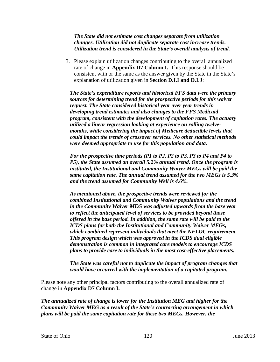*The State did not estimate cost changes separate from utilization changes. Utilization did not duplicate separate cost increase trends. Utilization trend is considered in the State's overall analysis of trend.* 

3. Please explain utilization changes contributing to the overall annualized rate of change in **Appendix D7 Column I.** This response should be consistent with or the same as the answer given by the State in the State's explanation of utilization given in **Section D.I.I and D.I.J**:

*The State's expenditure reports and historical FFS data were the primary sources for determining trend for the prospective periods for this waiver request. The State considered historical year over year trends in developing trend estimates and also changes to the FFS Medicaid program, consistent with the development of capitation rates. The actuary utilized a linear regression looking at experience on rolling twelvemonths, while considering the impact of Medicare deductible levels that could impact the trends of crossover services. No other statistical methods were deemed appropriate to use for this population and data.*

*For the prospective time periods (P1 to P2, P2 to P3, P3 to P4 and P4 to P5), the State assumed an overall 5.2% annual trend. Once the program is instituted, the Institutional and Community Waiver MEGs will be paid the same capitation rate. The annual trend assumed for the two MEGs is 5.3% and the trend assumed for Community Well is 4.6%.*

*As mentioned above, the prospective trends were reviewed for the combined Institutional and Community Waiver populations and the trend in the Community Waiver MEG was adjusted upwards from the base year to reflect the anticipated level of services to be provided beyond those offered in the base period. In addition, the same rate will be paid to the ICDS plans for both the Institutional and Community Waiver MEGs, which combined represent individuals that meet the NFLOC requirement. This program design which was approved in the ICDS dual eligible demonstration is common in integrated care models to encourage ICDS plans to provide care to individuals in the most cost-effective placements.*

*The State was careful not to duplicate the impact of program changes that would have occurred with the implementation of a capitated program.*

Please note any other principal factors contributing to the overall annualized rate of change in **Appendix D7 Column I.**

*The annualized rate of change is lower for the Institution MEG and higher for the Community Waiver MEG as a result of the State's contracting arrangement in which plans will be paid the same capitation rate for these two MEGs. However, the*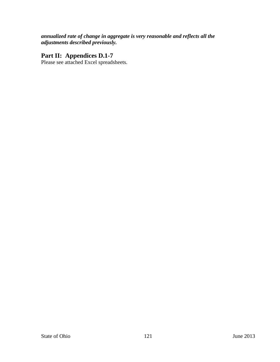# *annualized rate of change in aggregate is very reasonable and reflects all the adjustments described previously.*

# **Part II: Appendices D.1-7**

Please see attached Excel spreadsheets.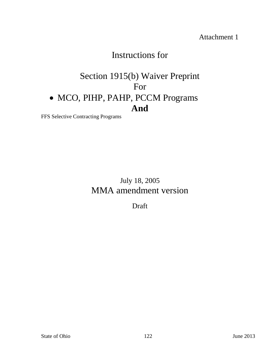Attachment 1

# Instructions for

# Section 1915(b) Waiver Preprint For • MCO, PIHP, PAHP, PCCM Programs **And**

FFS Selective Contracting Programs

July 18, 2005 MMA amendment version

Draft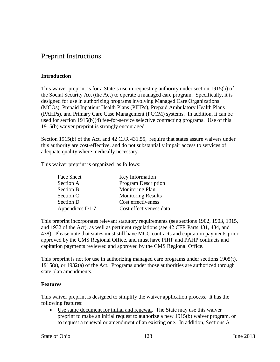# Preprint Instructions

# **Introduction**

This waiver preprint is for a State's use in requesting authority under section 1915(b) of the Social Security Act (the Act) to operate a managed care program. Specifically, it is designed for use in authorizing programs involving Managed Care Organizations (MCOs), Prepaid Inpatient Health Plans (PIHPs), Prepaid Ambulatory Health Plans (PAHPs), and Primary Care Case Management (PCCM) systems. In addition, it can be used for section 1915(b)(4) fee-for-service selective contracting programs. Use of this 1915(b) waiver preprint is strongly encouraged.

Section 1915(b) of the Act, and 42 CFR 431.55, require that states assure waivers under this authority are cost-effective, and do not substantially impair access to services of adequate quality where medically necessary.

This waiver preprint is organized as follows:

| Face Sheet       | Key Information            |
|------------------|----------------------------|
| Section A        | <b>Program Description</b> |
| <b>Section B</b> | <b>Monitoring Plan</b>     |
| Section C        | <b>Monitoring Results</b>  |
| Section D        | Cost effectiveness         |
| Appendices D1-7  | Cost effectiveness data    |

This preprint incorporates relevant statutory requirements (see sections 1902, 1903, 1915, and 1932 of the Act), as well as pertinent regulations (see 42 CFR Parts 431, 434, and 438). Please note that states must still have MCO contracts and capitation payments prior approved by the CMS Regional Office, and must have PIHP and PAHP contracts and capitation payments reviewed and approved by the CMS Regional Office.

This preprint is not for use in authorizing managed care programs under sections 1905(t), 1915(a), or 1932(a) of the Act. Programs under those authorities are authorized through state plan amendments.

# **Features**

This waiver preprint is designed to simplify the waiver application process. It has the following features:

• Use same document for initial and renewal. The State may use this waiver preprint to make an initial request to authorize a new 1915(b) waiver program, or to request a renewal or amendment of an existing one. In addition, Sections A

State of Ohio 123 June 2013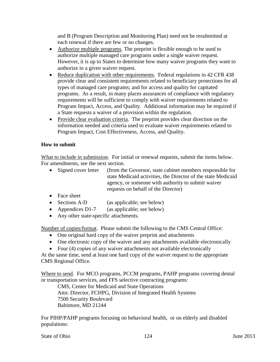and B (Program Description and Monitoring Plan) need not be resubmitted at each renewal if there are few or no changes.

- Authorize multiple programs. The preprint is flexible enough to be used to authorize multiple managed care programs under a single waiver request. However, it is up to States to determine how many waiver programs they want to authorize in a given waiver request.
- Reduce duplication with other requirements. Federal regulations in 42 CFR 438 provide clear and consistent requirements related to beneficiary protections for all types of managed care programs; and for access and quality for capitated programs. As a result, in many places assurances of compliance with regulatory requirements will be sufficient to comply with waiver requirements related to Program Impact, Access, and Quality. Additional information may be required if a State requests a waiver of a provision within the regulation.
- Provide clear evaluation criteria. The preprint provides clear direction on the information needed and criteria used to evaluate waiver requirements related to Program Impact, Cost Effectiveness, Access, and Quality.

# **How to submit**

What to include in submission. For initial or renewal requests, submit the items below. For amendments, see the next section.

- Signed cover letter (from the Governor, state cabinet members responsible for state Medicaid activities, the Director of the state Medicaid agency, or someone with authority to submit waiver requests on behalf of the Director)
- Face sheet
- Sections A-D (as applicable; see below)
- Appendices D1-7 (as applicable; see below)
- Any other state-specific attachments.

Number of copies/format. Please submit the following to the CMS Central Office:

- One original hard copy of the waiver preprint and attachments
- One electronic copy of the waiver and any attachments available electronically
- Four (4) copies of any waiver attachments not available electronically

At the same time, send at least one hard copy of the waiver request to the appropriate CMS Regional Office.

Where to send. For MCO programs, PCCM programs, PAHP programs covering dental or transportation services, and FFS selective contracting programs:

CMS, Center for Medicaid and State Operations Attn: Director, FCHPG, Division of Integrated Health Systems 7500 Security Boulevard Baltimore, MD 21244

For PIHP/PAHP programs focusing on behavioral health, or on elderly and disabled populations:

State of Ohio 124 June 2013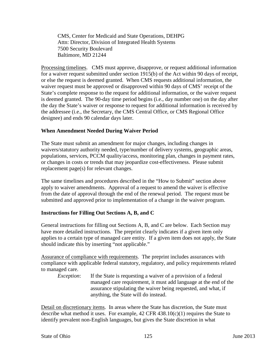CMS, Center for Medicaid and State Operations, DEHPG Attn: Director, Division of Integrated Health Systems 7500 Security Boulevard Baltimore, MD 21244

Processing timelines. CMS must approve, disapprove, or request additional information for a waiver request submitted under section 1915(b) of the Act within 90 days of receipt, or else the request is deemed granted. When CMS requests additional information, the waiver request must be approved or disapproved within 90 days of CMS' receipt of the State's complete response to the request for additional information, or the waiver request is deemed granted. The 90-day time period begins (i.e., day number one) on the day after the day the State's waiver or response to request for additional information is received by the addressee (i.e., the Secretary, the CMS Central Office, or CMS Regional Office designee) and ends 90 calendar days later.

# **When Amendment Needed During Waiver Period**

The State must submit an amendment for major changes, including changes in waivers/statutory authority needed, type/number of delivery systems, geographic areas, populations, services, PCCM quality/access, monitoring plan, changes in payment rates, or changes in costs or trends that may jeopardize cost-effectiveness. Please submit replacement page(s) for relevant changes.

The same timelines and procedures described in the "How to Submit" section above apply to waiver amendments. Approval of a request to amend the waiver is effective from the date of approval through the end of the renewal period. The request must be submitted and approved prior to implementation of a change in the waiver program.

# **Instructions for Filling Out Sections A, B, and C**

General instructions for filling out Sections A, B, and C are below. Each Section may have more detailed instructions. The preprint clearly indicates if a given item only applies to a certain type of managed care entity. If a given item does not apply, the State should indicate this by inserting "not applicable."

Assurance of compliance with requirements. The preprint includes assurances with compliance with applicable federal statutory, regulatory, and policy requirements related to managed care.

*Exception*: If the State is requesting a waiver of a provision of a federal managed care requirement, it must add language at the end of the assurance stipulating the waiver being requested, and what, if anything, the State will do instead.

Detail on discretionary items. In areas where the State has discretion, the State must describe what method it uses. For example, 42 CFR 438.10(c)(1) requires the State to identify prevalent non-English languages, but gives the State discretion in what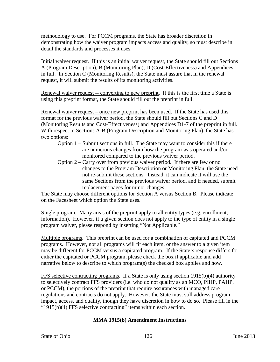methodology to use. For PCCM programs, the State has broader discretion in demonstrating how the waiver program impacts access and quality, so must describe in detail the standards and processes it uses.

Initial waiver request. If this is an initial waiver request, the State should fill out Sections A (Program Description), B (Monitoring Plan), D (Cost-Effectiveness) and Appendices in full. In Section C (Monitoring Results), the State must assure that in the renewal request, it will submit the results of its monitoring activities.

Renewal waiver request -- converting to new preprint. If this is the first time a State is using this preprint format, the State should fill out the preprint in full.

Renewal waiver request – once new preprint has been used. If the State has used this format for the previous waiver period, the State should fill out Sections C and D (Monitoring Results and Cost-Effectiveness) and Appendices D1-7 of the preprint in full. With respect to Sections A-B (Program Description and Monitoring Plan), the State has two options:

- Option 1 Submit sections in full. The State may want to consider this if there are numerous changes from how the program was operated and/or monitored compared to the previous waiver period.
- Option 2 Carry over from previous waiver period. If there are few or no changes to the Program Description or Monitoring Plan, the State need not re-submit these sections. Instead, it can indicate it will use the same Sections from the previous waiver period, and if needed, submit replacement pages for minor changes.

The State may choose different options for Section A versus Section B. Please indicate on the Facesheet which option the State uses.

Single program. Many areas of the preprint apply to all entity types (e.g. enrollment, information). However, if a given section does not apply to the type of entity in a single program waiver, please respond by inserting "Not Applicable."

Multiple programs. This preprint can be used for a combination of capitated and PCCM programs. However, not all programs will fit each item, or the answer to a given item may be different for PCCM versus a capitated program. If the State's response differs for either the capitated or PCCM program, please check the box if applicable and add narrative below to describe to which program(s) the checked box applies and how.

FFS selective contracting programs. If a State is only using section 1915(b)(4) authority to selectively contract FFS providers (i.e. who do not qualify as an MCO, PIHP, PAHP, or PCCM), the portions of the preprint that require assurances with managed care regulations and contracts do not apply. However, the State must still address program impact, access, and quality, though they have discretion in how to do so. Please fill in the "1915(b)(4) FFS selective contracting" items within each section.

# **MMA 1915(b) Amendment Instructions**

State of Ohio 126 June 2013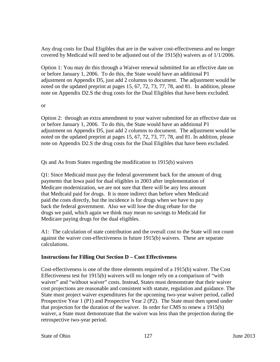Any drug costs for Dual Eligibles that are in the waiver cost-effectiveness and no longer covered by Medicaid will need to be adjusted out of the 1915(b) waivers as of 1/1/2006.

Option 1: You may do this through a Waiver renewal submitted for an effective date on or before January 1, 2006. To do this, the State would have an additional P1 adjustment on Appendix D5, just add 2 columns to document. The adjustment would be noted on the updated preprint at pages 15, 67, 72, 73, 77, 78, and 81. In addition, please note on Appendix D2.S the drug costs for the Dual Eligibles that have been excluded.

### or

Option 2: through an extra amendment to your waiver submitted for an effective date on or before January 1, 2006. To do this, the State would have an additional P1 adjustment on Appendix D5, just add 2 columns to document. The adjustment would be noted on the updated preprint at pages 15, 67, 72, 73, 77, 78, and 81. In addition, please note on Appendix D2.S the drug costs for the Dual Eligibles that have been excluded.

Qs and As from States regarding the modification to 1915(b) waivers

Q1: Since Medicaid must pay the federal government back for the amount of drug payments that Iowa paid for dual eligibles in 2003 after implementation of Medicare modernization, we are not sure that there will be any less amount that Medicaid paid for drugs. It is more indirect than before when Medicaid paid the costs directly, but the incidence is for drugs when we have to pay back the federal government. Also we will lose the drug rebate for the drugs we paid, which again we think may mean no savings to Medicaid for Medicare paying drugs for the dual eligibles.

A1: The calculation of state contribution and the overall cost to the State will not count against the waiver cost-effectiveness in future 1915(b) waivers. These are separate calculations.

# **Instructions for Filling Out Section D – Cost Effectiveness**

Cost-effectiveness is one of the three elements required of a 1915(b) waiver. The Cost Effectiveness test for 1915(b) waivers will no longer rely on a comparison of "with waiver" and "without waiver" costs. Instead, States must demonstrate that their waiver cost projections are reasonable and consistent with statute, regulation and guidance. The State must project waiver expenditures for the upcoming two-year waiver period, called Prospective Year 1 (P1) and Prospective Year 2 (P2). The State must then spend under that projection for the duration of the waiver. In order for CMS to renew a 1915(b) waiver, a State must demonstrate that the waiver was less than the projection during the retrospective two-year period.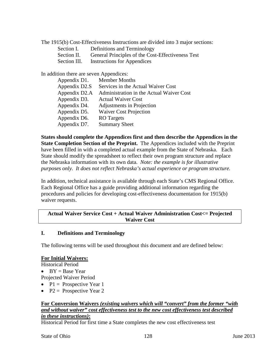The 1915(b) Cost-Effectiveness Instructions are divided into 3 major sections:

- Section I. Definitions and Terminology
- Section II. General Principles of the Cost-Effectiveness Test
- Section III. Instructions for Appendices

In addition there are seven Appendices:

| Appendix D1.  | <b>Member Months</b>                     |
|---------------|------------------------------------------|
| Appendix D2.S | Services in the Actual Waiver Cost       |
| Appendix D2.A | Administration in the Actual Waiver Cost |
| Appendix D3.  | <b>Actual Waiver Cost</b>                |
| Appendix D4.  | Adjustments in Projection                |
| Appendix D5.  | <b>Waiver Cost Projection</b>            |
| Appendix D6.  | <b>RO</b> Targets                        |
| Appendix D7.  | <b>Summary Sheet</b>                     |

**States should complete the Appendices first and then describe the Appendices in the State Completion Section of the Preprint.** The Appendices included with the Preprint have been filled in with a completed actual example from the State of Nebraska. Each State should modify the spreadsheet to reflect their own program structure and replace the Nebraska information with its own data. *Note: the example is for illustrative purposes only. It does not reflect Nebraska's actual experience or program structure.*

In addition, technical assistance is available through each State's CMS Regional Office. Each Regional Office has a guide providing additional information regarding the procedures and policies for developing cost-effectiveness documentation for 1915(b) waiver requests.

### **Actual Waiver Service Cost + Actual Waiver Administration Cost<= Projected Waiver Cost**

#### **I. Definitions and Terminology**

The following terms will be used throughout this document and are defined below:

#### **For Initial Waivers:**

Historical Period

• BY = Base Year

Projected Waiver Period

- $P1 = \text{Propective Year 1}$
- P2 = Prospective Year 2

### **For Conversion Waivers** *(existing waivers which will "convert" from the former "with and without waiver" cost effectiveness test to the new cost effectiveness test described in these instructions)***:**

Historical Period for first time a State completes the new cost effectiveness test

State of Ohio 128 June 2013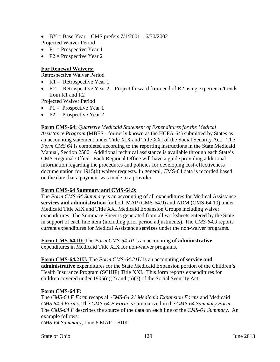- BY = Base Year CMS prefers  $7/1/2001 6/30/2002$ Projected Waiver Period
- P1 = Prospective Year 1
- P2 = Prospective Year 2

### **For Renewal Waivers:**

Retrospective Waiver Period

- $R1$  = Retrospective Year 1
- $R2$  = Retrospective Year 2 Project forward from end of R2 using experience/trends from R1 and R2

Projected Waiver Period

- $P1 = \text{Propective Year 1}$
- P2 = Prospective Year 2

**Form CMS-64:** *Quarterly Medicaid Statement of Expenditures for the Medical* 

*Assistance Program* (MBES - formerly known as the HCFA-64) submitted by States as an accounting statement under Title XIX and Title XXI of the Social Security Act. The *Form CMS 64* is completed according to the reporting instructions in the State Medicaid Manual, Section 2500. Additional technical assistance is available through each State's CMS Regional Office. Each Regional Office will have a guide providing additional information regarding the procedures and policies for developing cost-effectiveness documentation for 1915(b) waiver requests. In general, CMS-64 data is recorded based on the date that a payment was made to a provider.

# **Form CMS-64 Summary and CMS-64.9:**

The *Form CMS-64 Summary* is an accounting of all expenditures for Medical Assistance **services and administration** for both MAP (CMS-64.9) and ADM (CMS-64.10) under Medicaid Title XIX and Title XXI Medicaid Expansion Groups including waiver expenditures. The Summary Sheet is generated from all worksheets entered by the State in support of each line item (including prior period adjustments). The *CMS-64.9* reports current expenditures for Medical Assistance **services** under the non-waiver programs.

**Form CMS-64.10:** The *Form CMS-64.10* is an accounting of **administrative** expenditures in Medicaid Title XIX for non-waiver programs.

**Form CMS-64.21U:** The *Form CMS-64.21U* is an accounting of **service and administrative** expenditures for the State Medicaid Expansion portion of the Children's Health Insurance Program (SCHIP) Title XXI. This form reports expenditures for children covered under 1905(u)(2) and (u)(3) of the Social Security Act.

#### **Form CMS-64 F:**

The *CMS-64 F Form* recaps all *CMS-64.21 Medicaid Expansion Forms* and Medicaid *CMS 64.9 Forms*. The *CMS-64 F Form* is summarized in the *CMS-64 Summary Form*. The *CMS-64 F* describes the source of the data on each line of the *CMS-64 Summary*. An example follows: *CMS-64 Summary*, Line 6 MAP = \$100

State of Ohio 129 June 2013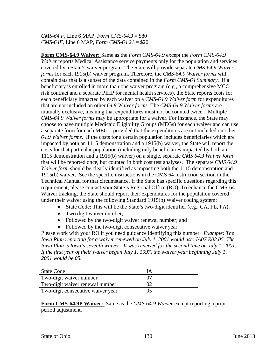*CMS-64 F*, Line 6 MAP, *Form CMS-64.9* = \$80 *CMS-64F*, Line 6 MAP, *Form CMS-64.21* = \$20

**Form CMS-64.9 Waiver:** Same as the *Form CMS-64.9* except the *Form CMS-64.9 Waiver* reports Medical Assistance service payments only for the population and services covered by a State's waiver program. The State will provide separate *CMS-64.9 Waiver forms* for each 1915(b) waiver program. Therefore, the *CMS-64.9 Waiver forms* will contain data that is a subset of the data contained in the *Form CMS-64 Summary*. If a beneficiary is enrolled in more than one waiver program (e.g., a comprehensive MCO risk contract and a separate PIHP for mental health services), the State reports costs for each beneficiary impacted by each waiver on a *CMS-64.9 Waiver form* for expenditures that are not included on other *64.9 Waiver forms*. The *CMS-64.9 Waiver forms* are mutually exclusive, meaning that expenditures must not be counted twice. Multiple *CMS-64.9 Waiver forms* may be appropriate for a waiver. For instance, the State may choose to have multiple Medicaid Eligibility Groups (MEGs) for each waiver and can use a separate form for each MEG – provided that the expenditures are not included on other *64.9 Waiver forms*. If the costs for a certain population includes beneficiaries which are impacted by both an 1115 demonstration and a 1915(b) waiver, the State will report the costs for that particular population (including only beneficiaries impacted by both an 1115 demonstration and a 1915(b) waiver) on a single, separate *CMS 64.9 Waiver form* that will be reported once, but counted in both cost test analyses. The separate *CMS 64.9 Waiver form* should be clearly identified as impacting both the 1115 demonstration and 1915(b) waiver. See the specific instructions in the CMS 64 instruction section in the Technical Manual for that circumstance. If the State has specific questions regarding this requirement, please contact your State's Regional Office (RO). To enhance the CMS-64 Waiver tracking, the State should report their expenditures for the population covered under their waiver using the following Standard 1915(b) Waiver coding system:

- State Code: This will be the State's two-digit identifier (e.g., CA, FL, PA);
- Two digit waiver number;
- Followed by the two-digit waiver renewal number; and
- Followed by the two-digit consecutive waiver year.

Please work with your RO if you need guidance identifying this number. *Example: The Iowa Plan reporting for a waiver renewed on July 1, 2001 would use: IA07.R02.05. The Iowa Plan is Iowa's seventh waiver. It was renewed for the second time on July 1, 2001. If the first year of their waiver began July 1, 1997, the waiver year beginning July 1, 2001 would be 05.* 

| State Code                        |    |
|-----------------------------------|----|
| Two-digit waiver number           |    |
| Two-digit waiver renewal number   |    |
| Two-digit consecutive waiver year | 05 |

**Form CMS-64.9P Waiver:** Same as the *CMS-64.9 Waiver* except reporting a prior period adjustment.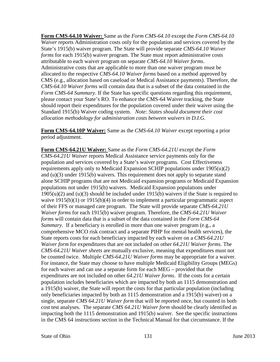**Form CMS-64.10 Waiver:** Same as the *Form CMS-64.10* except the *Form CMS-64.10 Waiver* reports Administration costs only for the population and services covered by the State's 1915(b) waiver program. The State will provide separate *CMS-64.10 Waiver forms* for each 1915(b) waiver program. The State must report administrative costs attributable to each waiver program on separate *CMS-64.10 Waiver forms*. Administrative costs that are applicable to more than one waiver program must be allocated to the respective *CMS-64.10 Waiver forms* based on a method approved by CMS (e.g., allocation based on caseload or Medical Assistance payments). Therefore, the *CMS-64.10 Waiver forms* will contain data that is a subset of the data contained in the *Form CMS-64 Summary*. If the State has specific questions regarding this requirement, please contact your State's RO. To enhance the CMS-64 Waiver tracking, the State should report their expenditures for the population covered under their waiver using the Standard 1915(b) Waiver coding system. *Note: States should document their cost allocation methodology for administration costs between waivers in D.I.G.*

**Form CMS-64.10P Waiver:** Same as the *CMS-64.10 Waiver* except reporting a prior period adjustment.

**Form CMS-64.21U Waiver:** Same as the *Form CMS-64.21U* except the *Form CMS-64.21U Waiver* reports Medical Assistance service payments only for the population and services covered by a State's waiver programs. Cost Effectiveness requirements apply only to Medicaid Expansion SCHIP populations under 1905(u)(2) and (u)(3) under 1915(b) waivers. This requirement does not apply to separate stand alone SCHIP programs that are not Medicaid expansion programs or Medicaid Expansion populations not under 1915(b) waivers. Medicaid Expansion populations under 1905(u)(2) and (u)(3) should be included under 1915(b) waivers if the State is required to waive  $1915(b)(1)$  or  $1915(b)(4)$  in order to implement a particular programmatic aspect of their FFS or managed care program. The State will provide separate *CMS-64.21U Waiver forms* for each 1915(b) waiver program. Therefore, the *CMS-64.21U Waiver forms* will contain data that is a subset of the data contained in the *Form CMS-64 Summary*. If a beneficiary is enrolled in more than one waiver program (e.g., a comprehensive MCO risk contract and a separate PIHP for mental health services), the State reports costs for each beneficiary impacted by each waiver on a *CMS-64.21U Waiver form* for expenditures that are not included on other *64.21U Waiver forms*. The *CMS-64.21U Waiver sheets* are mutually exclusive, meaning that expenditures must not be counted twice. Multiple *CMS-64.21U Waiver forms* may be appropriate for a waiver. For instance, the State may choose to have multiple Medicaid Eligibility Groups (MEGs) for each waiver and can use a separate form for each MEG – provided that the expenditures are not included on other *64.21U Waiver forms*. If the costs for a certain population includes beneficiaries which are impacted by both an 1115 demonstration and a 1915(b) waiver, the State will report the costs for that particular population (including only beneficiaries impacted by both an 1115 demonstration and a 1915(b) waiver) on a single, separate *CMS 64.21U Waiver form* that will be reported once, but counted in both cost test analyses. The separate *CMS 64.21U Waiver form* should be clearly identified as impacting both the 1115 demonstration and 1915(b) waiver. See the specific instructions in the CMS 64 instructions section in the Technical Manual for that circumstance. If the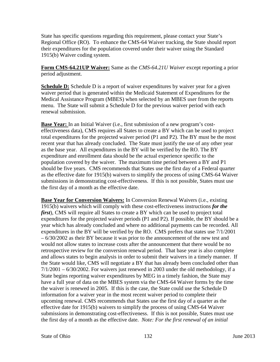State has specific questions regarding this requirement, please contact your State's Regional Office (RO). To enhance the CMS-64 Waiver tracking, the State should report their expenditures for the population covered under their waiver using the Standard 1915(b) Waiver coding system.

**Form CMS-64.21UP Waiver:** Same as the *CMS-64.21U Waiver* except reporting a prior period adjustment.

**Schedule D:** Schedule D is a report of waiver expenditures by waiver year for a given waiver period that is generated within the Medicaid Statement of Expenditures for the Medical Assistance Program (MBES) when selected by an MBES user from the reports menu. The State will submit a Schedule D for the previous waiver period with each renewal submission.

**Base Year:** In an Initial Waiver (i.e., first submission of a new program's costeffectiveness data), CMS requires all States to create a BY which can be used to project total expenditures for the projected waiver period (P1 and P2). The BY must be the most recent year that has already concluded. The State must justify the use of any other year as the base year. All expenditures in the BY will be verified by the RO. The BY expenditure and enrollment data should be the actual experience specific to the population covered by the waiver. The maximum time period between a BY and P1 should be five years. CMS recommends that States use the first day of a Federal quarter as the effective date for 1915(b) waivers to simplify the process of using CMS-64 Waiver submissions in demonstrating cost-effectiveness. If this is not possible, States must use the first day of a month as the effective date.

**Base Year for Conversion Waivers:** In Conversion Renewal Waivers (i.e., existing 1915(b) waivers which will comply with these cost-effectiveness instructions *for the first*), CMS will require all States to create a BY which can be used to project total expenditures for the projected waiver periods (P1 and P2). If possible, the BY should be a year which has already concluded and where no additional payments can be recorded. All expenditures in the BY will be verified by the RO. CMS prefers that states use 7/1/2001 – 6/30/2002 as their BY because it was prior to the announcement of the new test and would not allow states to increase costs after the announcement that there would be no retrospective review for the conversion renewal period. That base year is also complete and allows states to begin analysis in order to submit their waivers in a timely manner. If the State would like, CMS will negotiate a BY that has already been concluded other than  $7/1/2001 - 6/30/2002$ . For waivers just renewed in 2003 under the old methodology, if a State begins reporting waiver expenditures by MEG in a timely fashion, the State may have a full year of data on the MBES system via the CMS-64 Waiver forms by the time the waiver is renewed in 2005. If this is the case, the State could use the Schedule D information for a waiver year in the most recent waiver period to complete their upcoming renewal. CMS recommends that States use the first day of a quarter as the effective date for 1915(b) waivers to simplify the process of using CMS-64 Waiver submissions in demonstrating cost-effectiveness. If this is not possible, States must use the first day of a month as the effective date. *Note: For the first renewal of an initial*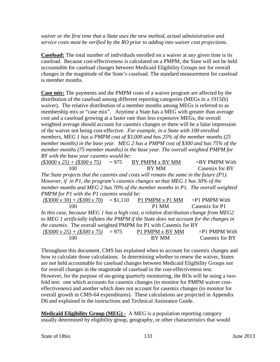*waiver or the first time that a State uses the new method, actual administration and service costs must be verified by the RO prior to adding into waiver cost projections.* 

**Caseload:** The total number of individuals enrolled on a waiver at any given time is its caseload. Because cost-effectiveness is calculated on a PMPM, the State will not be held accountable for caseload changes between Medicaid Eligibility Groups nor for overall changes in the magnitude of the State's caseload. The standard measurement for caseload is member months.

**Case mix:** The payments and the PMPM costs of a waiver program are affected by the distribution of the caseload among different reporting categories (MEGs in a 1915(b) waiver). The relative distribution of a member months among MEGs is referred to as membership mix or "case mix". Anytime a State has a MEG with greater than average cost and a caseload growing at a faster rate than less expensive MEGs, the overall weighted average should account for casemix changes or there will be a false impression of the waiver not being cost-effective. *For example, in a State with 100 enrolled members, MEG 1 has a PMPM cost of \$3,000 and has 25% of the member months (25 member months) in the base year. MEG 2 has a PMPM cost of \$300 and has 75% of the member months (75 member months) in the base year. The overall weighted PMPM for BY with the base year casemix would be:*

| $(\$3000 \times 25) + (\$300 \times 75)$                                                 | $= 975$ | BY PMPM x BY MM | $=$ BY PMPM With |
|------------------------------------------------------------------------------------------|---------|-----------------|------------------|
| 100                                                                                      |         | BY MM           | Casemix for BY   |
| The State projects that the casemix and costs will remain the same in the future (P1).   |         |                 |                  |
| However, if in P1, the program's casemix changes so that MEG 1 has 30% of the            |         |                 |                  |
| member months and MEG 2 has 70% of the member months in P1. The overall weighted         |         |                 |                  |
| PMPM for P1 with the P1 casemix would be:                                                |         |                 |                  |
| $($3000 \times 30) + ($300 \times 70) = $1,110$ P1 PMPM x P1 MM = P1 PMPM With           |         |                 |                  |
| 100                                                                                      |         | P1 MM           | Casemix for P1   |
| In this case, because MEG 1 has a high cost, a relative distribution change from MEG2    |         |                 |                  |
| to MEG 1 artificially inflates the PMPM if the State does not account for the changes in |         |                 |                  |
| the casemix. The overall weighted PMPM for P1 with Casemix for BY                        |         |                 |                  |
| $(\$3000 \times 25) + (\$300 \times 75) = 975$ P1 PMPM x BY MM                           |         |                 | $=$ P1 PMPM With |
|                                                                                          |         | BY MM           | Casemix for BY   |

Throughout this document, CMS has explained when to account for casemix changes and how to calculate those calculations. In determining whether to renew the waiver, States are not held accountable for caseload changes between Medicaid Eligibility Groups nor for overall changes in the magnitude of caseload in the cost-effectiveness test. However, for the purpose of on-going quarterly monitoring, the ROs will be using a twofold test: one which accounts for casemix changes (to monitor for PMPM waiver costeffectiveness) and another which does not account for casemix changes (to monitor for overall growth in CMS-64 expenditures). These calculations are projected in Appendix D6 and explained in the instructions and Technical Assistance Guide.

**Medicaid Eligibility Group (MEG) -** A MEG is a population reporting category usually determined by eligibility group, geography, or other characteristics that would

#### State of Ohio 133 June 2013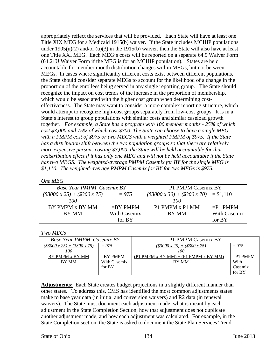appropriately reflect the services that will be provided. Each State will have at least one Title XIX MEG for a Medicaid 1915(b) waiver. If the State includes MCHIP populations under  $1905(u)(2)$  and/or  $(u)(3)$  in the 1915(b) waiver, then the State will also have at least one Title XXI MEG. Each MEG's costs will be reported on a separate 64.9 Waiver Form (64.21U Waiver Form if the MEG is for an MCHIP population). States are held accountable for member month distribution changes within MEGs, but not between MEGs. In cases where significantly different costs exist between different populations, the State should consider separate MEGs to account for the likelihood of a change in the proportion of the enrollees being served in any single reporting group. The State should recognize the impact on cost trends of the increase in the proportion of membership, which would be associated with the higher cost group when determining costeffectiveness. The State may want to consider a more complex reporting structure, which would attempt to recognize high-cost groups separately from low-cost groups. It is in a State's interest to group populations with similar costs and similar caseload growth together. *For example, a State has a program with 100 member months - 25% of which cost \$3,000 and 75% of which cost \$300. The State can choose to have a single MEG with a PMPM cost of \$975 or two MEGS with a weighted PMPM of \$975. If the State has a distribution shift between the two population groups so that there are relatively more expensive persons costing \$3,000, the State will be held accountable for that redistribution effect if it has only one MEG and will not be held accountable if the State has two MEGS. The weighted-average PMPM Casemix for BY for the single MEG is \$1,110. The weighted-average PMPM Casemix for BY for two MEGs is \$975.* 

| Base Year PMPM Casemix BY                |              | P1 PMPM Casemix BY                       |                     |
|------------------------------------------|--------------|------------------------------------------|---------------------|
| $(\$3000 \times 25) + (\$300 \times 75)$ | $= 975$      | $(\$3000 \times 30) + (\$300 \times 70)$ | $= $1,110$          |
| 100                                      |              | 100                                      |                     |
| BY PMPM x BY MM                          | $=$ BY PMPM  | P1 PMPM x P1 MM                          | $=$ P1 PMPM         |
| BY MM                                    | With Casemix | BY MM                                    | <b>With Casemix</b> |
|                                          | for BY       |                                          | for BY              |

#### *Two MEGs*

| <b>Base Year PMPM Casemix BY</b>                |                        | P1 PMPM Casemix BY                              |                 |
|-------------------------------------------------|------------------------|-------------------------------------------------|-----------------|
| $(\$3000 \times 25) + (\$300 \times 75)$<br>100 | $= 975$                | $(\$3000 \times 25) + (\$300 \times 75)$<br>100 | $= 975$         |
| BY PMPM x BY MM                                 | $=$ BY PMPM            | $(P1$ PMPM x BY MM $) + (P1$ PMPM x BY MM $)$   | $=$ P1 PMPM     |
| BY MM                                           | With Casemix<br>for BY | BY MM                                           | With<br>Casemix |
|                                                 |                        |                                                 | for BY          |

**Adjustments:** Each State creates budget projections in a slightly different manner than other states. To address this, CMS has identified the most common adjustments states make to base year data (in initial and conversion waivers) and R2 data (in renewal waivers). The State must document each adjustment made, what is meant by each adjustment in the State Completion Section, how that adjustment does not duplicate another adjustment made, and how each adjustment was calculated. For example, in the State Completion section, the State is asked to document the State Plan Services Trend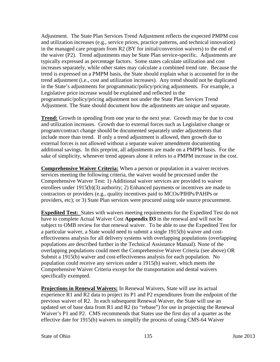Adjustment. The State Plan Services Trend Adjustment reflects the expected PMPM cost and utilization increases (e.g., service prices, practice patterns, and technical innovation) in the managed care program from R2 (BY for initial/conversion waivers) to the end of the waiver (P2). Trend adjustments may be State Plan service-specific. Adjustments are typically expressed as percentage factors. Some states calculate utilization and cost increases separately, while other states may calculate a combined trend rate. Because the trend is expressed on a PMPM basis, the State should explain what is accounted for in the trend adjustment (i.e., cost and utilization increases). Any trend should not be duplicated in the State's adjustments for programmatic/policy/pricing adjustments. For example, a Legislative price increase would be explained and reflected in the programmatic/policy/pricing adjustment not under the State Plan Services Trend Adjustment. The State should document how the adjustments are unique and separate.

**Trend:** Growth in spending from one year to the next year. Growth may be due to cost and utilization increases. Growth due to external forces such as Legislative change or program/contract change should be documented separately under adjustments that include more than trend. If only a trend adjustment is allowed, then growth due to external forces is not allowed without a separate waiver amendment documenting additional savings. In this preprint, all adjustments are made on a PMPM basis. For the sake of simplicity, whenever trend appears alone it refers to a PMPM increase in the cost.

**Comprehensive Waiver Criteria:** When a person or population in a waiver receives services meeting the following criteria, the waiver would be processed under the Comprehensive Waiver Test: 1) Additional waiver services are provided to waiver enrollees under 1915(b)(3) authority; 2) Enhanced payments or incentives are made to contractors or providers (e.g., quality incentives paid to MCOs/PIHPs/PAHPs or providers, etc); or 3) State Plan services were procured using sole source procurement.

**Expedited Test:** States with waivers meeting requirements for the Expedited Test do not have to complete Actual Waiver Cost **Appendix D3** in the renewal and will not be subject to OMB review for that renewal waiver. To be able to use the Expedited Test for a particular waiver, a State would need to submit a single 1915(b) waiver and costeffectiveness analysis for all delivery systems with overlapping populations (overlapping populations are described further in the Technical Assistance Manual). None of the overlapping populations could meet the Comprehensive Waiver Criteria (see above) OR Submit a 1915(b) waiver and cost-effectiveness analysis for each population. No population could receive any services under a 1915(b) waiver, which meets the Comprehensive Waiver Criteria except for the transportation and dental waivers specifically exempted.

**Projections in Renewal Waivers:** In Renewal Waivers, State will use its actual experience R1 and R2 data to project its P1 and P2 expenditures from the endpoint of the previous waiver of R2. In each subsequent Renewal Waiver, the State will use an updated set of base data from R1 and R2 (to "rebase") for use in projecting the Renewal Waiver's P1 and P2. CMS recommends that States use the first day of a quarter as the effective date for 1915(b) waivers to simplify the process of using CMS-64 Waiver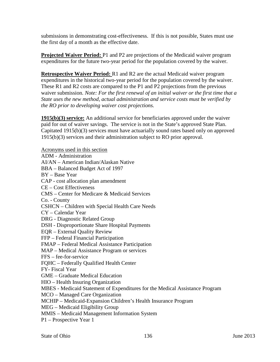submissions in demonstrating cost-effectiveness. If this is not possible, States must use the first day of a month as the effective date.

**Projected Waiver Period:** P1 and P2 are projections of the Medicaid waiver program expenditures for the future two-year period for the population covered by the waiver.

**Retrospective Waiver Period:** R1 and R2 are the actual Medicaid waiver program expenditures in the historical two-year period for the population covered by the waiver. These R1 and R2 costs are compared to the P1 and P2 projections from the previous waiver submission. *Note: For the first renewal of an initial waiver or the first time that a State uses the new method, actual administration and service costs must be verified by the RO prior to developing waiver cost projections.*

**1915(b)(3) service:** An additional service for beneficiaries approved under the waiver paid for out of waiver savings. The service is not in the State's approved State Plan. Capitated 1915(b)(3) services must have actuarially sound rates based only on approved 1915(b)(3) services and their administration subject to RO prior approval.

Acronyms used in this section ADM - Administration AI/AN – American Indian/Alaskan Native BBA – Balanced Budget Act of 1997 BY – Base Year CAP - cost allocation plan amendment CE – Cost Effectiveness CMS – Center for Medicare & Medicaid Services Co. - County CSHCN – Children with Special Health Care Needs CY – Calendar Year DRG - Diagnostic Related Group DSH - Disproportionate Share Hospital Payments EQR – External Quality Review FFP – Federal Financial Participation FMAP – Federal Medical Assistance Participation MAP – Medical Assistance Program or services FFS – fee-for-service FQHC – Federally Qualified Health Center FY- Fiscal Year GME – Graduate Medical Education HIO – Health Insuring Organization MBES - Medicaid Statement of Expenditures for the Medical Assistance Program MCO – Managed Care Organization MCHIP – Medicaid-Expansion Children's Health Insurance Program MEG – Medicaid Eligibility Group MMIS – Medicaid Management Information System P1 – Prospective Year 1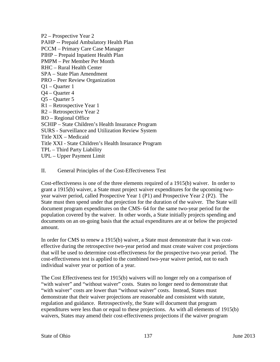P2 – Prospective Year 2 PAHP -- Prepaid Ambulatory Health Plan PCCM – Primary Care Case Manager PIHP – Prepaid Inpatient Health Plan PMPM – Per Member Per Month RHC – Rural Health Center SPA – State Plan Amendment PRO – Peer Review Organization Q1 – Quarter 1 Q4 – Quarter 4 Q5 – Quarter 5 R1 – Retrospective Year 1 R2 – Retrospective Year 2 RO – Regional Office SCHIP – State Children's Health Insurance Program SURS - Surveillance and Utilization Review System Title XIX – Medicaid Title XXI - State Children's Health Insurance Program TPL – Third Party Liability UPL – Upper Payment Limit

#### II. General Principles of the Cost-Effectiveness Test

Cost-effectiveness is one of the three elements required of a 1915(b) waiver. In order to grant a 1915(b) waiver, a State must project waiver expenditures for the upcoming twoyear waiver period, called Prospective Year 1 (P1) and Prospective Year 2 (P2). The State must then spend under that projection for the duration of the waiver. The State will document program expenditures on the CMS- 64 for the same two-year period for the population covered by the waiver. In other words, a State initially projects spending and documents on an on-going basis that the actual expenditures are at or below the projected amount.

In order for CMS to renew a 1915(b) waiver, a State must demonstrate that it was costeffective during the retrospective two-year period and must create waiver cost projections that will be used to determine cost-effectiveness for the prospective two-year period. The cost-effectiveness test is applied to the combined two-year waiver period, not to each individual waiver year or portion of a year.

The Cost Effectiveness test for 1915(b) waivers will no longer rely on a comparison of "with waiver" and "without waiver" costs. States no longer need to demonstrate that "with waiver" costs are lower than "without waiver" costs. Instead, States must demonstrate that their waiver projections are reasonable and consistent with statute, regulation and guidance. Retrospectively, the State will document that program expenditures were less than or equal to these projections. As with all elements of 1915(b) waivers, States may amend their cost-effectiveness projections if the waiver program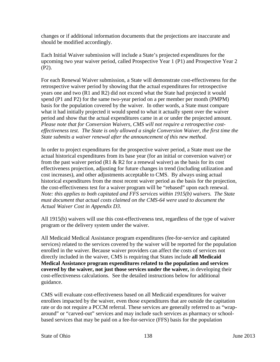changes or if additional information documents that the projections are inaccurate and should be modified accordingly.

Each Initial Waiver submission will include a State's projected expenditures for the upcoming two year waiver period, called Prospective Year 1 (P1) and Prospective Year 2 (P2).

For each Renewal Waiver submission, a State will demonstrate cost-effectiveness for the retrospective waiver period by showing that the actual expenditures for retrospective years one and two (R1 and R2) did not exceed what the State had projected it would spend (P1 and P2) for the same two-year period on a per member per month (PMPM) basis for the population covered by the waiver. In other words, a State must compare what it had initially projected it would spend to what it actually spent over the waiver period and show that the actual expenditures came in at or under the projected amount. *Please note that for Conversion Waivers, CMS will not require a retrospective costeffectiveness test. The State is only allowed a single Conversion Waiver, the first time the State submits a waiver renewal after the announcement of this new method.*

In order to project expenditures for the prospective waiver period, a State must use the actual historical expenditures from its base year (for an initial or conversion waiver) or from the past waiver period (R1  $&$  R2 for a renewal waiver) as the basis for its cost effectiveness projection, adjusting for future changes in trend (including utilization and cost increases), and other adjustments acceptable to CMS. By always using actual historical expenditures from the most recent waiver period as the basis for the projection, the cost-effectiveness test for a waiver program will be "rebased" upon each renewal. *Note: this applies to both capitated and FFS services within 1915(b) waivers. The State must document that actual costs claimed on the CMS-64 were used to document the Actual Waiver Cost in Appendix D3.*

All 1915(b) waivers will use this cost-effectiveness test, regardless of the type of waiver program or the delivery system under the waiver.

All Medicaid Medical Assistance program expenditures (fee-for-service and capitated services) related to the services covered by the waiver will be reported for the population enrolled in the waiver. Because waiver providers can affect the costs of services not directly included in the waiver, CMS is requiring that States include **all Medicaid Medical Assistance program expenditures related to the population and services covered by the waiver, not just those services under the waiver,** in developing their cost-effectiveness calculations. See the detailed instructions below for additional guidance.

CMS will evaluate cost-effectiveness based on all Medicaid expenditures for waiver enrollees impacted by the waiver, even those expenditures that are outside the capitation rate or do not require a PCCM referral. These services are generally referred to as "wraparound" or "carved-out" services and may include such services as pharmacy or schoolbased services that may be paid on a fee-for-service (FFS) basis for the population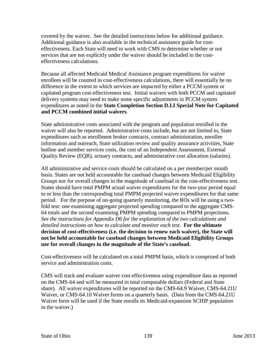covered by the waiver. See the detailed instructions below for additional guidance. Additional guidance is also available in the technical assistance guide for costeffectiveness. Each State will need to work with CMS to determine whether or not services that are not explicitly under the waiver should be included in the costeffectiveness calculations.

Because all affected Medicaid Medical Assistance program expenditures for waiver enrollees will be counted in cost-effectiveness calculations, there will essentially be no difference in the extent to which services are impacted by either a PCCM system or capitated program cost-effectiveness test. Initial waivers with both PCCM and capitated delivery systems may need to make some specific adjustments in PCCM system expenditures as noted in the **State Completion Section D.I.I Special Note for Capitated and PCCM combined initial waivers**.

State administrative costs associated with the program and population enrolled in the waiver will also be reported. Administrative costs include, but are not limited to, State expenditures such as enrollment broker contracts, contract administration, enrollee information and outreach, State utilization review and quality assurance activities, State hotline and member services costs, the cost of an Independent Assessment, External Quality Review (EQR), actuary contracts, and administrative cost allocation (salaries).

All administrative and service costs should be calculated on a per member/per month basis. States are not held accountable for caseload changes between Medicaid Eligibility Groups nor for overall changes in the magnitude of caseload in the cost-effectiveness test. States should have total PMPM actual waiver expenditures for the two-year period equal to or less than the corresponding total PMPM projected waiver expenditures for that same period. For the purpose of on-going quarterly monitoring, the ROs will be using a twofold test: one examining aggregate projected spending compared to the aggregate CMS-64 totals and the second examining PMPM spending compared to PMPM projections. *See the instructions for Appendix D6 for the explanation of the two calculations and detailed instructions on how to calculate and monitor each test.* **For the ultimate decision of cost-effectiveness (i.e. the decision to renew each waiver), the State will not be held accountable for caseload changes between Medicaid Eligibility Groups nor for overall changes in the magnitude of the State's caseload.**

Cost-effectiveness will be calculated on a total PMPM basis, which is comprised of both service and administration costs.

CMS will track and evaluate waiver cost effectiveness using expenditure data as reported on the CMS-64 and will be measured in total computable dollars (Federal and State share). All waiver expenditures will be reported on the CMS-64.9 Waiver, CMS-64.21U Waiver, or CMS-64.10 Waiver forms on a quarterly basis. (Data from the CMS-64.21U Waiver form will be used if the State enrolls its Medicaid-expansion SCHIP population in the waiver.)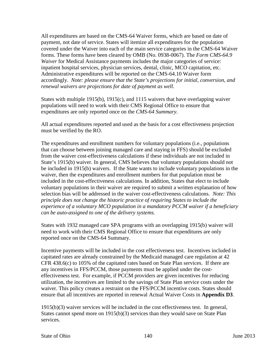All expenditures are based on the CMS-64 Waiver forms, which are based on date of payment, not date of service. States will itemize all expenditures for the population covered under the Waiver into each of the main service categories in the CMS-64 Waiver forms. These forms have been cleared by OMB (No. 0938-0067). The *Form CMS-64.9 Waiver* for Medical Assistance payments includes the major categories of service: inpatient hospital services, physician services, dental, clinic, MCO capitation, etc. Administrative expenditures will be reported on the CMS-64.10 Waiver form accordingly. *Note: please ensure that the State's projections for initial, conversion, and renewal waivers are projections for date of payment as well.* 

States with multiple 1915(b), 1915(c), and 1115 waivers that have overlapping waiver populations will need to work with their CMS Regional Office to ensure that expenditures are only reported once on the *CMS-64 Summary*.

All actual expenditures reported and used as the basis for a cost effectiveness projection must be verified by the RO.

The expenditures and enrollment numbers for voluntary populations (i.e., populations that can choose between joining managed care and staying in FFS) should be excluded from the waiver cost-effectiveness calculations if these individuals are not included in State's 1915(b) waiver. In general, CMS believes that voluntary populations should not be included in 1915(b) waivers. If the State wants to include voluntary populations in the waiver, then the expenditures and enrollment numbers for that population must be included in the cost-effectiveness calculations. In addition, States that elect to include voluntary populations in their waiver are required to submit a written explanation of how selection bias will be addressed in the waiver cost-effectiveness calculations. *Note: This principle does not change the historic practice of requiring States to include the experience of a voluntary MCO population in a mandatory PCCM waiver if a beneficiary can be auto-assigned to one of the delivery systems.* 

States with 1932 managed care SPA programs with an overlapping 1915(b) waiver will need to work with their CMS Regional Office to ensure that expenditures are only reported once on the CMS-64 Summary.

Incentive payments will be included in the cost effectiveness test. Incentives included in capitated rates are already constrained by the Medicaid managed care regulation at 42 CFR 438.6(c) to 105% of the capitated rates based on State Plan services. If there are any incentives in FFS/PCCM, those payments must be applied under the costeffectiveness test. For example, if PCCM providers are given incentives for reducing utilization, the incentives are limited to the savings of State Plan service costs under the waiver. This policy creates a restraint on the FFS/PCCM incentive costs. States should ensure that all incentives are reported in renewal Actual Waiver Costs in **Appendix D3**.

1915(b)(3) waiver services will be included in the cost effectiveness test. In general, States cannot spend more on 1915(b)(3) services than they would save on State Plan services.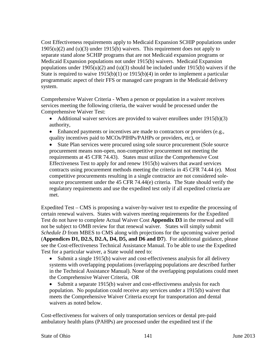Cost Effectiveness requirements apply to Medicaid Expansion SCHIP populations under  $1905(u)(2)$  and  $(u)(3)$  under  $1915(b)$  waivers. This requirement does not apply to separate stand alone SCHIP programs that are not Medicaid expansion programs or Medicaid Expansion populations not under 1915(b) waivers. Medicaid Expansion populations under  $1905(u)(2)$  and  $(u)(3)$  should be included under  $1915(b)$  waivers if the State is required to waive  $1915(b)(1)$  or  $1915(b)(4)$  in order to implement a particular programmatic aspect of their FFS or managed care program in the Medicaid delivery system.

Comprehensive Waiver Criteria - When a person or population in a waiver receives services meeting the following criteria, the waiver would be processed under the Comprehensive Waiver Test:

- Additional waiver services are provided to waiver enrollees under 1915(b)(3) authority,
- Enhanced payments or incentives are made to contractors or providers (e.g., quality incentives paid to MCOs/PIHPs/PAHPs or providers, etc), or
- State Plan services were procured using sole source procurement (Sole source procurement means non-open, non-competitive procurement not meeting the requirements at 45 CFR 74.43). States must utilize the Comprehensive Cost Effectiveness Test to apply for and renew 1915(b) waivers that award services contracts using procurement methods meeting the criteria in 45 CFR 74.44 (e). Most competitive procurements resulting in a single contractor are not considered solesource procurement under the 45 CFR 74.44(e) criteria. The State should verify the regulatory requirements and use the expedited test only if all expedited criteria are met.

Expedited Test – CMS is proposing a waiver-by-waiver test to expedite the processing of certain renewal waivers. States with waivers meeting requirements for the Expedited Test do not have to complete Actual Waiver Cost **Appendix D3** in the renewal and will not be subject to OMB review for that renewal waiver. States will simply submit *Schedule D* from MBES to CMS along with projections for the upcoming waiver period (**Appendices D1, D2.S, D2.A, D4, D5, and D6 and D7**). For additional guidance, please see the Cost-effectiveness Technical Assistance Manual. To be able to use the Expedited Test for a particular waiver, a State would need to:

• Submit a single 1915(b) waiver and cost-effectiveness analysis for all delivery systems with overlapping populations (overlapping populations are described further in the Technical Assistance Manual). None of the overlapping populations could meet the Comprehensive Waiver Criteria, OR

• Submit a separate 1915(b) waiver and cost-effectiveness analysis for each population. No population could receive any services under a 1915(b) waiver that meets the Comprehensive Waiver Criteria except for transportation and dental waivers as noted below.

Cost-effectiveness for waivers of only transportation services or dental pre-paid ambulatory health plans (PAHPs) are processed under the expedited test if the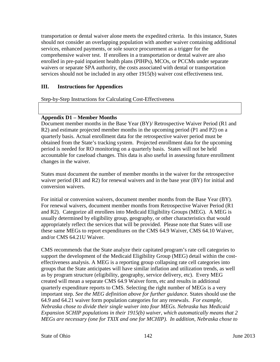transportation or dental waiver alone meets the expedited criteria. In this instance, States should not consider an overlapping population with another waiver containing additional services, enhanced payments, or sole source procurement as a trigger for the comprehensive waiver test. If enrollees in a transportation or dental waiver are also enrolled in pre-paid inpatient health plans (PIHPs), MCOs, or PCCMs under separate waivers or separate SPA authority, the costs associated with dental or transportation services should not be included in any other 1915(b) waiver cost effectiveness test.

# **III. Instructions for Appendices**

Step-by-Step Instructions for Calculating Cost-Effectiveness

### **Appendix D1 – Member Months**

Document member months in the Base Year (BY)/ Retrospective Waiver Period (R1 and R2) and estimate projected member months in the upcoming period (P1 and P2) on a quarterly basis. Actual enrollment data for the retrospective waiver period must be obtained from the State's tracking system. Projected enrollment data for the upcoming period is needed for RO monitoring on a quarterly basis. States will not be held accountable for caseload changes. This data is also useful in assessing future enrollment changes in the waiver.

States must document the number of member months in the waiver for the retrospective waiver period (R1 and R2) for renewal waivers and in the base year (BY) for initial and conversion waivers.

For initial or conversion waivers, document member months from the Base Year (BY). For renewal waivers, document member months from Retrospective Waiver Period (R1 and R2). Categorize all enrollees into Medicaid Eligibility Groups (MEG). A MEG is usually determined by eligibility group, geography, or other characteristics that would appropriately reflect the services that will be provided. Please note that States will use these same MEGs to report expenditures on the CMS 64.9 Waiver, CMS 64.10 Waiver, and/or CMS 64.21U Waiver.

CMS recommends that the State analyze their capitated program's rate cell categories to support the development of the Medicaid Eligibility Group (MEG) detail within the costeffectiveness analysis. A MEG is a reporting group collapsing rate cell categories into groups that the State anticipates will have similar inflation and utilization trends, as well as by program structure (eligibility, geography, service delivery, etc). Every MEG created will mean a separate CMS 64.9 Waiver form, etc and results in additional quarterly expenditure reports to CMS. Selecting the right number of MEGs is a very important step. *See the MEG definition above for further guidance.* States should use the 64.9 and 64.21 waiver form population categories for any renewals. *For example, Nebraska chose to divide their single waiver into four MEGs. Nebraska has Medicaid Expansion SCHIP populations in their 1915(b) waiver, which automatically means that 2 MEGs are necessary (one for TXIX and one for MCHIP). In addition, Nebraska chose to*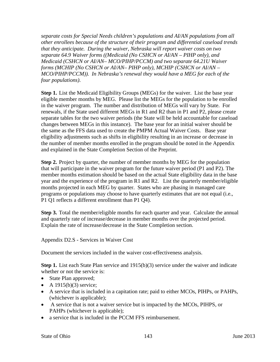*separate costs for Special Needs children's populations and AI/AN populations from all other enrollees because of the structure of their program and differential caseload trends that they anticipate. During the waiver, Nebraska will report waiver costs on two separate 64.9 Waiver forms ((Medicaid (No CSHCN or AI/AN – PIHP only), and Medicaid (CSHCN or AI/AN– MCO/PIHP/PCCM) and two separate 64.21U Waiver forms (MCHIP (No CSHCN or AI/AN– PIHP only), MCHIP (CSHCN or AI/AN – MCO/PIHP/PCCM)). In Nebraska's renewal they would have a MEG for each of the four populations)*.

**Step 1.** List the Medicaid Eligibility Groups (MEGs) for the waiver. List the base year eligible member months by MEG. Please list the MEGs for the population to be enrolled in the waiver program. The number and distribution of MEGs will vary by State. For renewals, if the State used different MEGs in R1 and R2 than in P1 and P2, please create separate tables for the two waiver periods (the State will be held accountable for caseload changes between MEGs in this instance). The base year for an initial waiver should be the same as the FFS data used to create the PMPM Actual Waiver Costs. Base year eligibility adjustments such as shifts in eligibility resulting in an increase or decrease in the number of member months enrolled in the program should be noted in the Appendix and explained in the State Completion Section of the Preprint.

**Step 2.** Project by quarter, the number of member months by MEG for the population that will participate in the waiver program for the future waiver period (P1 and P2). The member months estimation should be based on the actual State eligibility data in the base year and the experience of the program in R1 and R2. List the quarterly member/eligible months projected in each MEG by quarter. States who are phasing in managed care programs or populations may choose to have quarterly estimates that are not equal (i.e., P1 Q1 reflects a different enrollment than P1 Q4).

**Step 3.** Total the member/eligible months for each quarter and year. Calculate the annual and quarterly rate of increase/decrease in member months over the projected period. Explain the rate of increase/decrease in the State Completion section.

Appendix D2.S - Services in Waiver Cost

Document the services included in the waiver cost-effectiveness analysis.

**Step 1.** List each State Plan service and 1915(b)(3) service under the waiver and indicate whether or not the service is:

- State Plan approved;
- A  $1915(b)(3)$  service;
- A service that is included in a capitation rate; paid to either MCOs, PIHPs, or PAHPs, (whichever is applicable);
- A service that is not a waiver service but is impacted by the MCOs, PIHPS, or PAHPs (whichever is applicable);
- a service that is included in the PCCM FFS reimbursement.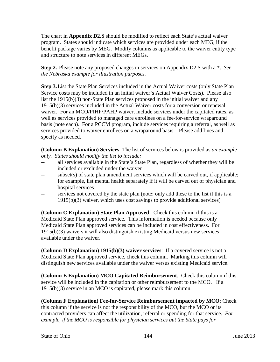The chart in **Appendix D2.S** should be modified to reflect each State's actual waiver program. States should indicate which services are provided under each MEG, if the benefit package varies by MEG. Modify columns as applicable to the waiver entity type and structure to note services in different MEGs.

**Step 2.** Please note any proposed changes in services on Appendix D2.S with a \*. *See the Nebraska example for illustration purposes.*

**Step 3.**List the State Plan Services included in the Actual Waiver costs (only State Plan Service costs may be included in an initial waiver's Actual Waiver Costs). Please also list the 1915(b)(3) non-State Plan services proposed in the initial waiver and any 1915(b)(3) services included in the Actual Waiver costs for a conversion or renewal waiver. For an MCO/PIHP/PAHP waiver, include services under the capitated rates, as well as services provided to managed care enrollees on a fee-for-service wraparound basis (note each). For a PCCM program, include services requiring a referral, as well as services provided to waiver enrollees on a wraparound basis. Please add lines and specify as needed.

**(Column B Explanation) Services**: The list of services below is provided as *an example only. States should modify the list to include:*

- -- all services available in the State's State Plan, regardless of whether they will be included or excluded under the waiver
- -- subset(s) of state plan amendment services which will be carved out, if applicable; for example, list mental health separately if it will be carved out of physician and hospital services
- -- services not covered by the state plan (note: only add these to the list if this is a 1915(b)(3) waiver, which uses cost savings to provide additional services)

**(Column C Explanation) State Plan Approved**: Check this column if this is a Medicaid State Plan approved service. This information is needed because only Medicaid State Plan approved services can be included in cost effectiveness. For 1915(b)(3) waivers it will also distinguish existing Medicaid versus new services available under the waiver.

**(Column D Explanation) 1915(b)(3) waiver services**: If a covered service is not a Medicaid State Plan approved service, check this column. Marking this column will distinguish new services available under the waiver versus existing Medicaid service.

**(Column E Explanation) MCO Capitated Reimbursement**: Check this column if this service will be included in the capitation or other reimbursement to the MCO. If a 1915(b)(3) service in an MCO is capitated, please mark this column.

**(Column F Explanation) Fee-for-Service Reimbursement impacted by MCO**: Check this column if the service is not the responsibility of the MCO, but the MCO or its contracted providers can affect the utilization, referral or spending for that service*. For example, if the MCO is responsible for physician services but the State pays for*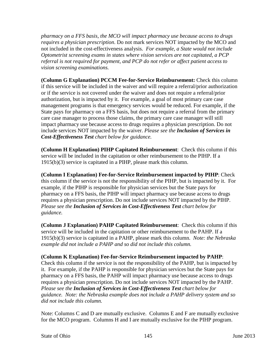*pharmacy on a FFS basis, the MCO will impact pharmacy use because access to drugs requires a physician prescription*. Do not mark services NOT impacted by the MCO and not included in the cost-effectiveness analysis. *For example, a State would not include Optometrist screening exams in states where vision services are not capitated, a PCP referral is not required for payment, and PCP do not refer or affect patient access to vision screening examinations.* 

**(Column G Explanation) PCCM Fee-for-Service Reimbursement:** Check this column if this service will be included in the waiver and will require a referral/prior authorization or if the service is not covered under the waiver and does not require a referral/prior authorization, but is impacted by it. For example, a goal of most primary care case management programs is that emergency services would be reduced. For example, if the State pays for pharmacy on a FFS basis, but does not require a referral from the primary care case manager to process those claims, the primary care case manager will still impact pharmacy use because access to drugs requires a physician prescription. Do not include services NOT impacted by the waiver. *Please see the Inclusion of Services in Cost-Effectiveness Test chart below for guidance.*

**(Column H Explanation) PIHP Capitated Reimbursement**: Check this column if this service will be included in the capitation or other reimbursement to the PIHP. If a 1915(b)(3) service is capitated in a PIHP, please mark this column.

**(Column I Explanation) Fee-for-Service Reimbursement impacted by PIHP**: Check this column if the service is not the responsibility of the PIHP, but is impacted by it. For example, if the PIHP is responsible for physician services but the State pays for pharmacy on a FFS basis, the PIHP will impact pharmacy use because access to drugs requires a physician prescription. Do not include services NOT impacted by the PIHP. *Please see the Inclusion of Services in Cost-Effectiveness Test chart below for guidance.* 

**(Column J Explanation) PAHP Capitated Reimbursement**: Check this column if this service will be included in the capitation or other reimbursement to the PAHP. If a 1915(b)(3) service is capitated in a PAHP, please mark this column. *Note: the Nebraska example did not include a PAHP and so did not include this column.*

### **(Column K Explanation) Fee-for-Service Reimbursement impacted by PAHP**:

Check this column if the service is not the responsibility of the PAHP, but is impacted by it. For example, if the PAHP is responsible for physician services but the State pays for pharmacy on a FFS basis, the PAHP will impact pharmacy use because access to drugs requires a physician prescription. Do not include services NOT impacted by the PAHP. *Please see the Inclusion of Services in Cost-Effectiveness Test chart below for guidance. Note: the Nebraska example does not include a PAHP delivery system and so did not include this column.*

Note: Columns C and D are mutually exclusive. Columns E and F are mutually exclusive for the MCO program. Columns H and I are mutually exclusive for the PIHP program.

State of Ohio 145 June 2013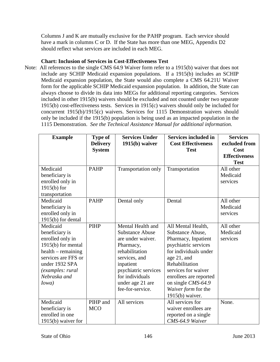Columns J and K are mutually exclusive for the PAHP program. Each service should have a mark in columns C or D. If the State has more than one MEG, Appendix D2 should reflect what services are included in each MEG.

## **Chart: Inclusion of Services in Cost-Effectiveness Test**

Note: All references to the single CMS 64.9 Waiver form refer to a 1915(b) waiver that does not include any SCHIP Medicaid expansion populations. If a 1915(b) includes an SCHIP Medicaid expansion population, the State would also complete a CMS 64.21U Waiver form for the applicable SCHIP Medicaid expansion population. In addition, the State can always choose to divide its data into MEGs for additional reporting categories. Services included in other 1915(b) waivers should be excluded and not counted under two separate 1915(b) cost-effectiveness tests. Services in 1915(c) waivers should only be included for concurrent 1915(b)/1915(c) waivers. Services for 1115 Demonstration waivers should only be included if the 1915(b) population is being used as an impacted population in the 1115 Demonstration. *See the Technical Assistance Manual for additional information.*

| <b>Example</b>                     | <b>Type of</b><br><b>Delivery</b> | <b>Services Under</b><br>$1915(b)$ waiver | <b>Services included in</b><br><b>Cost Effectiveness</b> | <b>Services</b><br>excluded from |
|------------------------------------|-----------------------------------|-------------------------------------------|----------------------------------------------------------|----------------------------------|
|                                    | <b>System</b>                     |                                           | <b>Test</b>                                              | Cost                             |
|                                    |                                   |                                           |                                                          | <b>Effectiveness</b>             |
|                                    |                                   |                                           |                                                          | <b>Test</b>                      |
| Medicaid                           | <b>PAHP</b>                       | Transportation only                       | Transportation                                           | All other                        |
| beneficiary is                     |                                   |                                           |                                                          | Medicaid                         |
| enrolled only in                   |                                   |                                           |                                                          | services                         |
| $1915(b)$ for                      |                                   |                                           |                                                          |                                  |
| transportation                     |                                   |                                           |                                                          |                                  |
| Medicaid                           | <b>PAHP</b>                       | Dental only                               | Dental                                                   | All other                        |
| beneficiary is                     |                                   |                                           |                                                          | Medicaid                         |
| enrolled only in                   |                                   |                                           |                                                          | services                         |
| 1915(b) for dental                 |                                   |                                           |                                                          |                                  |
| Medicaid                           | <b>PIHP</b>                       | Mental Health and                         | All Mental Health,                                       | All other                        |
| beneficiary is                     |                                   | <b>Substance Abuse</b>                    | Substance Abuse,                                         | Medicaid                         |
| enrolled only in                   |                                   | are under waiver.                         | Pharmacy, Inpatient                                      | services                         |
| 1915(b) for mental                 |                                   | Pharmacy,                                 | psychiatric services                                     |                                  |
| $\text{health} - \text{remaining}$ |                                   | rehabilitation                            | for individuals under                                    |                                  |
| services are FFS or                |                                   | services, and                             | age 21, and                                              |                                  |
| under 1932 SPA                     |                                   | inpatient                                 | Rehabilitation                                           |                                  |
| (examples: rural                   |                                   | psychiatric services                      | services for waiver                                      |                                  |
| Nebraska and                       |                                   | for individuals                           | enrollees are reported                                   |                                  |
| Iowa)                              |                                   | under age 21 are                          | on single CMS-64.9                                       |                                  |
|                                    |                                   | fee-for-service.                          | Waiver form for the                                      |                                  |
|                                    |                                   |                                           | $1915(b)$ waiver.                                        |                                  |
| Medicaid                           | PIHP and                          | All services                              | All services for                                         | None.                            |
| beneficiary is                     | <b>MCO</b>                        |                                           | waiver enrollees are                                     |                                  |
| enrolled in one                    |                                   |                                           | reported on a single                                     |                                  |
| $1915(b)$ waiver for               |                                   |                                           | CMS-64.9 Waiver                                          |                                  |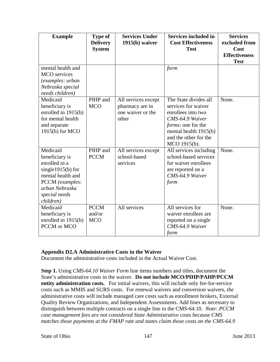| <b>Example</b>                                                                                                                                              | <b>Type of</b><br><b>Delivery</b><br><b>System</b> | <b>Services Under</b><br>$1915(b)$ waiver                            | <b>Services included in</b><br><b>Cost Effectiveness</b><br><b>Test</b>                                                                                                               | <b>Services</b><br>excluded from<br>Cost<br><b>Effectiveness</b><br><b>Test</b> |
|-------------------------------------------------------------------------------------------------------------------------------------------------------------|----------------------------------------------------|----------------------------------------------------------------------|---------------------------------------------------------------------------------------------------------------------------------------------------------------------------------------|---------------------------------------------------------------------------------|
| mental health and<br><b>MCO</b> services<br>(examples: urban<br>Nebraska special<br>needs children)                                                         |                                                    |                                                                      | form                                                                                                                                                                                  |                                                                                 |
| Medicaid<br>beneficiary is<br>enrolled in $1915(b)$<br>for mental health<br>and separate<br>1915(b) for MCO                                                 | PIHP and<br><b>MCO</b>                             | All services except<br>pharmacy are in<br>one waiver or the<br>other | The State divides all<br>services for waiver<br>enrollees into two<br>CMS-64.9 Waiver<br><i>forms</i> : one for the<br>mental health 1915(b)<br>and the other for the<br>MCO 1915(b). | None.                                                                           |
| Medicaid<br>beneficiary is<br>enrolled in a<br>single $1915(b)$ for<br>mental health and<br>PCCM (examples:<br>urban Nebraska<br>special needs<br>children) | PIHP and<br><b>PCCM</b>                            | All services except<br>school-based<br>services                      | All services including<br>school-based services<br>for waiver enrollees<br>are reported on a<br>CMS-64.9 Waiver<br>form                                                               | None.                                                                           |
| Medicaid<br>beneficiary is<br>enrolled in 1915(b)<br>PCCM or MCO                                                                                            | <b>PCCM</b><br>and/or<br><b>MCO</b>                | All services                                                         | All services for<br>waiver enrollees are<br>reported on a single<br>CMS-64.9 Waiver<br>form                                                                                           | None.                                                                           |

### **Appendix D2.A Administrative Costs in the Waiver**

Document the administrative costs included in the Actual Waiver Cost.

**Step 1.** Using *CMS-64.10 Waiver Form* line items numbers and titles, document the State's administrative costs in the waiver. **Do not include MCO/PIHP/PAHP/PCCM entity administration costs.** For initial waivers, this will include only fee-for-service costs such as MMIS and SURS costs. For renewal waivers and conversion waivers, the administrative costs will include managed care costs such as enrollment brokers, External Quality Review Organizations, and Independent Assessments. Add lines as necessary to distinguish between multiple contracts on a single line in the CMS-64.10. *Note: PCCM case management fees are not considered State Administrative costs because CMS matches those payments at the FMAP rate and states claim those costs on the CMS-64.9*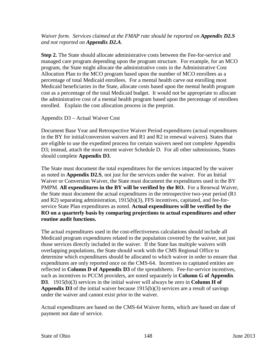## *Waiver form. Services claimed at the FMAP rate should be reported on Appendix D2.S and not reported on Appendix D2.A.*

**Step 2.** The State should allocate administrative costs between the Fee-for-service and managed care program depending upon the program structure. For example, for an MCO program, the State might allocate the administrative costs in the Administrative Cost Allocation Plan to the MCO program based upon the number of MCO enrollees as a percentage of total Medicaid enrollees. For a mental health carve out enrolling most Medicaid beneficiaries in the State, allocate costs based upon the mental health program cost as a percentage of the total Medicaid budget. It would not be appropriate to allocate the administrative cost of a mental health program based upon the percentage of enrollees enrolled. Explain the cost allocation process in the preprint.

Appendix D3 – Actual Waiver Cost

Document Base Year and Retrospective Waiver Period expenditures (actual expenditures in the BY for initial/conversion waivers and R1 and R2 in renewal waivers). States that are eligible to use the expedited process for certain waivers need not complete Appendix D3; instead, attach the most recent waiver Schedule D. For all other submissions, States should complete **Appendix D3**.

The State must document the total expenditures for the services impacted by the waiver as noted in **Appendix D2.S**, not just for the services under the waiver. For an Initial Waiver or Conversion Waiver, the State must document the expenditures used in the BY PMPM. **All expenditures in the BY will be verified by the RO.** For a Renewal Waiver, the State must document the actual expenditures in the retrospective two-year period (R1 and R2) separating administration, 1915(b)(3), FFS incentives, capitated, and fee-forservice State Plan expenditures as noted. **Actual expenditures will be verified by the RO on a quarterly basis by comparing projections to actual expenditures and other routine audit functions.**

The actual expenditures used in the cost-effectiveness calculations should include all Medicaid program expenditures related to the population covered by the waiver, not just those services directly included in the waiver. If the State has multiple waivers with overlapping populations, the State should work with the CMS Regional Office to determine which expenditures should be allocated to which waiver in order to ensure that expenditures are only reported once on the CMS-64. Incentives to capitated entities are reflected in **Column D of Appendix D3** of the spreadsheets. Fee-for-service incentives, such as incentives to PCCM providers, are noted separately in **Column G of Appendix D3**. 1915(b)(3) services in the initial waiver will always be zero in **Column H of Appendix D3** of the initial waiver because 1915(b)(3) services are a result of savings under the waiver and cannot exist prior to the waiver.

Actual expenditures are based on the CMS-64 Waiver forms, which are based on date of payment not date of service.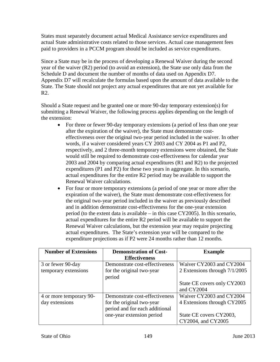States must separately document actual Medical Assistance service expenditures and actual State administrative costs related to those services. Actual case management fees paid to providers in a PCCM program should be included as service expenditures.

Since a State may be in the process of developing a Renewal Waiver during the second year of the waiver (R2) period (to avoid an extension), the State use only data from the Schedule D and document the number of months of data used on Appendix D7. Appendix D7 will recalculate the formulas based upon the amount of data available to the State. The State should not project any actual expenditures that are not yet available for R2.

Should a State request and be granted one or more 90-day temporary extension(s) for submitting a Renewal Waiver, the following process applies depending on the length of the extension:

- For three or fewer 90-day temporary extensions (a period of less than one year after the expiration of the waiver), the State must demonstrate costeffectiveness over the original two-year period included in the waiver. In other words, if a waiver considered years CY 2003 and CY 2004 as P1 and P2, respectively, and 2 three-month temporary extensions were obtained, the State would still be required to demonstrate cost-effectiveness for calendar year 2003 and 2004 by comparing actual expenditures (R1 and R2) to the projected expenditures (P1 and P2) for these two years in aggregate. In this scenario, actual expenditures for the entire R2 period may be available to support the Renewal Waiver calculations.
- For four or more temporary extensions (a period of one year or more after the expiration of the waiver), the State must demonstrate cost-effectiveness for the original two-year period included in the waiver as previously described and in addition demonstrate cost-effectiveness for the one-year extension period (to the extent data is available – in this case CY2005). In this scenario, actual expenditures for the entire R2 period will be available to support the Renewal Waiver calculations, but the extension year may require projecting actual expenditures. The State's extension year will be compared to the expenditure projections as if P2 were 24 months rather than 12 months.

| <b>Number of Extensions</b> | <b>Demonstration of Cost-</b>  | <b>Example</b>                |
|-----------------------------|--------------------------------|-------------------------------|
|                             | <b>Effectiveness</b>           |                               |
| 3 or fewer 90-day           | Demonstrate cost-effectiveness | Waiver CY2003 and CY2004      |
| temporary extensions        | for the original two-year      | 2 Extensions through 7/1/2005 |
|                             | period                         |                               |
|                             |                                | State CE covers only CY2003   |
|                             |                                | and CY2004                    |
| 4 or more temporary 90-     | Demonstrate cost-effectiveness | Waiver CY2003 and CY2004      |
| day extensions              | for the original two-year      | 4 Extensions through CY2005   |
|                             | period and for each additional |                               |
|                             | one-year extension period      | State CE covers CY2003,       |
|                             |                                | CY2004, and CY2005            |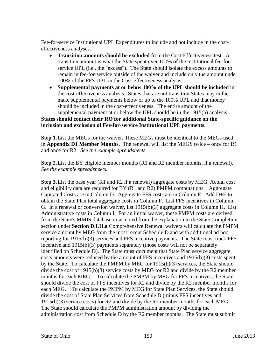Fee-for-service Institutional UPL Expenditures to include and not include in the costeffectiveness analyses.

- **Transition amounts should be excluded** from the Cost-Effectiveness test. A transition amount is what the State spent over 100% of the institutional fee-forservice UPL (i.e., the "excess"). The State should isolate the excess amounts to remain in fee-for-service outside of the waiver and include only the amount under 100% of the FFS UPL in the Cost-effectiveness analysis.
- **Supplemental payments at or below 100% of the UPL should be included** in the cost-effectiveness analysis. States that are not transition States may in fact make supplemental payments below or up to the 100% UPL and that money should be included in the cost-effectiveness. The entire amount of the supplemental payment at or below the UPL should be in the 1915(b) analysis.

### **States should contact their RO for additional State-specific guidance on the inclusion and exclusion of Fee-for-service Institutional UPL payments.**

**Step 1.**List the MEGs for the waiver. These MEGs must be identical to the MEGs used in **Appendix D1 Member Months.** The renewal will list the MEGS twice – once for R1 and once for R2. *See the example spreadsheets.*

**Step 2.**List the BY eligible member months (R1 and R2 member months, if a renewal). *See the example spreadsheets.*

**Step 3.**List the base year (R1 and R2 if a renewal) aggregate costs by MEG. Actual cost and eligibility data are required for BY (R1 and R2) PMPM computations. Aggregate Capitated Costs are in Column D. Aggregate FFS costs are in Column E. Add D+E to obtain the State Plan total aggregate costs in Column F. List FFS incentives in Column G. In a renewal or conversion waiver, list 1915(b)(3) aggregate costs in Column H. List Administrative costs in Column I. For an initial waiver, these PMPM costs are derived from the State's MMIS database or as noted from the explanation in the State Completion section under **Section D.I.H.a** Comprehensive Renewal waivers will calculate the PMPM service amount by MEG from the most recent Schedule D and with additional ad hoc reporting for 1915(b)(3) services and FFS incentive payments. The State must track FFS incentive and  $1915(b)(3)$  payments separately (those costs will not be separately identified on Schedule D). The State must document that State Plan service aggregate costs amounts were reduced by the amount of FFS incentives and 1915(b)(3) costs spent by the State. To calculate the PMPM by MEG for 1915(b)(3) services, the State should divide the cost of 1915(b)(3) service costs by MEG for R2 and divide by the R2 member months for each MEG. To calculate the PMPM by MEG for FFS incentives, the State should divide the cost of FFS incentives for R2 and divide by the R2 member months for each MEG. To calculate the PMPM by MEG for State Plan Services, the State should divide the cost of State Plan Services from Schedule D (minus FFS incentives and 1915(b)(3) service costs) for R2 and divide by the R2 member months for each MEG. The State should calculate the PMPM administration amount by dividing the administration cost from Schedule D by the R2 member months. The State must submit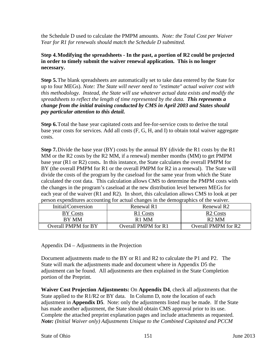the Schedule D used to calculate the PMPM amounts. *Note: the Total Cost per Waiver Year for R1 for renewals should match the Schedule D submitted.* 

**Step 4.Modifying the spreadsheets - In the past, a portion of R2 could be projected in order to timely submit the waiver renewal application. This is no longer necessary.** 

**Step 5.**The blank spreadsheets are automatically set to take data entered by the State for up to four MEGs). *Note: The State will never need to "estimate" actual waiver cost with this methodology. Instead, the State will use whatever actual data exists and modify the spreadsheets to reflect the length of time represented by the data. This represents a change from the initial training conducted by CMS in April 2003 and States should pay particular attention to this detail.*

**Step 6.**Total the base year capitated costs and fee-for-service costs to derive the total base year costs for services. Add all costs (F, G, H, and I) to obtain total waiver aggregate costs.

**Step 7.** Divide the base year (BY) costs by the annual BY (divide the R1 costs by the R1 MM or the R2 costs by the R2 MM, if a renewal) member months (MM) to get PMPM base year (R1 or R2) costs**.**In this instance, the State calculates the overall PMPM for BY (the overall PMPM for R1 or the overall PMPM for R2 in a renewal). The State will divide the costs of the program by the caseload for the same year from which the State calculated the cost data. This calculation allows CMS to determine the PMPM costs with the changes in the program's caseload at the new distribution level between MEGs for each year of the waiver (R1 and R2). In short, this calculation allows CMS to look at per person expenditures accounting for actual changes in the demographics of the waiver.

| Initial/Conversion  | Renewal R1          | Renewal R <sub>2</sub>     |
|---------------------|---------------------|----------------------------|
| <b>BY Costs</b>     | R1 Costs            | R <sub>2</sub> Costs       |
| BY MM               | R <sub>1</sub> MM   | R <sub>2</sub> MM          |
| Overall PMPM for BY | Overall PMPM for R1 | <b>Overall PMPM</b> for R2 |

Appendix D4 – Adjustments in the Projection

Document adjustments made to the BY or R1 and R2 to calculate the P1 and P2. The State will mark the adjustments made and document where in Appendix D5 the adjustment can be found. All adjustments are then explained in the State Completion portion of the Preprint.

**Waiver Cost Projection Adjustments:** On **Appendix D4**, check all adjustments that the State applied to the R1/R2 or BY data. In Column D, note the location of each adjustment in **Appendix D5**. Note: only the adjustments listed may be made. If the State has made another adjustment, the State should obtain CMS approval prior to its use. Complete the attached preprint explanation pages and include attachments as requested. *Note: (Initial Waiver only) Adjustments Unique to the Combined Capitated and PCCM*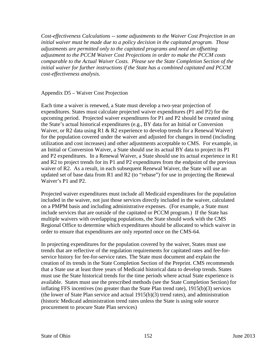*Cost-effectiveness Calculations -- some adjustments to the Waiver Cost Projection in an initial waiver must be made due to a policy decision in the capitated program. Those adjustments are permitted only to the capitated programs and need an offsetting adjustment to the PCCM Waiver Cost Projections in order to make the PCCM costs comparable to the Actual Waiver Costs. Please see the State Completion Section of the initial waiver for further instructions if the State has a combined capitated and PCCM cost-effectiveness analysis.* 

### Appendix D5 – Waiver Cost Projection

Each time a waiver is renewed, a State must develop a two-year projection of expenditures. States must calculate projected waiver expenditures (P1 and P2) for the upcoming period. Projected waiver expenditures for P1 and P2 should be created using the State's actual historical expenditures (e.g., BY data for an Initial or Conversion Waiver, or R2 data using R1 & R2 experience to develop trends for a Renewal Waiver) for the population covered under the waiver and adjusted for changes in trend (including utilization and cost increases) and other adjustments acceptable to CMS. For example, in an Initial or Conversion Waiver, a State should use its actual BY data to project its P1 and P2 expenditures. In a Renewal Waiver, a State should use its actual experience in R1 and R2 to project trends for its P1 and P2 expenditures from the endpoint of the previous waiver of R2. As a result, in each subsequent Renewal Waiver, the State will use an updated set of base data from R1 and R2 (to "rebase") for use in projecting the Renewal Waiver's P1 and P2.

Projected waiver expenditures must include all Medicaid expenditures for the population included in the waiver, not just those services directly included in the waiver, calculated on a PMPM basis and including administrative expenses. (For example, a State must include services that are outside of the capitated or PCCM program.) If the State has multiple waivers with overlapping populations, the State should work with the CMS Regional Office to determine which expenditures should be allocated to which waiver in order to ensure that expenditures are only reported once on the CMS-64.

In projecting expenditures for the population covered by the waiver, States must use trends that are reflective of the regulation requirements for capitated rates and fee-forservice history for fee-for-service rates. The State must document and explain the creation of its trends in the State Completion Section of the Preprint. CMS recommends that a State use at least three years of Medicaid historical data to develop trends. States must use the State historical trends for the time periods where actual State experience is available. States must use the prescribed methods (see the State Completion Section) for inflating FFS incentives (no greater than the State Plan trend rate), 1915(b)(3) services (the lower of State Plan service and actual 1915(b)(3) trend rates), and administration (historic Medicaid administration trend rates unless the State is using sole source procurement to procure State Plan services)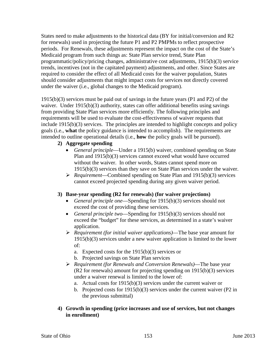States need to make adjustments to the historical data (BY for initial/conversion and R2 for renewals) used in projecting the future P1 and P2 PMPMs to reflect prospective periods. For Renewals, these adjustments represent the impact on the cost of the State's Medicaid program from such things as: State Plan service trend, State Plan programmatic/policy/pricing changes, administrative cost adjustments, 1915(b)(3) service trends, incentives (not in the capitated payment) adjustments, and other. Since States are required to consider the effect of all Medicaid costs for the waiver population, States should consider adjustments that might impact costs for services not directly covered under the waiver (i.e., global changes to the Medicaid program).

1915(b)(3) services must be paid out of savings in the future years (P1 and P2) of the waiver. Under 1915(b)(3) authority, states can offer additional benefits using savings from providing State Plan services more efficiently. The following principles and requirements will be used to evaluate the cost-effectiveness of waiver requests that include 1915(b)(3) services. The principles are intended to highlight concepts and policy goals (i.e., **what** the policy guidance is intended to accomplish). The requirements are intended to outline operational details (i.e., **how** the policy goals will be pursued).

## **2) Aggregate spending**

- *General principle*—Under a 1915(b) waiver, combined spending on State Plan and 1915(b)(3) services cannot exceed what would have occurred without the waiver. In other words, States cannot spend more on 1915(b)(3) services than they save on State Plan services under the waiver.
- *Requirement*—Combined spending on State Plan and 1915(b)(3) services cannot exceed projected spending during any given waiver period.

## **3) Base-year spending (R2 for renewals) (for waiver projections)**

- *General principle one*—Spending for 1915(b)(3) services should not exceed the cost of providing these services.
- *General principle two*—Spending for 1915(b)(3) services should not exceed the "budget" for these services, as determined in a state's waiver application.
- *Requirement (for initial waiver applications)*—The base year amount for 1915(b)(3) services under a new waiver application is limited to the lower of:
	- a. Expected costs for the 1915(b)(3) services or
	- b. Projected savings on State Plan services
- *Requirement (for Renewals and Conversion Renewals)*—The base year (R2 for renewals) amount for projecting spending on 1915(b)(3) services under a waiver renewal is limited to the lower of:
	- a. Actual costs for 1915(b)(3) services under the current waiver or
	- b. Projected costs for 1915(b)(3) services under the current waiver (P2 in the previous submittal)

## **4) Growth in spending (price increases and use of services, but not changes in enrollment)**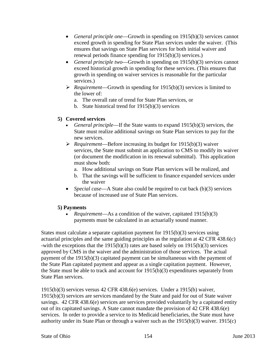- *General principle one*—Growth in spending on 1915(b)(3) services cannot exceed growth in spending for State Plan services under the waiver. (This ensures that savings on State Plan services for both initial waiver and renewal periods finance spending for 1915(b)(3) services.)
- *General principle two*—Growth in spending on 1915(b)(3) services cannot exceed historical growth in spending for these services. (This ensures that growth in spending on waiver services is reasonable for the particular services.)
- *Requirement*—Growth in spending for 1915(b)(3) services is limited to the lower of:
	- a. The overall rate of trend for State Plan services, or
	- b. State historical trend for 1915(b)(3) services

## **5) Covered services**

- *General principle*—If the State wants to expand 1915(b)(3) services, the State must realize additional savings on State Plan services to pay for the new services.
- *Requirement*—Before increasing its budget for 1915(b)(3) waiver services, the State must submit an application to CMS to modify its waiver (or document the modification in its renewal submittal). This application must show both:
	- a. How additional savings on State Plan services will be realized, and
	- b. That the savings will be sufficient to finance expanded services under the waiver
- *Special case*—A State also could be required to cut back (b)(3) services because of increased use of State Plan services.

# **5) Payments**

• *Requirement*—As a condition of the waiver, capitated 1915(b)(3) payments must be calculated in an actuarially sound manner.

States must calculate a separate capitation payment for 1915(b)(3) services using actuarial principles and the same guiding principles as the regulation at 42 CFR 438.6(c) -with the exceptions that the 1915(b)(3) rates are based solely on 1915(b)(3) services approved by CMS in the waiver and the administration of those services. The actual payment of the 1915(b)(3) capitated payment can be simultaneous with the payment of the State Plan capitated payment and appear as a single capitation payment. However, the State must be able to track and account for 1915(b)(3) expenditures separately from State Plan services.

1915(b)(3) services versus 42 CFR 438.6(e) services. Under a 1915(b) waiver, 1915(b)(3) services are services mandated by the State and paid for out of State waiver savings. 42 CFR 438.6(e) services are services provided voluntarily by a capitated entity out of its capitated savings. A State cannot mandate the provision of 42 CFR 438.6(e) services. In order to provide a service to its Medicaid beneficiaries, the State must have authority under its State Plan or through a waiver such as the  $1915(b)(3)$  waiver. 1915(c)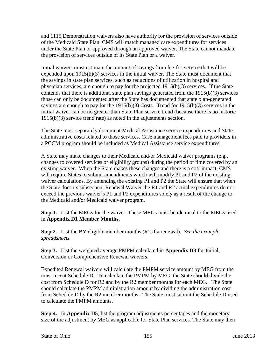and 1115 Demonstration waivers also have authority for the provision of services outside of the Medicaid State Plan. CMS will match managed care expenditures for services under the State Plan or approved through an approved waiver. The State cannot mandate the provision of services outside of its State Plan or a waiver.

Initial waivers must estimate the amount of savings from fee-for-service that will be expended upon 1915(b)(3) services in the initial waiver. The State must document that the savings in state plan services, such as reductions of utilization in hospital and physician services, are enough to pay for the projected 1915(b)(3) services. If the State contends that there is additional state plan savings generated from the 1915(b)(3) services those can only be documented after the State has documented that state plan-generated savings are enough to pay for the 1915(b)(3) Costs. Trend for 1915(b)(3) services in the initial waiver can be no greater than State Plan service trend (because there is no historic 1915(b)(3) service trend rate) as noted in the adjustments section.

The State must separately document Medical Assistance service expenditures and State administrative costs related to those services. Case management fees paid to providers in a PCCM program should be included as Medical Assistance service expenditures.

A State may make changes to their Medicaid and/or Medicaid waiver programs (e.g., changes to covered services or eligibility groups) during the period of time covered by an existing waiver. When the State makes these changes and there is a cost impact, CMS will require States to submit amendments which will modify P1 and P2 of the existing waiver calculations. By amending the existing P1 and P2 the State will ensure that when the State does its subsequent Renewal Waiver the R1 and R2 actual expenditures do not exceed the previous waiver's P1 and P2 expenditures solely as a result of the change to the Medicaid and/or Medicaid waiver program.

**Step 1.** List the MEGs for the waiver. These MEGs must be identical to the MEGs used in **Appendix D1 Member Months.**

**Step 2.** List the BY eligible member months (R2 if a renewal). *See the example spreadsheets.*

**Step 3.** List the weighted average PMPM calculated in **Appendix D3** for Initial, Conversion or Comprehensive Renewal waivers.

Expedited Renewal waivers will calculate the PMPM service amount by MEG from the most recent Schedule D. To calculate the PMPM by MEG, the State should divide the cost from Schedule D for R2 and by the R2 member months for each MEG. The State should calculate the PMPM administration amount by dividing the administration cost from Schedule D by the R2 member months. The State must submit the Schedule D used to calculate the PMPM amounts.

**Step 4.** In **Appendix D5**, list the program adjustments percentages and the monetary size of the adjustment by MEG as applicable for State Plan services. The State may then

State of Ohio 155 June 2013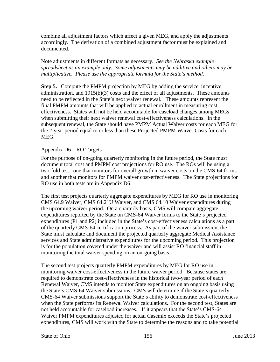combine all adjustment factors which affect a given MEG, and apply the adjustments accordingly. The derivation of a combined adjustment factor must be explained and documented.

Note adjustments in different formats as necessary. *See the Nebraska example spreadsheet as an example only. Some adjustments may be additive and others may be multiplicative. Please use the appropriate formula for the State's method.*

**Step 5.** Compute the PMPM projection by MEG by adding the service, incentive, administration, and  $1915(b)(3)$  costs and the effect of all adjustments. These amounts need to be reflected in the State's next waiver renewal. These amounts represent the final PMPM amounts that will be applied to actual enrollment in measuring cost effectiveness. States will not be held accountable for caseload changes among MEGs when submitting their next waiver renewal cost-effectiveness calculations. In the subsequent renewal, the State should have PMPM Actual Waiver costs for each MEG for the 2-year period equal to or less than these Projected PMPM Waiver Costs for each MEG.

### Appendix D6 – RO Targets

For the purpose of on-going quarterly monitoring in the future period, the State must document total cost and PMPM cost projections for RO use. The ROs will be using a two-fold test: one that monitors for overall growth in waiver costs on the CMS-64 forms and another that monitors for PMPM waiver cost-effectiveness. The State projections for RO use in both tests are in Appendix D6.

The first test projects quarterly aggregate expenditures by MEG for RO use in monitoring CMS 64.9 Waiver, CMS 64.21U Waiver, and CMS 64.10 Waiver expenditures during the upcoming waiver period. On a quarterly basis, CMS will compare aggregate expenditures reported by the State on CMS-64 Waiver forms to the State's projected expenditures (P1 and P2) included in the State's cost-effectiveness calculations as a part of the quarterly CMS-64 certification process. As part of the waiver submission, the State must calculate and document the projected quarterly aggregate Medical Assistance services and State administrative expenditures for the upcoming period. This projection is for the population covered under the waiver and will assist RO financial staff in monitoring the total waiver spending on an on-going basis.

The second test projects quarterly PMPM expenditures by MEG for RO use in monitoring waiver cost-effectiveness in the future waiver period. Because states are required to demonstrate cost-effectiveness in the historical two-year period of each Renewal Waiver, CMS intends to monitor State expenditures on an ongoing basis using the State's CMS-64 Waiver submissions. CMS will determine if the State's quarterly CMS-64 Waiver submissions support the State's ability to demonstrate cost-effectiveness when the State performs its Renewal Waiver calculations. For the second test, States are not held accountable for caseload increases. If it appears that the State's CMS-64 Waiver PMPM expenditures adjusted for actual Casemix exceeds the State's projected expenditures, CMS will work with the State to determine the reasons and to take potential

State of Ohio 156 June 2013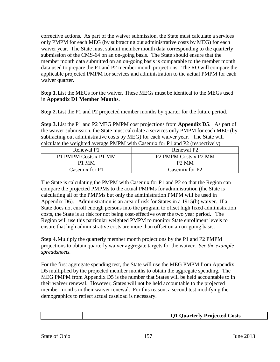corrective actions. As part of the waiver submission, the State must calculate a services only PMPM for each MEG (by subtracting out administrative costs by MEG) for each waiver year. The State must submit member month data corresponding to the quarterly submission of the CMS-64 on an on-going basis. The State should ensure that the member month data submitted on an on-going basis is comparable to the member month data used to prepare the P1 and P2 member month projections. The RO will compare the applicable projected PMPM for services and administration to the actual PMPM for each waiver quarter.

**Step 1.**List the MEGs for the waiver. These MEGs must be identical to the MEGs used in **Appendix D1 Member Months**.

**Step 2.**List the P1 and P2 projected member months by quarter for the future period.

**Step 3.**List the P1 and P2 MEG PMPM cost projections from **Appendix D5**. As part of the waiver submission, the State must calculate a services only PMPM for each MEG (by subtracting out administrative costs by MEG) for each waiver year. The State will calculate the weighted average PMPM with Casemix for P1 and P2 (respectively).

| Renewal P1            | Renewal P2                                    |  |
|-----------------------|-----------------------------------------------|--|
| P1 PMPM Costs x P1 MM | P <sub>2</sub> PMPM Costs x P <sub>2</sub> MM |  |
| P1 MM                 | P <sub>2</sub> MM                             |  |
| Casemix for P1        | Casemix for P2                                |  |

The State is calculating the PMPM with Casemix for P1 and P2 so that the Region can compare the projected PMPMs to the actual PMPMs for administration (the State is calculating all of the PMPMs but only the administration PMPM will be used in Appendix D6). Administration is an area of risk for States in a 1915(b) waiver. If a State does not enroll enough persons into the program to offset high fixed administration costs, the State is at risk for not being cost-effective over the two year period. The Region will use this particular weighted PMPM to monitor State enrollment levels to ensure that high administrative costs are more than offset on an on-going basis.

**Step 4.**Multiply the quarterly member month projections by the P1 and P2 PMPM projections to obtain quarterly waiver aggregate targets for the waiver. *See the example spreadsheets.*

For the first aggregate spending test, the State will use the MEG PMPM from Appendix D5 multiplied by the projected member months to obtain the aggregate spending. The MEG PMPM from Appendix D5 is the number that States will be held accountable to in their waiver renewal. However, States will not be held accountable to the projected member months in their waiver renewal. For this reason, a second test modifying the demographics to reflect actual caseload is necessary.

| O1<br><b>Ouarterly Projected Costs</b> |  |  |
|----------------------------------------|--|--|
|                                        |  |  |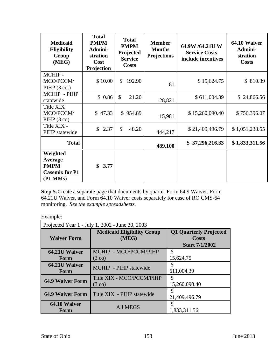| <b>Medicaid</b><br><b>Eligibility</b><br>Group<br>(MEG)                 | <b>Total</b><br><b>PMPM</b><br>Admini-<br>stration<br>Cost<br>Projection | <b>Total</b><br><b>PMPM</b><br>Projected<br><b>Service</b><br><b>Costs</b> | <b>Member</b><br><b>Months</b><br><b>Projections</b> | 64.9W /64.21U W<br><b>Service Costs</b><br>include incentives | 64.10 Waiver<br>Admini-<br>stration<br><b>Costs</b> |
|-------------------------------------------------------------------------|--------------------------------------------------------------------------|----------------------------------------------------------------------------|------------------------------------------------------|---------------------------------------------------------------|-----------------------------------------------------|
| MCHIP-<br>MCO/PCCM/<br>$PIHP(3 \text{ co.})$                            | \$10.00                                                                  | $\mathbb{S}$<br>192.90                                                     | 81                                                   | \$15,624.75                                                   | \$810.39                                            |
| MCHIP - PIHP<br>statewide                                               | \$0.86                                                                   | $\mathcal{S}$<br>21.20                                                     | 28,821                                               | \$611,004.39                                                  | \$24,866.56                                         |
| Title XIX<br>MCO/PCCM/<br>$PIHP(3 \text{ co})$                          | \$47.33                                                                  | \$954.89                                                                   | 15,981                                               | \$15,260,090.40                                               | \$756,396.07                                        |
| Title XIX -<br>PIHP statewide                                           | $\mathbb{S}$<br>2.37                                                     | $\mathcal{S}$<br>48.20                                                     | 444,217                                              | \$21,409,496.79                                               | \$1,051,238.55                                      |
| <b>Total</b>                                                            |                                                                          |                                                                            | 489,100                                              | \$37,296,216.33                                               | \$1,833,311.56                                      |
| Weighted<br>Average<br><b>PMPM</b><br><b>Casemix for P1</b><br>(P1 MMs) | \$<br>3.77                                                               |                                                                            |                                                      |                                                               |                                                     |

**Step 5.**Create a separate page that documents by quarter Form 64.9 Waiver, Form 64.21U Waiver, and Form 64.10 Waiver costs separately for ease of RO CMS-64 monitoring. *See the example spreadsheets.*

Example:

Projected Year 1 - July 1, 2002 - June 30, 2003

| <b>Waiver Form</b>      | <b>Medicaid Eligibility Group</b><br>(MEG)            | <b>Q1 Quarterly Projected</b><br><b>Costs</b><br><b>Start 7/1/2002</b> |
|-------------------------|-------------------------------------------------------|------------------------------------------------------------------------|
| 64.21U Waiver<br>Form   | MCHIP - MCO/PCCM/PIHP<br>$(3 \text{ } \text{co})$     | \$<br>15,624.75                                                        |
| 64.21U Waiver<br>Form   | MCHIP - PIHP statewide                                | S<br>611,004.39                                                        |
| <b>64.9 Waiver Form</b> | Title XIX - MCO/PCCM/PIHP<br>$(3 \text{ } \text{co})$ | S<br>15,260,090.40                                                     |
| <b>64.9 Waiver Form</b> | Title XIX - PIHP statewide                            | 21,409,496.79                                                          |
| 64.10 Waiver<br>Form    | <b>All MEGS</b>                                       | 1,833,311.56                                                           |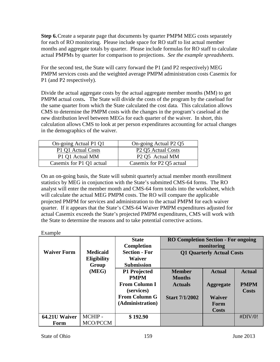**Step 6.**Create a separate page that documents by quarter PMPM MEG costs separately for each of RO monitoring. Please include space for RO staff to list actual member months and aggregate totals by quarter. Please include formulas for RO staff to calculate actual PMPMs by quarter for comparison to projections. *See the example spreadsheets.*

For the second test, the State will carry forward the P1 (and P2 respectively) MEG PMPM services costs and the weighted average PMPM administration costs Casemix for P1 (and P2 respectively).

Divide the actual aggregate costs by the actual aggregate member months (MM) to get PMPM actual costs**.** The State will divide the costs of the program by the caseload for the same quarter from which the State calculated the cost data. This calculation allows CMS to determine the PMPM costs with the changes in the program's caseload at the new distribution level between MEGs for each quarter of the waiver. In short, this calculation allows CMS to look at per person expenditures accounting for actual changes in the demographics of the waiver.

| On-going Actual P1 Q1    | On-going Actual P2 Q5                      |
|--------------------------|--------------------------------------------|
| P1 Q1 Actual Costs       | P <sub>2</sub> Q <sub>5</sub> Actual Costs |
| P1 Q1 Actual MM          | P <sub>2</sub> Q <sub>5</sub> Actual MM    |
| Casemix for P1 Q1 actual | Casemix for P2 Q5 actual                   |

On an on-going basis, the State will submit quarterly actual member month enrollment statistics by MEG in conjunction with the State's submitted CMS-64 forms. The RO analyst will enter the member month and CMS-64 form totals into the worksheet, which will calculate the actual MEG PMPM costs. The RO will compare the applicable projected PMPM for services and administration to the actual PMPM for each waiver quarter. If it appears that the State's CMS-64 Waiver PMPM expenditures adjusted for actual Casemix exceeds the State's projected PMPM expenditures, CMS will work with the State to determine the reasons and to take potential corrective actions.

Example

|                    |                    | <b>State</b>         | <b>RO Completion Section - For ongoing</b> |                  |               |
|--------------------|--------------------|----------------------|--------------------------------------------|------------------|---------------|
|                    |                    | <b>Completion</b>    | monitoring                                 |                  |               |
| <b>Waiver Form</b> | <b>Medicaid</b>    | <b>Section - For</b> | Q1 Quarterly Actual Costs                  |                  |               |
|                    | <b>Eligibility</b> | <b>Waiver</b>        |                                            |                  |               |
|                    | Group              | <b>Submission</b>    |                                            |                  |               |
|                    | (MEG)              | P1 Projected         | <b>Member</b>                              | <b>Actual</b>    | <b>Actual</b> |
|                    |                    | <b>PMPM</b>          | <b>Months</b>                              |                  |               |
|                    |                    | <b>From Column I</b> | <b>Actuals</b>                             | <b>Aggregate</b> | <b>PMPM</b>   |
|                    |                    | (services)           |                                            |                  | <b>Costs</b>  |
|                    |                    | <b>From Column G</b> | <b>Start 7/1/2002</b>                      | <b>Waiver</b>    |               |
|                    |                    | (Administration)     |                                            | Form             |               |
|                    |                    |                      |                                            | <b>Costs</b>     |               |
| 64.21U Waiver      | MCHIP-             | \$192.90             |                                            |                  | #DIV/0!       |
| Form               | MCO/PCCM           |                      |                                            |                  |               |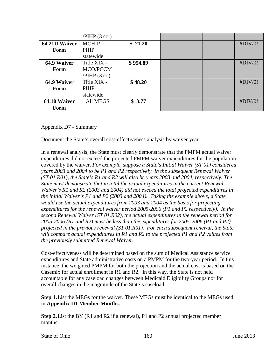|               | $/PHP$ (3 co.)  |          |  |         |
|---------------|-----------------|----------|--|---------|
| 64.21U Waiver | MCHIP-          | \$21.20  |  | #DIV/0! |
| Form          | PIHP            |          |  |         |
|               | statewide       |          |  |         |
| 64.9 Waiver   | Title XIX -     | \$954.89 |  | #DIV/0! |
| Form          | MCO/PCCM        |          |  |         |
|               | /PHP(3 co)      |          |  |         |
| 64.9 Waiver   | Title XIX -     | \$48.20  |  | #DIV/0! |
| Form          | PIHP            |          |  |         |
|               | statewide       |          |  |         |
| 64.10 Waiver  | <b>All MEGS</b> | \$3.77   |  | #DIV/0! |
| Form          |                 |          |  |         |

Appendix D7 - Summary

Document the State's overall cost-effectiveness analysis by waiver year.

In a renewal analysis, the State must clearly demonstrate that the PMPM actual waiver expenditures did not exceed the projected PMPM waiver expenditures for the population covered by the waiver. *For example, suppose a State's Initial Waiver (ST 01) considered years 2003 and 2004 to be P1 and P2 respectively. In the subsequent Renewal Waiver (ST 01.R01), the State's R1 and R2 will also be years 2003 and 2004, respectively. The State must demonstrate that in total the actual expenditures in the current Renewal Waiver's R1 and R2 (2003 and 2004) did not exceed the total projected expenditures in the Initial Waiver's P1 and P2 (2003 and 2004). Taking the example above, a State would use the actual expenditures from 2003 and 2004 as the basis for projecting expenditures for the renewal waiver period 2005-2006 (P1 and P2 respectively). In the second Renewal Waiver (ST 01.R02), the actual expenditures in the renewal period for 2005-2006 (R1 and R2) must be less than the expenditures for 2005-2006 (P1 and P2) projected in the previous renewal (ST 01.R01). For each subsequent renewal, the State will compare actual expenditures in R1 and R2 to the projected P1 and P2 values from the previously submitted Renewal Waiver.*

Cost-effectiveness will be determined based on the sum of Medical Assistance service expenditures and State administrative costs on a PMPM for the two-year period. In this instance, the weighted PMPM for both the projection and the actual cost is based on the Casemix for actual enrollment in R1 and R2. In this way, the State is not held accountable for any caseload changes between Medicaid Eligibility Groups nor for overall changes in the magnitude of the State's caseload.

**Step 1.**List the MEGs for the waiver. These MEGs must be identical to the MEGs used in **Appendix D1 Member Months.**

**Step 2.**List the BY (R1 and R2 if a renewal), P1 and P2 annual projected member months.

State of Ohio 160 June 2013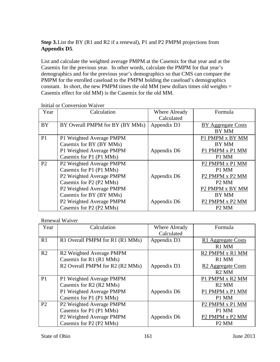## **Step 3.**List the BY (R1 and R2 if a renewal), P1 and P2 PMPM projections from **Appendix D5**.

List and calculate the weighted average PMPM at the Casemix for that year and at the Casemix for the previous year. In other words, calculate the PMPM for that year's demographics and for the previous year's demographics so that CMS can compare the PMPM for the enrolled caseload to the PMPM holding the caseload's demographics constant. In short, the new PMPM times the old MM (new dollars times old weights  $=$ Casemix effect for old MM) is the Casemix for the old MM.

| Year           | Calculation                     | Where Already | Formula                       |
|----------------|---------------------------------|---------------|-------------------------------|
|                |                                 | Calculated    |                               |
| <b>BY</b>      | BY Overall PMPM for BY (BY MMs) | Appendix D3   | BY Aggregate Costs            |
|                |                                 |               | BY MM                         |
| P <sub>1</sub> | P1 Weighted Average PMPM        |               | P1 PMPM x BY MM               |
|                | Casemix for BY (BY MMs)         |               | BY MM                         |
|                | P1 Weighted Average PMPM        | Appendix D6   | P1 PMPM x P1 MM               |
|                | Casemix for P1 (P1 MMs)         |               | P1 MM                         |
| P <sub>2</sub> | P2 Weighted Average PMPM        |               | P2 PMPM x P1 MM               |
|                | Casemix for P1 (P1 MMs)         |               | P1 MM                         |
|                | P2 Weighted Average PMPM        | Appendix D6   | P2 PMPM x P2 MM               |
|                | Casemix for P2 (P2 MMs)         |               | P <sub>2</sub> M <sub>M</sub> |
|                | P2 Weighted Average PMPM        |               | P2 PMPM x BY MM               |
|                | Casemix for BY (BY MMs)         |               | BY MM                         |
|                | P2 Weighted Average PMPM        | Appendix D6   | P2 PMPM x P2 MM               |
|                | Casemix for P2 (P2 MMs)         |               | P <sub>2</sub> M <sub>M</sub> |

### Initial or Conversion Waiver

Renewal Waiver

| Year           | Calculation                     | Where Already | Formula                        |
|----------------|---------------------------------|---------------|--------------------------------|
|                |                                 | Calculated    |                                |
| R1             | R1 Overall PMPM for R1 (R1 MMs) | Appendix D3   | R1 Aggregate Costs             |
|                |                                 |               | R1 MM                          |
| R <sub>2</sub> | R2 Weighted Average PMPM        |               | R2 PMPM x R1 MM                |
|                | Casemix for R1 (R1 MMs)         |               | R1 MM                          |
|                | R2 Overall PMPM for R2 (R2 MMs) | Appendix D3   | R <sub>2</sub> Aggregate Costs |
|                |                                 |               | R <sub>2</sub> MM              |
| P1             | P1 Weighted Average PMPM        |               | P1 PMPM x R2 MM                |
|                | Casemix for R2 (R2 MMs)         |               | R <sub>2</sub> MM              |
|                | P1 Weighted Average PMPM        | Appendix D6   | P1 PMPM x P1 MM                |
|                | Casemix for P1 (P1 MMs)         |               | P1 MM                          |
| P <sub>2</sub> | P2 Weighted Average PMPM        |               | P2 PMPM x P1 MM                |
|                | Casemix for P1 (P1 MMs)         |               | P1 MM                          |
|                | P2 Weighted Average PMPM        | Appendix D6   | P2 PMPM x P2 MM                |
|                | Casemix for P2 (P2 MMs)         |               | P <sub>2</sub> M <sub>M</sub>  |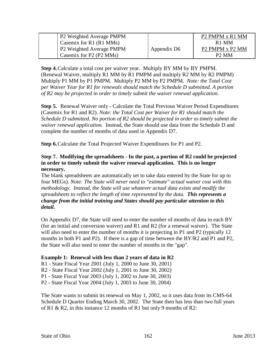| <b>P2 Weighted Average PMPM</b> |             | P <sub>2</sub> PMPM x R <sub>1</sub> MM |
|---------------------------------|-------------|-----------------------------------------|
| Casemix for $R1$ ( $R1$ MMs)    |             | R <sub>1</sub> MM                       |
| P2 Weighted Average PMPM        | Appendix D6 | P <sub>2</sub> PMPM x P <sub>2</sub> MM |
| Casemix for P2 (P2 MMs)         |             | P <sub>2</sub> M <sub>M</sub>           |

**Step 4.**Calculate a total cost per waiver year. Multiply BY MM by BY PMPM. (Renewal Waiver, multiply R1 MM by R1 PMPM and multiply R2 MM by R2 PMPM) Multiply P1 MM by P1 PMPM. Multiply P2 MM by P2 PMPM. *Note: the Total Cost per Waiver Year for R1 for renewals should match the Schedule D submitted. A portion of R2 may be projected in order to timely submit the waiver renewal application.*

**Step 5.** Renewal Waiver only - Calculate the Total Previous Waiver Period Expenditures (Casemix for R1 and R2). *Note: the Total Cost per Waiver for R1 should match the Schedule D submitted. No portion of R2 should be projected in order to timely submit the waiver renewal application.* Instead, the State should use data from the Schedule D and complete the number of months of data used in Appendix D7.

**Step 6.**Calculate the Total Projected Waiver Expenditures for P1 and P2.

## **Step 7. Modifying the spreadsheets - In the past, a portion of R2 could be projected in order to timely submit the waiver renewal application. This is no longer necessary.**

The blank spreadsheets are automatically set to take data entered by the State for up to four MEGs). *Note: The State will never need to "estimate" actual waiver cost with this methodology. Instead, the State will use whatever actual data exists and modify the spreadsheets to reflect the length of time represented by the data. This represents a change from the initial training and States should pay particular attention to this detail.*

On Appendix D7, the State will need to enter the number of months of data in each BY (for an initial and conversion waiver) and R1 and R2 (for a renewal waiver). The State will also need to enter the number of months it is projecting in P1 and P2 (typically 12) months in both P1 and P2). If there is a gap of time between the BY/R2 and P1 and P2, the State will also need to enter the number of months in the "gap".

## **Example 1: Renewal with less than 2 years of data in R2**

R1 - State Fiscal Year 2001 (July 1, 2000 to June 30, 2001)

R2 - State Fiscal Year 2002 (July 1, 2001 to June 30, 2002)

P1 - State Fiscal Year 2003 (July 1, 2002 to June 30, 2003)

P2 - State Fiscal Year 2004 (July 1, 2003 to June 30, 2004)

The State wants to submit its renewal on May 1, 2002, so it uses data from its CMS-64 Schedule D Quarter Ending March 30, 2002. The State then has less than two full years of R1 & R2, in this instance 12 months of R1 but only 9 months of R2: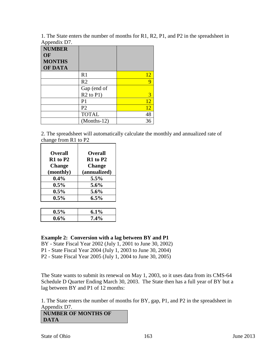1. The State enters the number of months for R1, R2, P1, and P2 in the spreadsheet in Appendix D7

| $i$ reported $\mu$ is $\mu$ .<br><b>NUMBER</b> |                |    |
|------------------------------------------------|----------------|----|
| OF                                             |                |    |
| <b>MONTHS</b>                                  |                |    |
| <b>OF DATA</b>                                 |                |    |
|                                                | R1             | 12 |
|                                                | R <sub>2</sub> | Q  |
|                                                | Gap (end of    |    |
|                                                | $R2$ to $P1$ ) | 3  |
|                                                | P <sub>1</sub> | 12 |
|                                                | P <sub>2</sub> | 12 |
|                                                | <b>TOTAL</b>   | 48 |
|                                                | $(Months-12)$  | 36 |

2. The spreadsheet will automatically calculate the monthly and annualized rate of change from R1 to P2

| <b>Overall</b> | <b>Overall</b> |
|----------------|----------------|
| $R1$ to $P2$   | $R1$ to $P2$   |
| <b>Change</b>  | <b>Change</b>  |
| (monthly)      | (annualized)   |
| $0.4\%$        | $5.5\%$        |
| $0.5\%$        | 5.6%           |
| $0.5\%$        | 5.6%           |
| $0.5\%$        | $6.5\%$        |
|                |                |

| $0.5\%$ | $6.1\%$ |
|---------|---------|
| $0.6\%$ | $7.4\%$ |

# **Example 2: Conversion with a lag between BY and P1**

BY - State Fiscal Year 2002 (July 1, 2001 to June 30, 2002)

- P1 State Fiscal Year 2004 (July 1, 2003 to June 30, 2004)
- P2 State Fiscal Year 2005 (July 1, 2004 to June 30, 2005)

The State wants to submit its renewal on May 1, 2003, so it uses data from its CMS-64 Schedule D Quarter Ending March 30, 2003. The State then has a full year of BY but a lag between BY and P1 of 12 months:

1. The State enters the number of months for BY, gap, P1, and P2 in the spreadsheet in Appendix D7.

**NUMBER OF MONTHS OF DATA**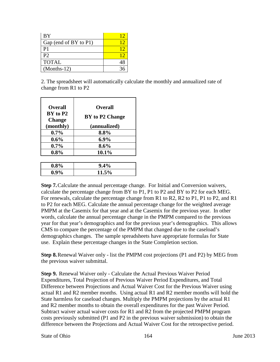| BY                    |    |
|-----------------------|----|
| Gap (end of BY to P1) |    |
| P <sub>1</sub>        |    |
| P <sup>2</sup>        |    |
| <b>TOTAL</b>          | 48 |
| $(Months-12)$         |    |

2. The spreadsheet will automatically calculate the monthly and annualized rate of change from R1 to P2

| <b>Overall</b>            | <b>Overall</b>  |
|---------------------------|-----------------|
| BY to P2<br><b>Change</b> | BY to P2 Change |
| (monthly)                 | (annualized)    |
| $0.7\%$                   | 8.8%            |
| $0.6\%$                   | $6.9\%$         |
| $0.7\%$                   | $8.6\%$         |
| $0.8\%$                   | 10.1%           |

| $0.8\%$ | $9.4\%$ |
|---------|---------|
| $0.9\%$ | 11.5%   |

**Step 7.**Calculate the annual percentage change. For Initial and Conversion waivers, calculate the percentage change from BY to P1, P1 to P2 and BY to P2 for each MEG. For renewals, calculate the percentage change from R1 to R2, R2 to P1, P1 to P2, and R1 to P2 for each MEG. Calculate the annual percentage change for the weighted average PMPM at the Casemix for that year and at the Casemix for the previous year. In other words, calculate the annual percentage change in the PMPM compared to the previous year for that year's demographics and for the previous year's demographics. This allows CMS to compare the percentage of the PMPM that changed due to the caseload's demographics changes. The sample spreadsheets have appropriate formulas for State use. Explain these percentage changes in the State Completion section.

**Step 8.**Renewal Waiver only - list the PMPM cost projections (P1 and P2) by MEG from the previous waiver submittal.

**Step 9.** Renewal Waiver only - Calculate the Actual Previous Waiver Period Expenditures, Total Projection of Previous Waiver Period Expenditures, and Total Difference between Projections and Actual Waiver Cost for the Previous Waiver using actual R1 and R2 member months. Using actual R1 and R2 member months will hold the State harmless for caseload changes. Multiply the PMPM projections by the actual R1 and R2 member months to obtain the overall expenditures for the past Waiver Period. Subtract waiver actual waiver costs for R1 and R2 from the projected PMPM program costs previously submitted (P1 and P2 in the previous waiver submission) to obtain the difference between the Projections and Actual Waiver Cost for the retrospective period.

State of Ohio 164 June 2013